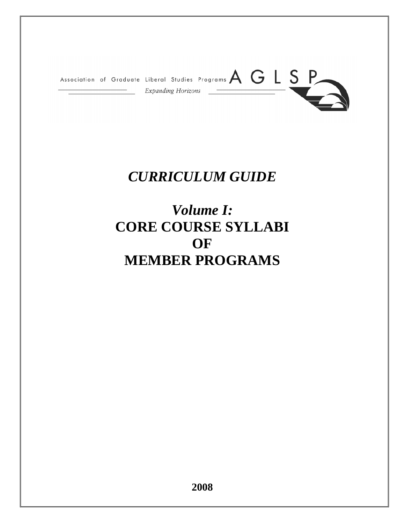

# *CURRICULUM GUIDE*

# *Volume I:*  **CORE COURSE SYLLABI OF MEMBER PROGRAMS**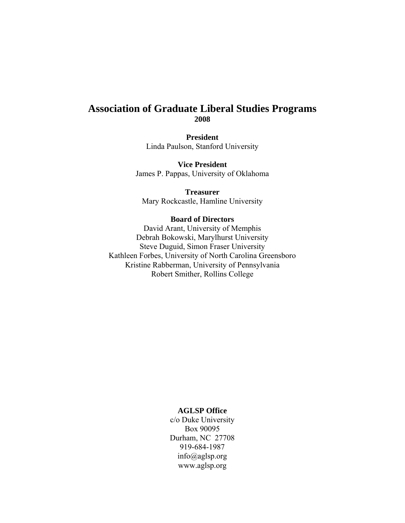# **Association of Graduate Liberal Studies Programs 2008**

**President**  Linda Paulson, Stanford University

**Vice President**  James P. Pappas, University of Oklahoma

**Treasurer**  Mary Rockcastle, Hamline University

## **Board of Directors**

David Arant, University of Memphis Debrah Bokowski, Marylhurst University Steve Duguid, Simon Fraser University Kathleen Forbes, University of North Carolina Greensboro Kristine Rabberman, University of Pennsylvania Robert Smither, Rollins College

## **AGLSP Office**

c/o Duke University Box 90095 Durham, NC 27708 919-684-1987 info@aglsp.org www.aglsp.org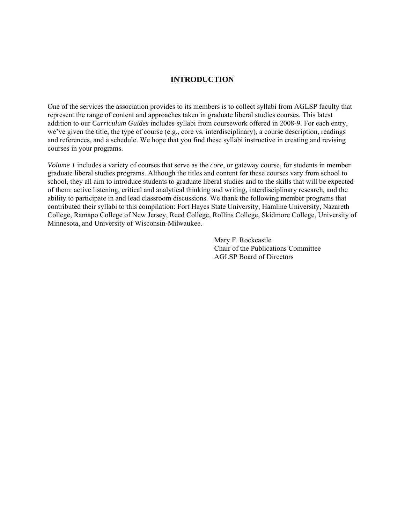## **INTRODUCTION**

One of the services the association provides to its members is to collect syllabi from AGLSP faculty that represent the range of content and approaches taken in graduate liberal studies courses. This latest addition to our *Curriculum Guides* includes syllabi from coursework offered in 2008-9. For each entry, we've given the title, the type of course (e.g., core vs. interdisciplinary), a course description, readings and references, and a schedule. We hope that you find these syllabi instructive in creating and revising courses in your programs.

*Volume 1* includes a variety of courses that serve as the *core*, or gateway course, for students in member graduate liberal studies programs. Although the titles and content for these courses vary from school to school, they all aim to introduce students to graduate liberal studies and to the skills that will be expected of them: active listening, critical and analytical thinking and writing, interdisciplinary research, and the ability to participate in and lead classroom discussions. We thank the following member programs that contributed their syllabi to this compilation: Fort Hayes State University, Hamline University, Nazareth College, Ramapo College of New Jersey, Reed College, Rollins College, Skidmore College, University of Minnesota, and University of Wisconsin-Milwaukee.

> Mary F. Rockcastle Chair of the Publications Committee AGLSP Board of Directors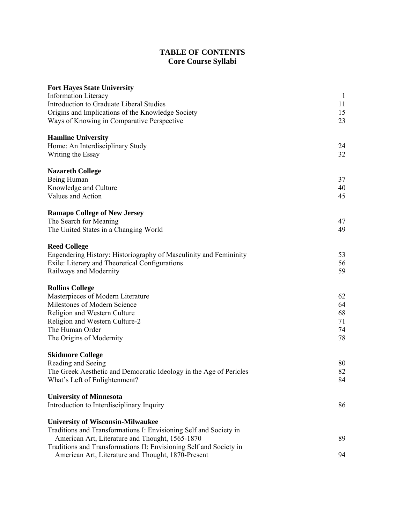# **TABLE OF CONTENTS Core Course Syllabi**

| <b>Fort Hayes State University</b>                                 |              |
|--------------------------------------------------------------------|--------------|
| <b>Information Literacy</b>                                        | $\mathbf{1}$ |
| <b>Introduction to Graduate Liberal Studies</b>                    | 11           |
| Origins and Implications of the Knowledge Society                  | 15           |
| Ways of Knowing in Comparative Perspective                         | 23           |
| <b>Hamline University</b>                                          |              |
| Home: An Interdisciplinary Study                                   | 24           |
| Writing the Essay                                                  | 32           |
| <b>Nazareth College</b>                                            |              |
| Being Human                                                        | 37           |
| Knowledge and Culture                                              | 40           |
| Values and Action                                                  | 45           |
| <b>Ramapo College of New Jersey</b>                                |              |
| The Search for Meaning                                             | 47           |
| The United States in a Changing World                              | 49           |
| <b>Reed College</b>                                                |              |
| Engendering History: Historiography of Masculinity and Femininity  | 53           |
| Exile: Literary and Theoretical Configurations                     | 56           |
| Railways and Modernity                                             | 59           |
| <b>Rollins College</b>                                             |              |
| Masterpieces of Modern Literature                                  | 62           |
| Milestones of Modern Science                                       | 64           |
| Religion and Western Culture                                       | 68           |
| Religion and Western Culture-2                                     | 71           |
| The Human Order                                                    | 74           |
| The Origins of Modernity                                           | 78           |
| <b>Skidmore College</b>                                            |              |
| Reading and Seeing                                                 | 80           |
| The Greek Aesthetic and Democratic Ideology in the Age of Pericles | 82           |
| What's Left of Enlightenment?                                      | 84           |
| <b>University of Minnesota</b>                                     |              |
| Introduction to Interdisciplinary Inquiry                          | 86           |
| <b>University of Wisconsin-Milwaukee</b>                           |              |
| Traditions and Transformations I: Envisioning Self and Society in  |              |
| American Art, Literature and Thought, 1565-1870                    | 89           |
| Traditions and Transformations II: Envisioning Self and Society in |              |
| American Art, Literature and Thought, 1870-Present                 | 94           |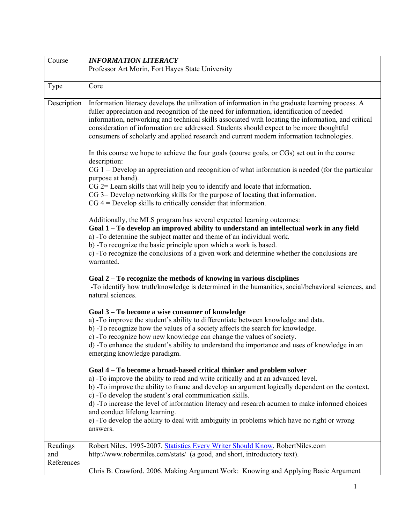<span id="page-6-0"></span>

| Course                        | <b>INFORMATION LITERACY</b>                                                                                                                                                                                                                                                                                                                                                                                                                                                                                                                                                                                                                                                                                                              |
|-------------------------------|------------------------------------------------------------------------------------------------------------------------------------------------------------------------------------------------------------------------------------------------------------------------------------------------------------------------------------------------------------------------------------------------------------------------------------------------------------------------------------------------------------------------------------------------------------------------------------------------------------------------------------------------------------------------------------------------------------------------------------------|
|                               | Professor Art Morin, Fort Hayes State University                                                                                                                                                                                                                                                                                                                                                                                                                                                                                                                                                                                                                                                                                         |
|                               |                                                                                                                                                                                                                                                                                                                                                                                                                                                                                                                                                                                                                                                                                                                                          |
| Type                          | Core                                                                                                                                                                                                                                                                                                                                                                                                                                                                                                                                                                                                                                                                                                                                     |
| Description                   | Information literacy develops the utilization of information in the graduate learning process. A<br>fuller appreciation and recognition of the need for information, identification of needed<br>information, networking and technical skills associated with locating the information, and critical<br>consideration of information are addressed. Students should expect to be more thoughtful<br>consumers of scholarly and applied research and current modern information technologies.<br>In this course we hope to achieve the four goals (course goals, or CGs) set out in the course<br>description:<br>$CG 1 = Develop$ an appreciation and recognition of what information is needed (for the particular<br>purpose at hand). |
|                               | $CG$ 2= Learn skills that will help you to identify and locate that information.<br>CG 3= Develop networking skills for the purpose of locating that information.<br>$CG 4 = Develop$ skills to critically consider that information.                                                                                                                                                                                                                                                                                                                                                                                                                                                                                                    |
|                               | Additionally, the MLS program has several expected learning outcomes:<br>Goal 1 – To develop an improved ability to understand an intellectual work in any field<br>a) -To determine the subject matter and theme of an individual work.<br>b) -To recognize the basic principle upon which a work is based.<br>c) -To recognize the conclusions of a given work and determine whether the conclusions are<br>warranted.                                                                                                                                                                                                                                                                                                                 |
|                               | Goal 2 – To recognize the methods of knowing in various disciplines<br>-To identify how truth/knowledge is determined in the humanities, social/behavioral sciences, and<br>natural sciences.                                                                                                                                                                                                                                                                                                                                                                                                                                                                                                                                            |
|                               | Goal 3 – To become a wise consumer of knowledge<br>a) -To improve the student's ability to differentiate between knowledge and data.<br>b) -To recognize how the values of a society affects the search for knowledge.<br>c) -To recognize how new knowledge can change the values of society.<br>d) -To enhance the student's ability to understand the importance and uses of knowledge in an<br>emerging knowledge paradigm.                                                                                                                                                                                                                                                                                                          |
|                               | Goal 4 – To become a broad-based critical thinker and problem solver<br>a) -To improve the ability to read and write critically and at an advanced level.<br>b) -To improve the ability to frame and develop an argument logically dependent on the context.<br>c) -To develop the student's oral communication skills.<br>d) -To increase the level of information literacy and research acumen to make informed choices<br>and conduct lifelong learning.<br>e) -To develop the ability to deal with ambiguity in problems which have no right or wrong<br>answers.                                                                                                                                                                    |
| Readings<br>and<br>References | Robert Niles. 1995-2007. Statistics Every Writer Should Know. RobertNiles.com<br>http://www.robertniles.com/stats/ (a good, and short, introductory text).<br>Chris B. Crawford. 2006. Making Argument Work: Knowing and Applying Basic Argument                                                                                                                                                                                                                                                                                                                                                                                                                                                                                         |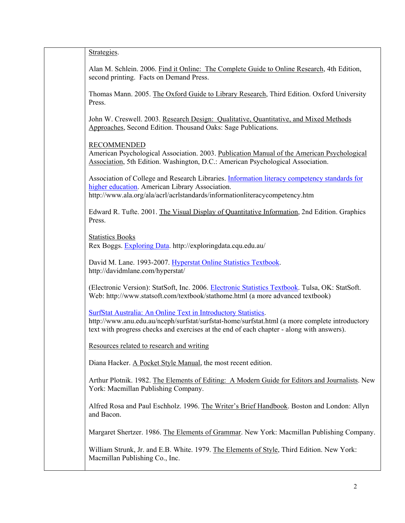| Strategies.                                                                                                                                                                                                                                                   |
|---------------------------------------------------------------------------------------------------------------------------------------------------------------------------------------------------------------------------------------------------------------|
| Alan M. Schlein. 2006. Find it Online: The Complete Guide to Online Research, 4th Edition,<br>second printing. Facts on Demand Press.                                                                                                                         |
| Thomas Mann. 2005. The Oxford Guide to Library Research, Third Edition. Oxford University<br>Press.                                                                                                                                                           |
| John W. Creswell. 2003. Research Design: Qualitative, Quantitative, and Mixed Methods<br>Approaches, Second Edition. Thousand Oaks: Sage Publications.                                                                                                        |
| <b>RECOMMENDED</b><br>American Psychological Association. 2003. Publication Manual of the American Psychological<br>Association, 5th Edition. Washington, D.C.: American Psychological Association.                                                           |
| Association of College and Research Libraries. Information literacy competency standards for<br>higher education. American Library Association.<br>http://www.ala.org/ala/acrl/acrlstandards/informationliteracycompetency.htm                                |
| Edward R. Tufte. 2001. The Visual Display of Quantitative Information, 2nd Edition. Graphics<br>Press.                                                                                                                                                        |
| <b>Statistics Books</b><br>Rex Boggs. Exploring Data. http://exploringdata.cqu.edu.au/                                                                                                                                                                        |
| David M. Lane. 1993-2007. Hyperstat Online Statistics Textbook.<br>http://davidmlane.com/hyperstat/                                                                                                                                                           |
| (Electronic Version): StatSoft, Inc. 2006. Electronic Statistics Textbook. Tulsa, OK: StatSoft.<br>Web: http://www.statsoft.com/textbook/stathome.html (a more advanced textbook)                                                                             |
| SurfStat Australia: An Online Text in Introductory Statistics.<br>http://www.anu.edu.au/nceph/surfstat/surfstat-home/surfstat.html (a more complete introductory<br>text with progress checks and exercises at the end of each chapter - along with answers). |
| Resources related to research and writing                                                                                                                                                                                                                     |
| Diana Hacker. A Pocket Style Manual, the most recent edition.                                                                                                                                                                                                 |
| Arthur Plotnik. 1982. The Elements of Editing: A Modern Guide for Editors and Journalists. New<br>York: Macmillan Publishing Company.                                                                                                                         |
| Alfred Rosa and Paul Eschholz. 1996. The Writer's Brief Handbook. Boston and London: Allyn<br>and Bacon.                                                                                                                                                      |
| Margaret Shertzer. 1986. The Elements of Grammar. New York: Macmillan Publishing Company.                                                                                                                                                                     |
| William Strunk, Jr. and E.B. White. 1979. The Elements of Style, Third Edition. New York:<br>Macmillan Publishing Co., Inc.                                                                                                                                   |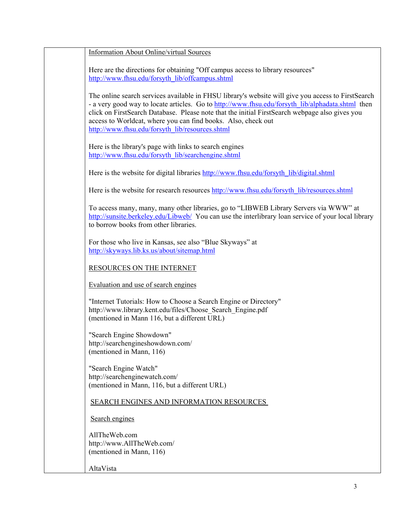| <b>Information About Online/virtual Sources</b>                                                                                                                                                                                                                                                                                                                                                                              |
|------------------------------------------------------------------------------------------------------------------------------------------------------------------------------------------------------------------------------------------------------------------------------------------------------------------------------------------------------------------------------------------------------------------------------|
| Here are the directions for obtaining "Off campus access to library resources"<br>http://www.fhsu.edu/forsyth_lib/offcampus.shtml                                                                                                                                                                                                                                                                                            |
| The online search services available in FHSU library's website will give you access to FirstSearch<br>- a very good way to locate articles. Go to http://www.fhsu.edu/forsyth lib/alphadata.shtml then<br>click on FirstSearch Database. Please note that the initial FirstSearch webpage also gives you<br>access to Worldcat, where you can find books. Also, check out<br>http://www.fhsu.edu/forsyth_lib/resources.shtml |
| Here is the library's page with links to search engines<br>http://www.fhsu.edu/forsyth_lib/searchengine.shtml                                                                                                                                                                                                                                                                                                                |
| Here is the website for digital libraries http://www.fhsu.edu/forsyth lib/digital.shtml                                                                                                                                                                                                                                                                                                                                      |
| Here is the website for research resources http://www.fhsu.edu/forsyth lib/resources.shtml                                                                                                                                                                                                                                                                                                                                   |
| To access many, many, many other libraries, go to "LIBWEB Library Servers via WWW" at<br>http://sunsite.berkeley.edu/Libweb/ You can use the interlibrary loan service of your local library<br>to borrow books from other libraries.                                                                                                                                                                                        |
| For those who live in Kansas, see also "Blue Skyways" at<br>http://skyways.lib.ks.us/about/sitemap.html                                                                                                                                                                                                                                                                                                                      |
| RESOURCES ON THE INTERNET                                                                                                                                                                                                                                                                                                                                                                                                    |
| Evaluation and use of search engines                                                                                                                                                                                                                                                                                                                                                                                         |
| "Internet Tutorials: How to Choose a Search Engine or Directory"<br>http://www.library.kent.edu/files/Choose Search Engine.pdf<br>(mentioned in Mann 116, but a different URL)                                                                                                                                                                                                                                               |
| "Search Engine Showdown"<br>http://searchengineshowdown.com/<br>(mentioned in Mann, 116)                                                                                                                                                                                                                                                                                                                                     |
| "Search Engine Watch"<br>http://searchenginewatch.com/<br>(mentioned in Mann, 116, but a different URL)                                                                                                                                                                                                                                                                                                                      |
| SEARCH ENGINES AND INFORMATION RESOURCES                                                                                                                                                                                                                                                                                                                                                                                     |
| Search engines                                                                                                                                                                                                                                                                                                                                                                                                               |
| AllTheWeb.com<br>http://www.AllTheWeb.com/<br>(mentioned in Mann, 116)                                                                                                                                                                                                                                                                                                                                                       |
| AltaVista                                                                                                                                                                                                                                                                                                                                                                                                                    |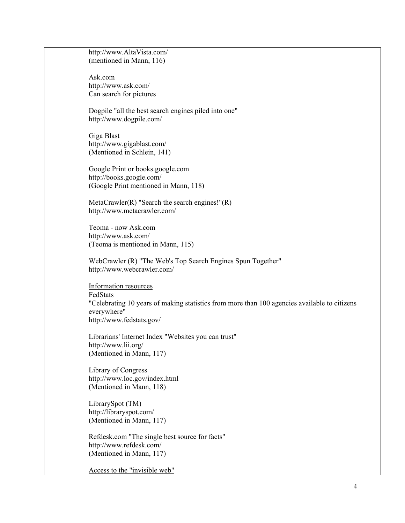| http://www.AltaVista.com/                                                                    |
|----------------------------------------------------------------------------------------------|
| (mentioned in Mann, 116)                                                                     |
|                                                                                              |
| Ask.com                                                                                      |
| http://www.ask.com/                                                                          |
| Can search for pictures                                                                      |
|                                                                                              |
| Dogpile "all the best search engines piled into one"                                         |
| http://www.dogpile.com/                                                                      |
|                                                                                              |
| Giga Blast                                                                                   |
| http://www.gigablast.com/                                                                    |
| (Mentioned in Schlein, 141)                                                                  |
|                                                                                              |
| Google Print or books.google.com                                                             |
| http://books.google.com/                                                                     |
| (Google Print mentioned in Mann, 118)                                                        |
|                                                                                              |
| MetaCrawler(R) "Search the search engines!" $(R)$                                            |
| http://www.metacrawler.com/                                                                  |
| Teoma - now Ask.com                                                                          |
| http://www.ask.com/                                                                          |
|                                                                                              |
| (Teoma is mentioned in Mann, 115)                                                            |
| WebCrawler (R) "The Web's Top Search Engines Spun Together"                                  |
| http://www.webcrawler.com/                                                                   |
|                                                                                              |
| Information resources                                                                        |
| FedStats                                                                                     |
| "Celebrating 10 years of making statistics from more than 100 agencies available to citizens |
| everywhere"                                                                                  |
| http://www.fedstats.gov/                                                                     |
|                                                                                              |
| Librarians' Internet Index "Websites you can trust"                                          |
| http://www.lii.org/                                                                          |
| (Mentioned in Mann, 117)                                                                     |
|                                                                                              |
| Library of Congress                                                                          |
| http://www.loc.gov/index.html                                                                |
| (Mentioned in Mann, 118)                                                                     |
|                                                                                              |
| LibrarySpot (TM)                                                                             |
| http://libraryspot.com/                                                                      |
| (Mentioned in Mann, 117)                                                                     |
|                                                                                              |
| Refdesk.com "The single best source for facts"                                               |
| http://www.refdesk.com/                                                                      |
| (Mentioned in Mann, 117)                                                                     |
|                                                                                              |
| Access to the "invisible web"                                                                |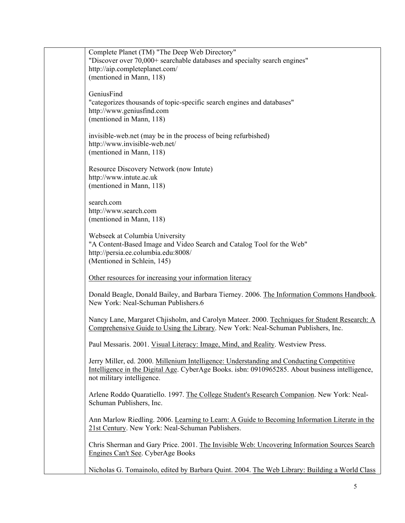| Complete Planet (TM) "The Deep Web Directory"                                                                                                                                                                                                                                                                                                                                           |
|-----------------------------------------------------------------------------------------------------------------------------------------------------------------------------------------------------------------------------------------------------------------------------------------------------------------------------------------------------------------------------------------|
| "Discover over 70,000+ searchable databases and specialty search engines"                                                                                                                                                                                                                                                                                                               |
| http://aip.completeplanet.com/                                                                                                                                                                                                                                                                                                                                                          |
| (mentioned in Mann, 118)                                                                                                                                                                                                                                                                                                                                                                |
| GeniusFind                                                                                                                                                                                                                                                                                                                                                                              |
| "categorizes thousands of topic-specific search engines and databases"                                                                                                                                                                                                                                                                                                                  |
| http://www.geniusfind.com                                                                                                                                                                                                                                                                                                                                                               |
| (mentioned in Mann, 118)                                                                                                                                                                                                                                                                                                                                                                |
|                                                                                                                                                                                                                                                                                                                                                                                         |
| invisible-web.net (may be in the process of being refurbished)                                                                                                                                                                                                                                                                                                                          |
| http://www.invisible-web.net/                                                                                                                                                                                                                                                                                                                                                           |
| (mentioned in Mann, 118)                                                                                                                                                                                                                                                                                                                                                                |
|                                                                                                                                                                                                                                                                                                                                                                                         |
| Resource Discovery Network (now Intute)                                                                                                                                                                                                                                                                                                                                                 |
| http://www.intute.ac.uk                                                                                                                                                                                                                                                                                                                                                                 |
| (mentioned in Mann, 118)                                                                                                                                                                                                                                                                                                                                                                |
|                                                                                                                                                                                                                                                                                                                                                                                         |
| search.com                                                                                                                                                                                                                                                                                                                                                                              |
| http://www.search.com                                                                                                                                                                                                                                                                                                                                                                   |
| (mentioned in Mann, 118)                                                                                                                                                                                                                                                                                                                                                                |
|                                                                                                                                                                                                                                                                                                                                                                                         |
| Webseek at Columbia University                                                                                                                                                                                                                                                                                                                                                          |
| "A Content-Based Image and Video Search and Catalog Tool for the Web"<br>http://persia.ee.columbia.edu:8008/                                                                                                                                                                                                                                                                            |
| (Mentioned in Schlein, 145)                                                                                                                                                                                                                                                                                                                                                             |
|                                                                                                                                                                                                                                                                                                                                                                                         |
| Other resources for increasing your information literacy                                                                                                                                                                                                                                                                                                                                |
|                                                                                                                                                                                                                                                                                                                                                                                         |
| Donald Beagle, Donald Bailey, and Barbara Tierney. 2006. The Information Commons Handbook.                                                                                                                                                                                                                                                                                              |
| New York: Neal-Schuman Publishers.6                                                                                                                                                                                                                                                                                                                                                     |
|                                                                                                                                                                                                                                                                                                                                                                                         |
| Nancy Lane, Margaret Chjisholm, and Carolyn Mateer. 2000. Techniques for Student Research: A                                                                                                                                                                                                                                                                                            |
| Comprehensive Guide to Using the Library. New York: Neal-Schuman Publishers, Inc.                                                                                                                                                                                                                                                                                                       |
| Paul Messaris. 2001. Visual Literacy: Image, Mind, and Reality. Westview Press.                                                                                                                                                                                                                                                                                                         |
|                                                                                                                                                                                                                                                                                                                                                                                         |
| Jerry Miller, ed. 2000. Millenium Intelligence: Understanding and Conducting Competitive                                                                                                                                                                                                                                                                                                |
| Intelligence in the Digital Age. CyberAge Books. isbn: 0910965285. About business intelligence,                                                                                                                                                                                                                                                                                         |
| not military intelligence.                                                                                                                                                                                                                                                                                                                                                              |
|                                                                                                                                                                                                                                                                                                                                                                                         |
| Arlene Roddo Quaratiello. 1997. The College Student's Research Companion. New York: Neal-                                                                                                                                                                                                                                                                                               |
| Schuman Publishers, Inc.                                                                                                                                                                                                                                                                                                                                                                |
|                                                                                                                                                                                                                                                                                                                                                                                         |
|                                                                                                                                                                                                                                                                                                                                                                                         |
|                                                                                                                                                                                                                                                                                                                                                                                         |
|                                                                                                                                                                                                                                                                                                                                                                                         |
|                                                                                                                                                                                                                                                                                                                                                                                         |
|                                                                                                                                                                                                                                                                                                                                                                                         |
|                                                                                                                                                                                                                                                                                                                                                                                         |
| Ann Marlow Riedling. 2006. Learning to Learn: A Guide to Becoming Information Literate in the<br>21st Century. New York: Neal-Schuman Publishers.<br>Chris Sherman and Gary Price. 2001. The Invisible Web: Uncovering Information Sources Search<br>Engines Can't See. CyberAge Books<br>Nicholas G. Tomainolo, edited by Barbara Quint. 2004. The Web Library: Building a World Class |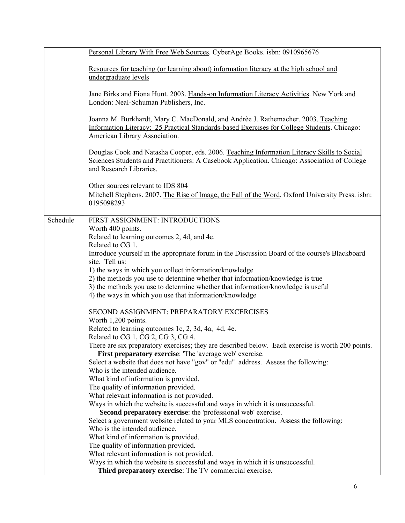|          | Personal Library With Free Web Sources. CyberAge Books. isbn: 0910965676                                         |
|----------|------------------------------------------------------------------------------------------------------------------|
|          |                                                                                                                  |
|          | Resources for teaching (or learning about) information literacy at the high school and                           |
|          | undergraduate levels                                                                                             |
|          |                                                                                                                  |
|          | Jane Birks and Fiona Hunt. 2003. Hands-on Information Literacy Activities. New York and                          |
|          | London: Neal-Schuman Publishers, Inc.                                                                            |
|          |                                                                                                                  |
|          | Joanna M. Burkhardt, Mary C. MacDonald, and Andrèe J. Rathemacher. 2003. Teaching                                |
|          | Information Literacy: 25 Practical Standards-based Exercises for College Students. Chicago:                      |
|          | American Library Association.                                                                                    |
|          |                                                                                                                  |
|          | Douglas Cook and Natasha Cooper, eds. 2006. Teaching Information Literacy Skills to Social                       |
|          | Sciences Students and Practitioners: A Casebook Application. Chicago: Association of College                     |
|          | and Research Libraries.                                                                                          |
|          |                                                                                                                  |
|          | Other sources relevant to IDS 804                                                                                |
|          | Mitchell Stephens. 2007. The Rise of Image, the Fall of the Word. Oxford University Press. isbn:                 |
|          | 0195098293                                                                                                       |
|          |                                                                                                                  |
| Schedule | FIRST ASSIGNMENT: INTRODUCTIONS                                                                                  |
|          | Worth 400 points.                                                                                                |
|          | Related to learning outcomes 2, 4d, and 4e.                                                                      |
|          | Related to CG 1.                                                                                                 |
|          | Introduce yourself in the appropriate forum in the Discussion Board of the course's Blackboard<br>site. Tell us: |
|          | 1) the ways in which you collect information/knowledge                                                           |
|          | 2) the methods you use to determine whether that information/knowledge is true                                   |
|          | 3) the methods you use to determine whether that information/knowledge is useful                                 |
|          | 4) the ways in which you use that information/knowledge                                                          |
|          |                                                                                                                  |
|          | SECOND ASSIGNMENT: PREPARATORY EXCERCISES                                                                        |
|          | Worth 1,200 points.                                                                                              |
|          | Related to learning outcomes 1c, 2, 3d, 4a, 4d, 4e.                                                              |
|          | Related to CG 1, CG 2, CG 3, CG 4.                                                                               |
|          | There are six preparatory exercises; they are described below. Each exercise is worth 200 points.                |
|          | First preparatory exercise: 'The 'average web' exercise.                                                         |
|          | Select a website that does not have "gov" or "edu" address. Assess the following:                                |
|          | Who is the intended audience.                                                                                    |
|          | What kind of information is provided.                                                                            |
|          | The quality of information provided.                                                                             |
|          | What relevant information is not provided.                                                                       |
|          | Ways in which the website is successful and ways in which it is unsuccessful.                                    |
|          | Second preparatory exercise: the 'professional web' exercise.                                                    |
|          | Select a government website related to your MLS concentration. Assess the following:                             |
|          | Who is the intended audience.                                                                                    |
|          | What kind of information is provided.                                                                            |
|          | The quality of information provided.                                                                             |
|          | What relevant information is not provided.                                                                       |
|          | Ways in which the website is successful and ways in which it is unsuccessful.                                    |
|          | Third preparatory exercise: The TV commercial exercise.                                                          |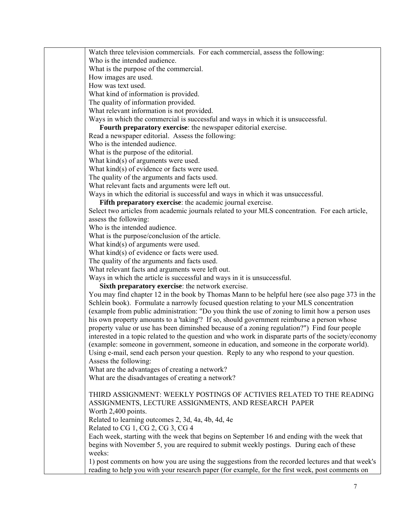Watch three television commercials. For each commercial, assess the following:

Who is the intended audience.

What is the purpose of the commercial.

How images are used.

How was text used.

What kind of information is provided.

The quality of information provided.

What relevant information is not provided.

Ways in which the commercial is successful and ways in which it is unsuccessful.

**Fourth preparatory exercise**: the newspaper editorial exercise.

Read a newspaper editorial. Assess the following:

Who is the intended audience.

What is the purpose of the editorial.

What kind(s) of arguments were used.

What kind(s) of evidence or facts were used.

The quality of the arguments and facts used.

What relevant facts and arguments were left out.

Ways in which the editorial is successful and ways in which it was unsuccessful.

**Fifth preparatory exercise**: the academic journal exercise.

Select two articles from academic journals related to your MLS concentration. For each article, assess the following:

Who is the intended audience.

What is the purpose/conclusion of the article.

What kind(s) of arguments were used.

What kind(s) of evidence or facts were used.

The quality of the arguments and facts used.

What relevant facts and arguments were left out.

Ways in which the article is successful and ways in it is unsuccessful.

**Sixth preparatory exercise**: the network exercise.

You may find chapter 12 in the book by Thomas Mann to be helpful here (see also page 373 in the Schlein book). Formulate a narrowly focused question relating to your MLS concentration (example from public administration: "Do you think the use of zoning to limit how a person uses his own property amounts to a 'taking'? If so, should government reimburse a person whose property value or use has been diminshed because of a zoning regulation?") Find four people interested in a topic related to the question and who work in disparate parts of the society/economy (example: someone in government, someone in education, and someone in the corporate world). Using e-mail, send each person your question. Reply to any who respond to your question. Assess the following:

What are the advantages of creating a network?

What are the disadvantages of creating a network?

# THIRD ASSIGNMENT: WEEKLY POSTINGS OF ACTIVIES RELATED TO THE READING ASSIGNMENTS, LECTURE ASSIGNMENTS, AND RESEARCH PAPER

Worth 2,400 points.

Related to learning outcomes 2, 3d, 4a, 4b, 4d, 4e

Related to CG 1, CG 2, CG 3, CG 4

Each week, starting with the week that begins on September 16 and ending with the week that begins with November 5, you are required to submit weekly postings. During each of these weeks:

1) post comments on how you are using the suggestions from the recorded lectures and that week's reading to help you with your research paper (for example, for the first week, post comments on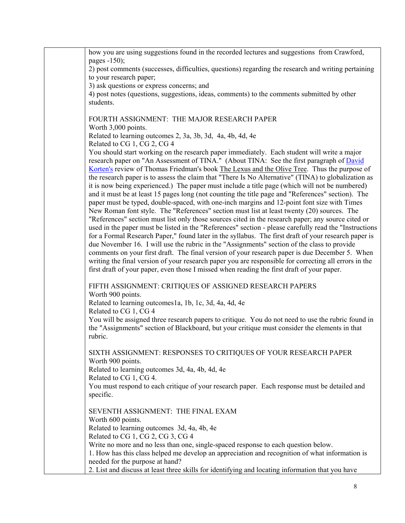| how you are using suggestions found in the recorded lectures and suggestions from Crawford,                                                                                                                     |
|-----------------------------------------------------------------------------------------------------------------------------------------------------------------------------------------------------------------|
| pages $-150$ ;                                                                                                                                                                                                  |
| 2) post comments (successes, difficulties, questions) regarding the research and writing pertaining                                                                                                             |
| to your research paper;<br>3) ask questions or express concerns; and                                                                                                                                            |
| 4) post notes (questions, suggestions, ideas, comments) to the comments submitted by other                                                                                                                      |
| students.                                                                                                                                                                                                       |
|                                                                                                                                                                                                                 |
| FOURTH ASSIGNMENT: THE MAJOR RESEARCH PAPER                                                                                                                                                                     |
| Worth 3,000 points.                                                                                                                                                                                             |
| Related to learning outcomes 2, 3a, 3b, 3d, 4a, 4b, 4d, 4e                                                                                                                                                      |
| Related to CG 1, CG 2, CG 4                                                                                                                                                                                     |
| You should start working on the research paper immediately. Each student will write a major                                                                                                                     |
| research paper on "An Assessment of TINA." (About TINA: See the first paragraph of David<br><u>Korten's</u> review of Thomas Friedman's book <b>The Lexus and the Olive Tree</b> . Thus the purpose of          |
| the research paper is to assess the claim that "There Is No Alternative" (TINA) to globalization as                                                                                                             |
| it is now being experienced.) The paper must include a title page (which will not be numbered)                                                                                                                  |
| and it must be at least 15 pages long (not counting the title page and "References" section). The                                                                                                               |
| paper must be typed, double-spaced, with one-inch margins and 12-point font size with Times                                                                                                                     |
| New Roman font style. The "References" section must list at least twenty (20) sources. The                                                                                                                      |
| "References" section must list only those sources cited in the research paper; any source cited or                                                                                                              |
| used in the paper must be listed in the "References" section - please carefully read the "Instructions"<br>for a Formal Research Paper," found later in the syllabus. The first draft of your research paper is |
| due November 16. I will use the rubric in the "Assignments" section of the class to provide                                                                                                                     |
| comments on your first draft. The final version of your research paper is due December 5. When                                                                                                                  |
| writing the final version of your research paper you are responsible for correcting all errors in the                                                                                                           |
| first draft of your paper, even those I missed when reading the first draft of your paper.                                                                                                                      |
| FIFTH ASSIGNMENT: CRITIQUES OF ASSIGNED RESEARCH PAPERS                                                                                                                                                         |
| Worth 900 points.                                                                                                                                                                                               |
| Related to learning outcomes1a, 1b, 1c, 3d, 4a, 4d, 4e                                                                                                                                                          |
| Related to CG 1, CG 4                                                                                                                                                                                           |
| You will be assigned three research papers to critique. You do not need to use the rubric found in                                                                                                              |
| the "Assignments" section of Blackboard, but your critique must consider the elements in that                                                                                                                   |
| rubric.                                                                                                                                                                                                         |
| SIXTH ASSIGNMENT: RESPONSES TO CRITIQUES OF YOUR RESEARCH PAPER                                                                                                                                                 |
| Worth 900 points.                                                                                                                                                                                               |
| Related to learning outcomes 3d, 4a, 4b, 4d, 4e                                                                                                                                                                 |
| Related to CG 1, CG 4.                                                                                                                                                                                          |
| You must respond to each critique of your research paper. Each response must be detailed and                                                                                                                    |
| specific.                                                                                                                                                                                                       |
| SEVENTH ASSIGNMENT: THE FINAL EXAM                                                                                                                                                                              |
| Worth 600 points.                                                                                                                                                                                               |
| Related to learning outcomes 3d, 4a, 4b, 4e                                                                                                                                                                     |
| Related to CG 1, CG 2, CG 3, CG 4                                                                                                                                                                               |
| Write no more and no less than one, single-spaced response to each question below.                                                                                                                              |
| 1. How has this class helped me develop an appreciation and recognition of what information is                                                                                                                  |
| needed for the purpose at hand?                                                                                                                                                                                 |
| 2. List and discuss at least three skills for identifying and locating information that you have                                                                                                                |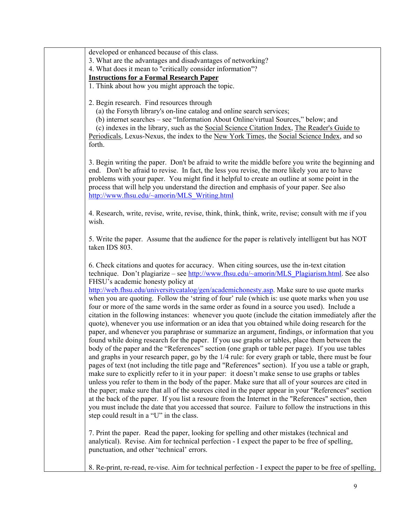developed or enhanced because of this class.

3. What are the advantages and disadvantages of networking?

4. What does it mean to "critically consider information"?

**Instructions for a Formal Research Paper**

1. Think about how you might approach the topic.

2. Begin research. Find resources through

(a) the Forsyth library's on-line catalog and online search services;

(b) internet searches – see "Information About Online/virtual Sources," below; and

 (c) indexes in the library, such as the Social Science Citation Index, The Reader's Guide to Periodicals, Lexus-Nexus, the index to the New York Times, the Social Science Index, and so forth.

3. Begin writing the paper. Don't be afraid to write the middle before you write the beginning and end. Don't be afraid to revise. In fact, the less you revise, the more likely you are to have problems with your paper. You might find it helpful to create an outline at some point in the process that will help you understand the direction and emphasis of your paper. See also [http://www.fhsu.edu/~amorin/MLS\\_Writing.html](http://www.fhsu.edu/%7Eamorin/MLS_Writing.html)

4. Research, write, revise, write, revise, think, think, think, write, revise; consult with me if you wish.

5. Write the paper. Assume that the audience for the paper is relatively intelligent but has NOT taken IDS 803.

6. Check citations and quotes for accuracy. When citing sources, use the in-text citation technique. Don't plagiarize – see [http://www.fhsu.edu/~amorin/MLS\\_Plagiarism.html.](http://www.fhsu.edu/%7Eamorin/MLS_Plagiarism.html) See also FHSU's academic honesty policy at

<http://web.fhsu.edu/universitycatalog/gen/academichonesty.asp>. Make sure to use quote marks when you are quoting. Follow the 'string of four' rule (which is: use quote marks when you use four or more of the same words in the same order as found in a source you used). Include a citation in the following instances: whenever you quote (include the citation immediately after the quote), whenever you use information or an idea that you obtained while doing research for the paper, and whenever you paraphrase or summarize an argument, findings, or information that you found while doing research for the paper. If you use graphs or tables, place them between the body of the paper and the "References" section (one graph or table per page). If you use tables and graphs in your research paper, go by the 1/4 rule: for every graph or table, there must be four pages of text (not including the title page and "References" section). If you use a table or graph, make sure to explicitly refer to it in your paper: it doesn't make sense to use graphs or tables unless you refer to them in the body of the paper. Make sure that all of your sources are cited in the paper; make sure that all of the sources cited in the paper appear in your "References" section at the back of the paper. If you list a resoure from the Internet in the "References" section, then you must include the date that you accessed that source. Failure to follow the instructions in this step could result in a "U" in the class.

7. Print the paper. Read the paper, looking for spelling and other mistakes (technical and analytical). Revise. Aim for technical perfection - I expect the paper to be free of spelling, punctuation, and other 'technical' errors.

8. Re-print, re-read, re-vise. Aim for technical perfection - I expect the paper to be free of spelling,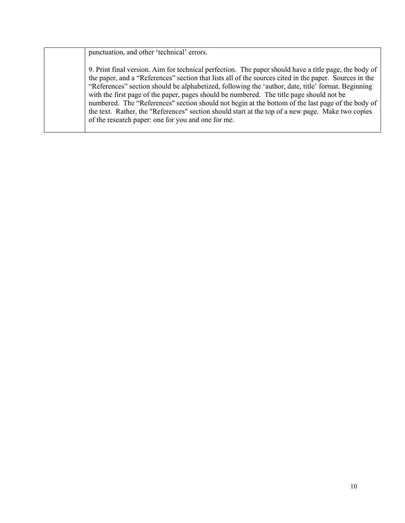punctuation, and other 'technical' errors.

9. Print final version. Aim for technical perfection. The paper should have a title page, the body of the paper, and a "References" section that lists all of the sources cited in the paper. Sources in the "References" section should be alphabetized, following the 'author, date, title' format. Beginning with the first page of the paper, pages should be numbered. The title page should not be numbered. The "References" section should not begin at the bottom of the last page of the body of the text. Rather, the "References" section should start at the top of a new page. Make two copies of the research paper: one for you and one for me.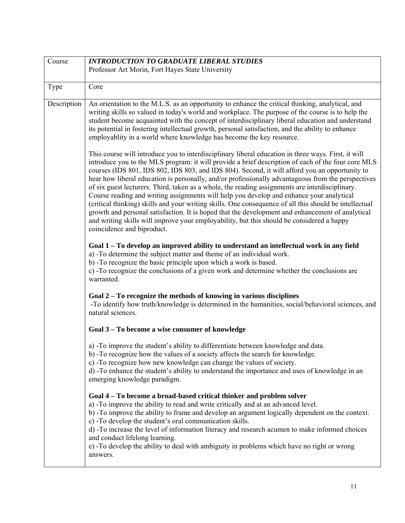<span id="page-16-0"></span>

| Course      | <b>INTRODUCTION TO GRADUATE LIBERAL STUDIES</b>                                                                                                                                                                                                                                                                                                                                                                                                                                                                                                                                                                                                                                                                                                                                                                                                                                                                                                           |
|-------------|-----------------------------------------------------------------------------------------------------------------------------------------------------------------------------------------------------------------------------------------------------------------------------------------------------------------------------------------------------------------------------------------------------------------------------------------------------------------------------------------------------------------------------------------------------------------------------------------------------------------------------------------------------------------------------------------------------------------------------------------------------------------------------------------------------------------------------------------------------------------------------------------------------------------------------------------------------------|
|             | Professor Art Morin, Fort Hayes State University                                                                                                                                                                                                                                                                                                                                                                                                                                                                                                                                                                                                                                                                                                                                                                                                                                                                                                          |
|             |                                                                                                                                                                                                                                                                                                                                                                                                                                                                                                                                                                                                                                                                                                                                                                                                                                                                                                                                                           |
| Type        | Core                                                                                                                                                                                                                                                                                                                                                                                                                                                                                                                                                                                                                                                                                                                                                                                                                                                                                                                                                      |
| Description | An orientation to the M.L.S. as an opportunity to enhance the critical thinking, analytical, and<br>writing skills so valued in today's world and workplace. The purpose of the course is to help the<br>student become acquainted with the concept of interdisciplinary liberal education and understand<br>its potential in fostering intellectual growth, personal satisfaction, and the ability to enhance<br>employablity in a world where knowledge has become the key resource.                                                                                                                                                                                                                                                                                                                                                                                                                                                                    |
|             | This course will introduce you to interdisciplinary liberal education in three ways. First, it will<br>introduce you to the MLS program: it will provide a brief description of each of the four core MLS<br>courses (IDS 801, IDS 802, IDS 803, and IDS 804). Second, it will afford you an opportunity to<br>hear how liberal education is personally, and/or professionally advantageous from the perspectives<br>of six guest lecturers. Third, taken as a whole, the reading assignments are interdisciplinary.<br>Course reading and writing assignments will help you develop and enhance your analytical<br>(critical thinking) skills and your writing skills. One consequence of all this should be intellectual<br>growth and personal satisfaction. It is hoped that the development and enhancement of analytical<br>and writing skills will improve your employability, but this should be considered a happy<br>coincidence and biproduct. |
|             | Goal 1 – To develop an improved ability to understand an intellectual work in any field<br>a) -To determine the subject matter and theme of an individual work.<br>b) -To recognize the basic principle upon which a work is based.<br>c) -To recognize the conclusions of a given work and determine whether the conclusions are<br>warranted.                                                                                                                                                                                                                                                                                                                                                                                                                                                                                                                                                                                                           |
|             | Goal 2 – To recognize the methods of knowing in various disciplines<br>-To identify how truth/knowledge is determined in the humanities, social/behavioral sciences, and<br>natural sciences.                                                                                                                                                                                                                                                                                                                                                                                                                                                                                                                                                                                                                                                                                                                                                             |
|             | Goal 3 - To become a wise consumer of knowledge                                                                                                                                                                                                                                                                                                                                                                                                                                                                                                                                                                                                                                                                                                                                                                                                                                                                                                           |
|             | a) -To improve the student's ability to differentiate between knowledge and data.<br>b) -To recognize how the values of a society affects the search for knowledge.<br>c) -To recognize how new knowledge can change the values of society.<br>d) -To enhance the student's ability to understand the importance and uses of knowledge in an<br>emerging knowledge paradigm.                                                                                                                                                                                                                                                                                                                                                                                                                                                                                                                                                                              |
|             | Goal 4 – To become a broad-based critical thinker and problem solver<br>a) -To improve the ability to read and write critically and at an advanced level.<br>b) -To improve the ability to frame and develop an argument logically dependent on the context.<br>c) -To develop the student's oral communication skills.<br>d) -To increase the level of information literacy and research acumen to make informed choices<br>and conduct lifelong learning.<br>e) -To develop the ability to deal with ambiguity in problems which have no right or wrong<br>answers.                                                                                                                                                                                                                                                                                                                                                                                     |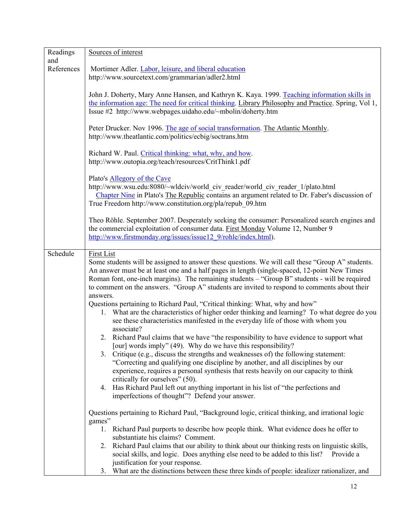| Readings   | Sources of interest                                                                                                                                                                                                                                                           |
|------------|-------------------------------------------------------------------------------------------------------------------------------------------------------------------------------------------------------------------------------------------------------------------------------|
| and        |                                                                                                                                                                                                                                                                               |
| References | Mortimer Adler. Labor, leisure, and liberal education                                                                                                                                                                                                                         |
|            | http://www.sourcetext.com/grammarian/adler2.html                                                                                                                                                                                                                              |
|            | John J. Doherty, Mary Anne Hansen, and Kathryn K. Kaya. 1999. Teaching information skills in<br>the information age: The need for critical thinking. Library Philosophy and Practice. Spring, Vol 1,<br>Issue #2 http://www.webpages.uidaho.edu/~mbolin/doherty.htm           |
|            | Peter Drucker. Nov 1996. The age of social transformation. The Atlantic Monthly.<br>http://www.theatlantic.com/politics/ecbig/soctrans.htm                                                                                                                                    |
|            | Richard W. Paul. Critical thinking: what, why, and how.<br>http://www.outopia.org/teach/resources/CritThink1.pdf                                                                                                                                                              |
|            | Plato's Allegory of the Cave<br>http://www.wsu.edu:8080/~wldciv/world civ reader/world civ reader 1/plato.html<br>Chapter Nine in Plato's The Republic contains an argument related to Dr. Faber's discussion of<br>True Freedom http://www.constitution.org/pla/repub 09.htm |
|            | Theo Röhle. September 2007. Desperately seeking the consumer: Personalized search engines and<br>the commercial exploitation of consumer data. First Monday Volume 12, Number 9<br>http://www.firstmonday.org/issues/issue12 9/rohle/index.html).                             |
| Schedule   | <b>First List</b>                                                                                                                                                                                                                                                             |
|            | Some students will be assigned to answer these questions. We will call these "Group A" students.                                                                                                                                                                              |
|            | An answer must be at least one and a half pages in length (single-spaced, 12-point New Times                                                                                                                                                                                  |
|            | Roman font, one-inch margins). The remaining students - "Group B" students - will be required                                                                                                                                                                                 |
|            | to comment on the answers. "Group A" students are invited to respond to comments about their                                                                                                                                                                                  |
|            | answers.                                                                                                                                                                                                                                                                      |
|            | Questions pertaining to Richard Paul, "Critical thinking: What, why and how"<br>1. What are the characteristics of higher order thinking and learning? To what degree do you<br>see these characteristics manifested in the everyday life of those with whom you              |
|            | associate?<br>2. Richard Paul claims that we have "the responsibility to have evidence to support what                                                                                                                                                                        |
|            | [our] words imply" (49). Why do we have this responsibility?                                                                                                                                                                                                                  |
|            | 3. Critique (e.g., discuss the strengths and weaknesses of) the following statement:                                                                                                                                                                                          |
|            | "Correcting and qualifying one discipline by another, and all disciplines by our                                                                                                                                                                                              |
|            | experience, requires a personal synthesis that rests heavily on our capacity to think                                                                                                                                                                                         |
|            | critically for ourselves" (50).                                                                                                                                                                                                                                               |
|            | Has Richard Paul left out anything important in his list of "the perfections and<br>4.                                                                                                                                                                                        |
|            | imperfections of thought"? Defend your answer.                                                                                                                                                                                                                                |
|            | Questions pertaining to Richard Paul, "Background logic, critical thinking, and irrational logic<br>games"                                                                                                                                                                    |
|            | 1. Richard Paul purports to describe how people think. What evidence does he offer to                                                                                                                                                                                         |
|            | substantiate his claims? Comment.                                                                                                                                                                                                                                             |
|            | 2. Richard Paul claims that our ability to think about our thinking rests on linguistic skills,<br>social skills, and logic. Does anything else need to be added to this list?<br>Provide a                                                                                   |
|            | justification for your response.                                                                                                                                                                                                                                              |
|            | What are the distinctions between these three kinds of people: idealizer rationalizer, and<br>3 <sub>1</sub>                                                                                                                                                                  |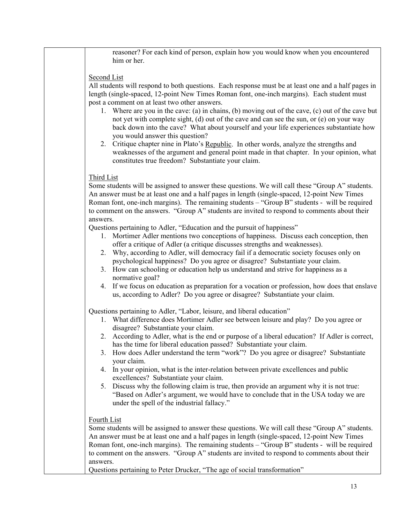reasoner? For each kind of person, explain how you would know when you encountered him or her.

#### Second List

All students will respond to both questions. Each response must be at least one and a half pages in length (single-spaced, 12-point New Times Roman font, one-inch margins). Each student must post a comment on at least two other answers.

- 1. Where are you in the cave: (a) in chains, (b) moving out of the cave, (c) out of the cave but not yet with complete sight, (d) out of the cave and can see the sun, or (e) on your way back down into the cave? What about yourself and your life experiences substantiate how you would answer this question?
- 2. Critique chapter nine in Plato's Republic. In other words, analyze the strengths and weaknesses of the argument and general point made in that chapter. In your opinion, what constitutes true freedom? Substantiate your claim.

## Third List

Some students will be assigned to answer these questions. We will call these "Group A" students. An answer must be at least one and a half pages in length (single-spaced, 12-point New Times Roman font, one-inch margins). The remaining students – "Group B" students - will be required to comment on the answers. "Group A" students are invited to respond to comments about their answers.

Questions pertaining to Adler, "Education and the pursuit of happiness"

- 1. Mortimer Adler mentions two conceptions of happiness. Discuss each conception, then offer a critique of Adler (a critique discusses strengths and weaknesses).
- 2. Why, according to Adler, will democracy fail if a democratic society focuses only on psychological happiness? Do you agree or disagree? Substantiate your claim.
- 3. How can schooling or education help us understand and strive for happiness as a normative goal?
- 4. If we focus on education as preparation for a vocation or profession, how does that enslave us, according to Adler? Do you agree or disagree? Substantiate your claim.

Questions pertaining to Adler, "Labor, leisure, and liberal education"

- 1. What difference does Mortimer Adler see between leisure and play? Do you agree or disagree? Substantiate your claim.
- 2. According to Adler, what is the end or purpose of a liberal education? If Adler is correct, has the time for liberal education passed? Substantiate your claim.
- 3. How does Adler understand the term "work"? Do you agree or disagree? Substantiate your claim.
- 4. In your opinion, what is the inter-relation between private excellences and public excellences? Substantiate your claim.
- 5. Discuss why the following claim is true, then provide an argument why it is not true: "Based on Adler's argument, we would have to conclude that in the USA today we are under the spell of the industrial fallacy."

## Fourth List

Some students will be assigned to answer these questions. We will call these "Group A" students. An answer must be at least one and a half pages in length (single-spaced, 12-point New Times Roman font, one-inch margins). The remaining students – "Group B" students - will be required to comment on the answers. "Group A" students are invited to respond to comments about their answers.

Questions pertaining to Peter Drucker, "The age of social transformation"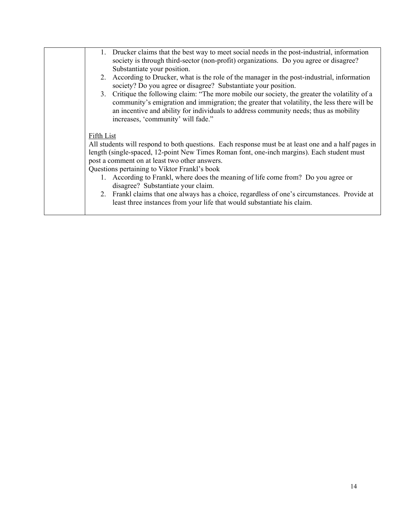|  | 1. Drucker claims that the best way to meet social needs in the post-industrial, information<br>society is through third-sector (non-profit) organizations. Do you agree or disagree?<br>Substantiate your position.                                                                                                                                                                                                                                                                                                                                                                                                   |
|--|------------------------------------------------------------------------------------------------------------------------------------------------------------------------------------------------------------------------------------------------------------------------------------------------------------------------------------------------------------------------------------------------------------------------------------------------------------------------------------------------------------------------------------------------------------------------------------------------------------------------|
|  | 2. According to Drucker, what is the role of the manager in the post-industrial, information<br>society? Do you agree or disagree? Substantiate your position.                                                                                                                                                                                                                                                                                                                                                                                                                                                         |
|  | 3. Critique the following claim: "The more mobile our society, the greater the volatility of a<br>community's emigration and immigration; the greater that volatility, the less there will be<br>an incentive and ability for individuals to address community needs; thus as mobility<br>increases, 'community' will fade."                                                                                                                                                                                                                                                                                           |
|  | Fifth List<br>All students will respond to both questions. Each response must be at least one and a half pages in<br>length (single-spaced, 12-point New Times Roman font, one-inch margins). Each student must<br>post a comment on at least two other answers.<br>Questions pertaining to Viktor Frankl's book<br>1. According to Frankl, where does the meaning of life come from? Do you agree or<br>disagree? Substantiate your claim.<br>2. Frankl claims that one always has a choice, regardless of one's circumstances. Provide at<br>least three instances from your life that would substantiate his claim. |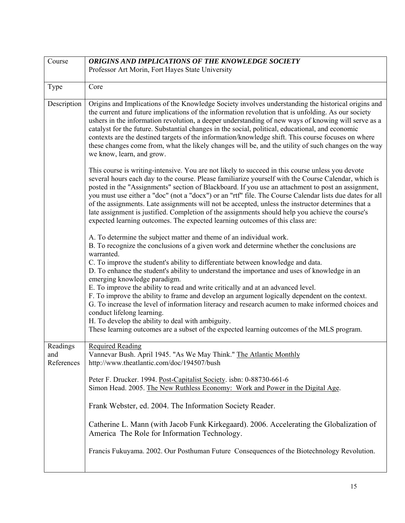<span id="page-20-0"></span>

| Course                        | ORIGINS AND IMPLICATIONS OF THE KNOWLEDGE SOCIETY                                                                                                                                                                                                                                                                                                                                                                                                                                                                                                                                                                                                                                                                                                                                                                                                                              |
|-------------------------------|--------------------------------------------------------------------------------------------------------------------------------------------------------------------------------------------------------------------------------------------------------------------------------------------------------------------------------------------------------------------------------------------------------------------------------------------------------------------------------------------------------------------------------------------------------------------------------------------------------------------------------------------------------------------------------------------------------------------------------------------------------------------------------------------------------------------------------------------------------------------------------|
|                               | Professor Art Morin, Fort Hayes State University                                                                                                                                                                                                                                                                                                                                                                                                                                                                                                                                                                                                                                                                                                                                                                                                                               |
| Type                          | Core                                                                                                                                                                                                                                                                                                                                                                                                                                                                                                                                                                                                                                                                                                                                                                                                                                                                           |
| Description                   | Origins and Implications of the Knowledge Society involves understanding the historical origins and<br>the current and future implications of the information revolution that is unfolding. As our society<br>ushers in the information revolution, a deeper understanding of new ways of knowing will serve as a<br>catalyst for the future. Substantial changes in the social, political, educational, and economic<br>contexts are the destined targets of the information/knowledge shift. This course focuses on where<br>these changes come from, what the likely changes will be, and the utility of such changes on the way<br>we know, learn, and grow.                                                                                                                                                                                                               |
|                               | This course is writing-intensive. You are not likely to succeed in this course unless you devote<br>several hours each day to the course. Please familiarize yourself with the Course Calendar, which is<br>posted in the "Assignments" section of Blackboard. If you use an attachment to post an assignment,<br>you must use either a "doc" (not a "docx") or an "rtf" file. The Course Calendar lists due dates for all<br>of the assignments. Late assignments will not be accepted, unless the instructor determines that a<br>late assignment is justified. Completion of the assignments should help you achieve the course's<br>expected learning outcomes. The expected learning outcomes of this class are:                                                                                                                                                          |
|                               | A. To determine the subject matter and theme of an individual work.<br>B. To recognize the conclusions of a given work and determine whether the conclusions are<br>warranted.<br>C. To improve the student's ability to differentiate between knowledge and data.<br>D. To enhance the student's ability to understand the importance and uses of knowledge in an<br>emerging knowledge paradigm.<br>E. To improve the ability to read and write critically and at an advanced level.<br>F. To improve the ability to frame and develop an argument logically dependent on the context.<br>G. To increase the level of information literacy and research acumen to make informed choices and<br>conduct lifelong learning.<br>H. To develop the ability to deal with ambiguity.<br>These learning outcomes are a subset of the expected learning outcomes of the MLS program. |
| Readings<br>and<br>References | <b>Required Reading</b><br>Vannevar Bush. April 1945. "As We May Think." The Atlantic Monthly<br>http://www.theatlantic.com/doc/194507/bush                                                                                                                                                                                                                                                                                                                                                                                                                                                                                                                                                                                                                                                                                                                                    |
|                               | Peter F. Drucker. 1994. Post-Capitalist Society. isbn: 0-88730-661-6<br>Simon Head. 2005. The New Ruthless Economy: Work and Power in the Digital Age.                                                                                                                                                                                                                                                                                                                                                                                                                                                                                                                                                                                                                                                                                                                         |
|                               | Frank Webster, ed. 2004. The Information Society Reader.                                                                                                                                                                                                                                                                                                                                                                                                                                                                                                                                                                                                                                                                                                                                                                                                                       |
|                               | Catherine L. Mann (with Jacob Funk Kirkegaard). 2006. Accelerating the Globalization of<br>America The Role for Information Technology.                                                                                                                                                                                                                                                                                                                                                                                                                                                                                                                                                                                                                                                                                                                                        |
|                               | Francis Fukuyama. 2002. Our Posthuman Future Consequences of the Biotechnology Revolution.                                                                                                                                                                                                                                                                                                                                                                                                                                                                                                                                                                                                                                                                                                                                                                                     |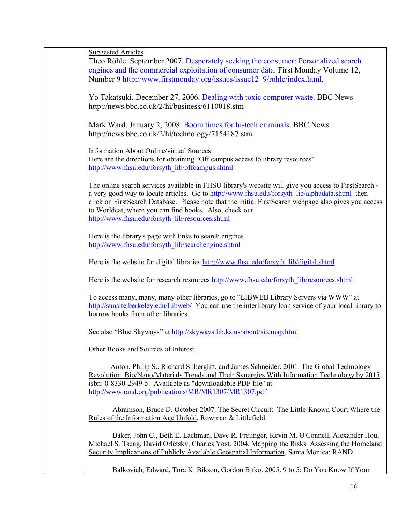$Suggated Article$ 

| Suggested Articles |                                                                                                                                                                                                                                                                                                                                                                                                                              |
|--------------------|------------------------------------------------------------------------------------------------------------------------------------------------------------------------------------------------------------------------------------------------------------------------------------------------------------------------------------------------------------------------------------------------------------------------------|
|                    | Theo Röhle. September 2007. Desperately seeking the consumer: Personalized search<br>engines and the commercial exploitation of consumer data. First Monday Volume 12,<br>Number 9 http://www.firstmonday.org/issues/issue12 9/rohle/index.html.                                                                                                                                                                             |
|                    | Yo Takatsuki. December 27, 2006. Dealing with toxic computer waste. BBC News<br>http://news.bbc.co.uk/2/hi/business/6110018.stm                                                                                                                                                                                                                                                                                              |
|                    | Mark Ward. January 2, 2008. Boom times for hi-tech criminals. BBC News<br>http://news.bbc.co.uk/2/hi/technology/7154187.stm                                                                                                                                                                                                                                                                                                  |
|                    | <b>Information About Online/virtual Sources</b><br>Here are the directions for obtaining "Off campus access to library resources"<br>http://www.fhsu.edu/forsyth_lib/offcampus.shtml                                                                                                                                                                                                                                         |
|                    | The online search services available in FHSU library's website will give you access to FirstSearch -<br>a very good way to locate articles. Go to http://www.fhsu.edu/forsyth lib/alphadata.shtml then<br>click on FirstSearch Database. Please note that the initial FirstSearch webpage also gives you access<br>to Worldcat, where you can find books. Also, check out<br>http://www.fhsu.edu/forsyth_lib/resources.shtml |
|                    | Here is the library's page with links to search engines<br>http://www.fhsu.edu/forsyth_lib/searchengine.shtml                                                                                                                                                                                                                                                                                                                |
|                    | Here is the website for digital libraries http://www.fhsu.edu/forsyth lib/digital.shtml                                                                                                                                                                                                                                                                                                                                      |
|                    | Here is the website for research resources http://www.fhsu.edu/forsyth_lib/resources.shtml                                                                                                                                                                                                                                                                                                                                   |
|                    | To access many, many, many other libraries, go to "LIBWEB Library Servers via WWW" at<br>http://sunsite.berkeley.edu/Libweb/ You can use the interlibrary loan service of your local library to<br>borrow books from other libraries.                                                                                                                                                                                        |
|                    | See also "Blue Skyways" at http://skyways.lib.ks.us/about/sitemap.html                                                                                                                                                                                                                                                                                                                                                       |
|                    | Other Books and Sources of Interest                                                                                                                                                                                                                                                                                                                                                                                          |
|                    | Anton, Philip S., Richard Silberglitt, and James Schneider. 2001. The Global Technology<br>Revolution Bio/Nano/Materials Trends and Their Synergies With Information Technology by 2015.<br>isbn: 0-8330-2949-5. Available as "downloadable PDF file" at<br>http://www.rand.org/publications/MR/MR1307/MR1307.pdf                                                                                                            |
|                    | Abramson, Bruce D. October 2007. The Secret Circuit: The Little-Known Court Where the<br>Rules of the Information Age Unfold. Rowman & Littlefield.                                                                                                                                                                                                                                                                          |
|                    | Baker, John C., Beth E. Lachman, Dave R. Frelinger, Kevin M. O'Connell, Alexander Hou,<br>Michael S. Tseng, David Orletsky, Charles Yost. 2004. Mapping the Risks Assessing the Homeland<br>Security Implications of Publicly Available Geospatial Information. Santa Monica: RAND                                                                                                                                           |
|                    | Balkovich, Edward, Tora K. Bikson, Gordon Bitko. 2005. 9 to 5: Do You Know If Your                                                                                                                                                                                                                                                                                                                                           |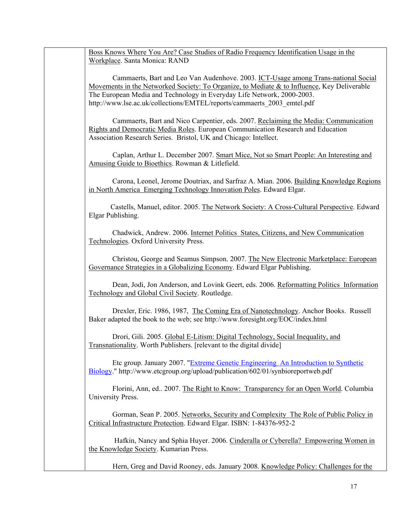Boss Knows Where You Are? Case Studies of Radio Frequency Identification Usage in the Workplace. Santa Monica: RAND

Cammaerts, Bart and Leo Van Audenhove. 2003. ICT-Usage among Trans-national Social Movements in the Networked Society: To Organize, to Mediate & to Influence, Key Deliverable The European Media and Technology in Everyday Life Network, 2000-2003. http://www.lse.ac.uk/collections/EMTEL/reports/cammaerts\_2003\_emtel.pdf

Cammaerts, Bart and Nico Carpentier, eds. 2007. Reclaiming the Media: Communication Rights and Democratic Media Roles. European Communication Research and Education Association Research Series. Bristol, UK and Chicago: Intellect.

Caplan, Arthur L. December 2007. Smart Mice, Not so Smart People: An Interesting and Amusing Guide to Bioethics. Rowman & Litlefield.

 Carona, Leonel, Jerome Doutriax, and Sarfraz A. Mian. 2006. Building Knowledge Regions in North America Emerging Technology Innovation Poles. Edward Elgar.

 Castells, Manuel, editor. 2005. The Network Society: A Cross-Cultural Perspective. Edward Elgar Publishing.

 Chadwick, Andrew. 2006. Internet Politics States, Citizens, and New Communication Technologies. Oxford University Press.

 Christou, George and Seamus Simpson. 2007. The New Electronic Marketplace: European Governance Strategies in a Globalizing Economy. Edward Elgar Publishing.

 Dean, Jodi, Jon Anderson, and Lovink Geert, eds. 2006. Reformatting Politics Information Technology and Global Civil Society. Routledge.

 Drexler, Eric. 1986, 1987, The Coming Era of Nanotechnology. Anchor Books. Russell Baker adapted the book to the web; see http://www.foresight.org/EOC/index.html

 Drori, Gili. 2005. Global E-Litism: Digital Technology, Social Inequality, and Transnationality. Worth Publishers. [relevant to the digital divide]

 Etc group. January 2007. ["Extreme Genetic Engineering An Introduction to Synthetic](http://www.etcgroup.org/upload/publication/602/01/synbioreportweb.pdf) [Biology.](http://www.etcgroup.org/upload/publication/602/01/synbioreportweb.pdf)" http://www.etcgroup.org/upload/publication/602/01/synbioreportweb.pdf

 Florini, Ann, ed.. 2007. The Right to Know: Transparency for an Open World. Columbia University Press.

 Gorman, Sean P. 2005. Networks, Security and Complexity The Role of Public Policy in Critical Infrastructure Protection. Edward Elgar. ISBN: 1-84376-952-2

 Hafkin, Nancy and Sphia Huyer. 2006. Cinderalla or Cyberella? Empowering Women in the Knowledge Society. Kumarian Press.

Hern, Greg and David Rooney, eds. January 2008. Knowledge Policy: Challenges for the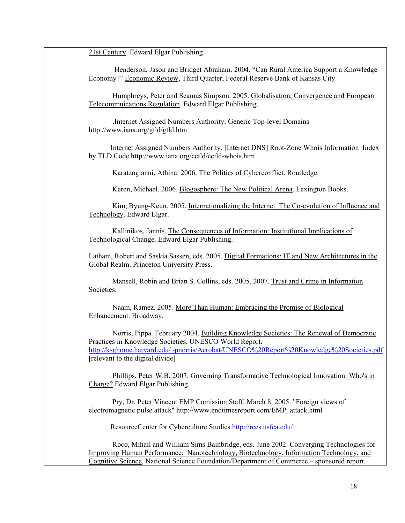21st Century. Edward Elgar Publishing.

 Henderson, Jason and Bridget Abraham. 2004. "Can Rural America Support a Knowledge Economy?" Economic Review, Third Quarter, Federal Reserve Bank of Kansas City

Humphreys, Peter and Seamus Simpson. 2005. Globalisation, Convergence and European Telecommuications Regulation. Edward Elgar Publishing.

.Internet Assigned Numbers Authority. Generic Top-level Domains http://www.iana.org/gtld/gtld.htm

 Internet Assigned Numbers Authority. [Internet DNS] Root-Zone Whois Information Index by TLD Code http://www.iana.org/cctld/cctld-whois.htm

Karatzogianni, Athina. 2006. The Politics of Cyberconflict. Routledge.

Keren, Michael. 2006. Blogosphere: The New Political Arena. Lexington Books.

 Kim, Byung-Keun. 2005. Internationalizing the Internet The Co-evolution of Influence and Technology. Edward Elgar.

 Kallinikos, Jannis. The Consequences of Information: Institutional Implications of Technological Change. Edward Elgar Publishing.

Latham, Robert and Saskia Sassen, eds. 2005. Digital Formations: IT and New Architectures in the Global Realm. Princeton University Press.

 Mansell, Robin and Brian S. Collins, eds. 2005, 2007. Trust and Crime in Information Societies.

Naam, Ramez. 2005. More Than Human: Embracing the Promise of Biological Enhancement. Broadway.

Norris, Pippa. February 2004. Building Knowledge Societies: The Renewal of Democratic Practices in Knowledge Societies. UNESCO World Report. [http://ksghome.harvard.edu/~pnorris/Acrobat/UNESCO%20Report%20Knowledge%20Societies.pdf](http://ksghome.harvard.edu/%7Epnorris/Acrobat/UNESCO Report Knowledge Societies.pdf) [relevant to the digital divide]

Phillips, Peter W.B. 2007. Governing Transformative Technological Innovation: Who's in Charge? Edward Elgar Publishing.

 Pry, Dr. Peter Vincent EMP Comission Staff. March 8, 2005. "Foreign views of electromagnetic pulse attack" http://www.endtimesreport.com/EMP\_attack.html

ResourceCenter for Cyberculture Studies [http://rccs.usfca.edu/](http://www.com.washington.edu/rccs/)

Roco, Mihail and William Sims Bainbridge, eds. June 2002. Converging Technologies for Improving Human Performance: Nanotechnology, Biotechnology, Information Technology, and Cognitive Science. National Science Foundation/Department of Commerce – sponsored report.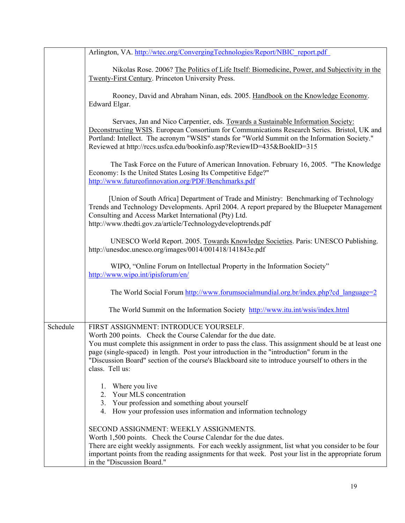Arlington, VA. http://wtec.org/ConvergingTechnologies/Report/NBIC\_report.pdf Nikolas Rose. 2006? The Politics of Life Itself: Biomedicine, Power, and Subjectivity in the Twenty-First Century. Princeton University Press. Rooney, David and Abraham Ninan, eds. 2005. Handbook on the Knowledge Economy. Edward Elgar. Servaes, Jan and Nico Carpentier, eds. Towards a Sustainable Information Society: Deconstructing WSIS. European Consortium for Communications Research Series. Bristol, UK and Portland: Intellect. The acronym "WSIS" stands for "World Summit on the Information Society." Reviewed at http://rccs.usfca.edu/bookinfo.asp?ReviewID=435&BookID=315 The Task Force on the Future of American Innovation. February 16, 2005. "The Knowledge Economy: Is the United States Losing Its Competitive Edge?" <http://www.futureofinnovation.org/PDF/Benchmarks.pdf> [Union of South Africa] Department of Trade and Ministry: Benchmarking of Technology Trends and Technology Developments. April 2004. A report prepared by the Bluepeter Management Consulting and Access Market International (Pty) Ltd. http://www.thedti.gov.za/article/Technologydeveloptrends.pdf UNESCO World Report. 2005. Towards Knowledge Societies. Paris: UNESCO Publishing. http://unesdoc.unesco.org/images/0014/001418/141843e.pdf WIPO, "Online Forum on Intellectual Property in the Information Society" <http://www.wipo.int/ipisforum/en/> The World Social Forum [http://www.forumsocialmundial.org.br/index.php?cd\\_language=2](http://www.forumsocialmundial.org.br/index.php?cd_language=2) The World Summit on the Information Society <http://www.itu.int/wsis/index.html> Schedule FIRST ASSIGNMENT: INTRODUCE YOURSELF. Worth 200 points. Check the Course Calendar for the due date. You must complete this assignment in order to pass the class. This assignment should be at least one page (single-spaced) in length. Post your introduction in the "introduction" forum in the "Discussion Board" section of the course's Blackboard site to introduce yourself to others in the class. Tell us: 1. Where you live 2. Your MLS concentration 3. Your profession and something about yourself 4. How your profession uses information and information technology SECOND ASSIGNMENT: WEEKLY ASSIGNMENTS. Worth 1,500 points. Check the Course Calendar for the due dates. There are eight weekly assignments. For each weekly assignment, list what you consider to be four important points from the reading assignments for that week. Post your list in the appropriate forum in the "Discussion Board."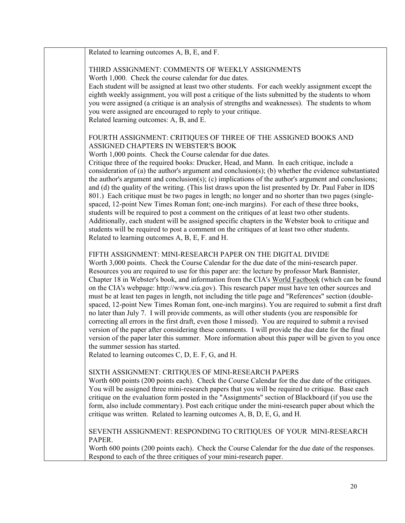| Related to learning outcomes A, B, E, and F.                                                                                                                                                                                                                                                                                                                                                                                                                                                                                                                                                                                                                                                                                                                                                                                                                                                                                                                                                                                                                                                                                                                                                 |
|----------------------------------------------------------------------------------------------------------------------------------------------------------------------------------------------------------------------------------------------------------------------------------------------------------------------------------------------------------------------------------------------------------------------------------------------------------------------------------------------------------------------------------------------------------------------------------------------------------------------------------------------------------------------------------------------------------------------------------------------------------------------------------------------------------------------------------------------------------------------------------------------------------------------------------------------------------------------------------------------------------------------------------------------------------------------------------------------------------------------------------------------------------------------------------------------|
| THIRD ASSIGNMENT: COMMENTS OF WEEKLY ASSIGNMENTS<br>Worth 1,000. Check the course calendar for due dates.                                                                                                                                                                                                                                                                                                                                                                                                                                                                                                                                                                                                                                                                                                                                                                                                                                                                                                                                                                                                                                                                                    |
| Each student will be assigned at least two other students. For each weekly assignment except the<br>eighth weekly assignment, you will post a critique of the lists submitted by the students to whom                                                                                                                                                                                                                                                                                                                                                                                                                                                                                                                                                                                                                                                                                                                                                                                                                                                                                                                                                                                        |
| you were assigned (a critique is an analysis of strengths and weaknesses). The students to whom<br>you were assigned are encouraged to reply to your critique.                                                                                                                                                                                                                                                                                                                                                                                                                                                                                                                                                                                                                                                                                                                                                                                                                                                                                                                                                                                                                               |
| Related learning outcomes: A, B, and E.                                                                                                                                                                                                                                                                                                                                                                                                                                                                                                                                                                                                                                                                                                                                                                                                                                                                                                                                                                                                                                                                                                                                                      |
| FOURTH ASSIGNMENT: CRITIQUES OF THREE OF THE ASSIGNED BOOKS AND<br>ASSIGNED CHAPTERS IN WEBSTER'S BOOK                                                                                                                                                                                                                                                                                                                                                                                                                                                                                                                                                                                                                                                                                                                                                                                                                                                                                                                                                                                                                                                                                       |
| Worth 1,000 points. Check the Course calendar for due dates.                                                                                                                                                                                                                                                                                                                                                                                                                                                                                                                                                                                                                                                                                                                                                                                                                                                                                                                                                                                                                                                                                                                                 |
| Critique three of the required books: Drucker, Head, and Mann. In each critique, include a<br>consideration of (a) the author's argument and conclusion(s); (b) whether the evidence substantiated<br>the author's argument and conclusion(s); (c) implications of the author's argument and conclusions;<br>and (d) the quality of the writing. (This list draws upon the list presented by Dr. Paul Faber in IDS<br>801.) Each critique must be two pages in length; no longer and no shorter than two pages (single-                                                                                                                                                                                                                                                                                                                                                                                                                                                                                                                                                                                                                                                                      |
| spaced, 12-point New Times Roman font; one-inch margins). For each of these three books,<br>students will be required to post a comment on the critiques of at least two other students.<br>Additionally, each student will be assigned specific chapters in the Webster book to critique and<br>students will be required to post a comment on the critiques of at least two other students.<br>Related to learning outcomes A, B, E, F. and H.                                                                                                                                                                                                                                                                                                                                                                                                                                                                                                                                                                                                                                                                                                                                             |
| FIFTH ASSIGNMENT: MINI-RESEARCH PAPER ON THE DIGITAL DIVIDE<br>Worth 3,000 points. Check the Course Calendar for the due date of the mini-research paper.<br>Resources you are required to use for this paper are: the lecture by professor Mark Bannister,<br>Chapter 18 in Webster's book, and information from the CIA's World Factbook (which can be found<br>on the CIA's webpage: http://www.cia.gov). This research paper must have ten other sources and<br>must be at least ten pages in length, not including the title page and "References" section (double-<br>spaced, 12-point New Times Roman font, one-inch margins). You are required to submit a first draft<br>no later than July 7. I will provide comments, as will other students (you are responsible for<br>correcting all errors in the first draft, even those I missed). You are required to submit a revised<br>version of the paper after considering these comments. I will provide the due date for the final<br>version of the paper later this summer. More information about this paper will be given to you once<br>the summer session has started.<br>Related to learning outcomes C, D, E. F, G, and H. |
| SIXTH ASSIGNMENT: CRITIQUES OF MINI-RESEARCH PAPERS<br>Worth 600 points (200 points each). Check the Course Calendar for the due date of the critiques.<br>You will be assigned three mini-research papers that you will be required to critique. Base each<br>critique on the evaluation form posted in the "Assignments" section of Blackboard (if you use the<br>form, also include commentary). Post each critique under the mini-research paper about which the<br>critique was written. Related to learning outcomes A, B, D, E, G, and H.                                                                                                                                                                                                                                                                                                                                                                                                                                                                                                                                                                                                                                             |
| SEVENTH ASSIGNMENT: RESPONDING TO CRITIQUES OF YOUR MINI-RESEARCH<br>PAPER.                                                                                                                                                                                                                                                                                                                                                                                                                                                                                                                                                                                                                                                                                                                                                                                                                                                                                                                                                                                                                                                                                                                  |
| Worth 600 points (200 points each). Check the Course Calendar for the due date of the responses.<br>Respond to each of the three critiques of your mini-research paper.                                                                                                                                                                                                                                                                                                                                                                                                                                                                                                                                                                                                                                                                                                                                                                                                                                                                                                                                                                                                                      |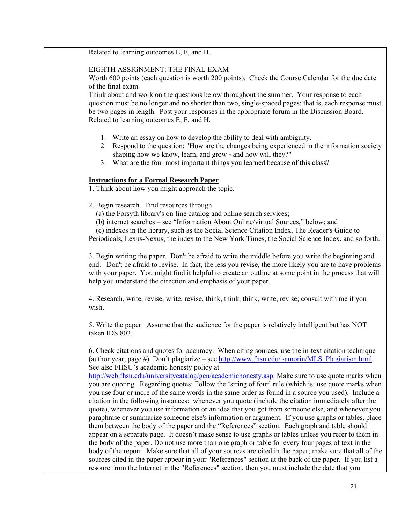Related to learning outcomes E, F, and H.

EIGHTH ASSIGNMENT: THE FINAL EXAM

Worth 600 points (each question is worth 200 points). Check the Course Calendar for the due date of the final exam.

Think about and work on the questions below throughout the summer. Your response to each question must be no longer and no shorter than two, single-spaced pages: that is, each response must be two pages in length. Post your responses in the appropriate forum in the Discussion Board. Related to learning outcomes E, F, and H.

- 1. Write an essay on how to develop the ability to deal with ambiguity.
- 2. Respond to the question: "How are the changes being experienced in the information society shaping how we know, learn, and grow - and how will they?"
- 3. What are the four most important things you learned because of this class?

#### **Instructions for a Formal Research Paper**

1. Think about how you might approach the topic.

2. Begin research. Find resources through

(a) the Forsyth library's on-line catalog and online search services;

(b) internet searches – see "Information About Online/virtual Sources," below; and

(c) indexes in the library, such as the Social Science Citation Index, The Reader's Guide to

Periodicals, Lexus-Nexus, the index to the New York Times, the Social Science Index, and so forth.

3. Begin writing the paper. Don't be afraid to write the middle before you write the beginning and end. Don't be afraid to revise. In fact, the less you revise, the more likely you are to have problems with your paper. You might find it helpful to create an outline at some point in the process that will help you understand the direction and emphasis of your paper.

4. Research, write, revise, write, revise, think, think, think, write, revise; consult with me if you wish.

5. Write the paper. Assume that the audience for the paper is relatively intelligent but has NOT taken IDS 803.

6. Check citations and quotes for accuracy. When citing sources, use the in-text citation technique (author year, page #). Don't plagiarize – see [http://www.fhsu.edu/~amorin/MLS\\_Plagiarism.html.](http://www.fhsu.edu/%7Eamorin/MLS_Plagiarism.html) See also FHSU's academic honesty policy at

<http://web.fhsu.edu/universitycatalog/gen/academichonesty.asp>. Make sure to use quote marks when you are quoting. Regarding quotes: Follow the 'string of four' rule (which is: use quote marks when you use four or more of the same words in the same order as found in a source you used). Include a citation in the following instances: whenever you quote (include the citation immediately after the quote), whenever you use information or an idea that you got from someone else, and whenever you paraphrase or summarize someone else's information or argument. If you use graphs or tables, place them between the body of the paper and the "References" section. Each graph and table should appear on a separate page. It doesn't make sense to use graphs or tables unless you refer to them in the body of the paper. Do not use more than one graph or table for every four pages of text in the body of the report. Make sure that all of your sources are cited in the paper; make sure that all of the sources cited in the paper appear in your "References" section at the back of the paper. If you list a resoure from the Internet in the "References" section, then you must include the date that you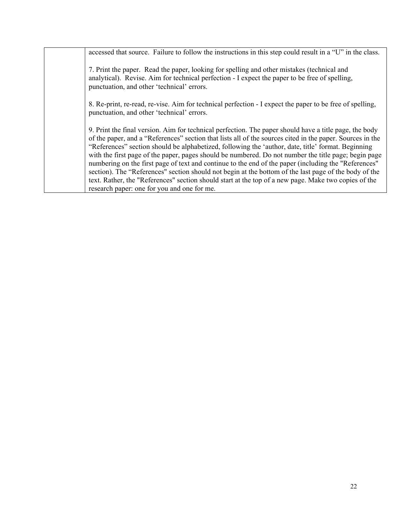| accessed that source. Failure to follow the instructions in this step could result in a "U" in the class.                                                                                                                                                                                                                                                                                                                                                                                                                                                                                                                                                                                                                                                  |
|------------------------------------------------------------------------------------------------------------------------------------------------------------------------------------------------------------------------------------------------------------------------------------------------------------------------------------------------------------------------------------------------------------------------------------------------------------------------------------------------------------------------------------------------------------------------------------------------------------------------------------------------------------------------------------------------------------------------------------------------------------|
| 7. Print the paper. Read the paper, looking for spelling and other mistakes (technical and<br>analytical). Revise. Aim for technical perfection - I expect the paper to be free of spelling,<br>punctuation, and other 'technical' errors.                                                                                                                                                                                                                                                                                                                                                                                                                                                                                                                 |
| 8. Re-print, re-read, re-vise. Aim for technical perfection - I expect the paper to be free of spelling,<br>punctuation, and other 'technical' errors.                                                                                                                                                                                                                                                                                                                                                                                                                                                                                                                                                                                                     |
| 9. Print the final version. Aim for technical perfection. The paper should have a title page, the body<br>of the paper, and a "References" section that lists all of the sources cited in the paper. Sources in the<br>"References" section should be alphabetized, following the 'author, date, title' format. Beginning<br>with the first page of the paper, pages should be numbered. Do not number the title page; begin page<br>numbering on the first page of text and continue to the end of the paper (including the "References"<br>section). The "References" section should not begin at the bottom of the last page of the body of the<br>text. Rather, the "References" section should start at the top of a new page. Make two copies of the |
| research paper: one for you and one for me.                                                                                                                                                                                                                                                                                                                                                                                                                                                                                                                                                                                                                                                                                                                |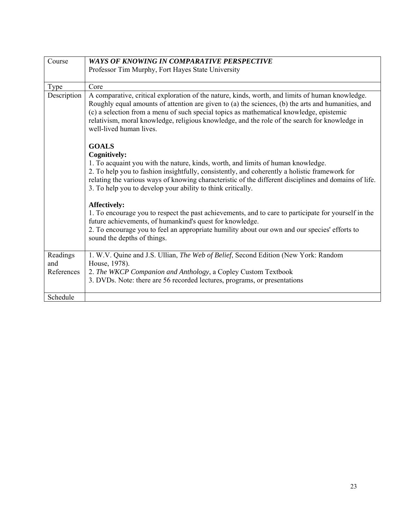<span id="page-28-0"></span>

| Course          | <b>WAYS OF KNOWING IN COMPARATIVE PERSPECTIVE</b>                                                                                                                                                                                                                                                                                                                                                                            |
|-----------------|------------------------------------------------------------------------------------------------------------------------------------------------------------------------------------------------------------------------------------------------------------------------------------------------------------------------------------------------------------------------------------------------------------------------------|
|                 | Professor Tim Murphy, Fort Hayes State University                                                                                                                                                                                                                                                                                                                                                                            |
|                 |                                                                                                                                                                                                                                                                                                                                                                                                                              |
| <b>Type</b>     | Core                                                                                                                                                                                                                                                                                                                                                                                                                         |
| Description     | A comparative, critical exploration of the nature, kinds, worth, and limits of human knowledge.<br>Roughly equal amounts of attention are given to (a) the sciences, (b) the arts and humanities, and<br>(c) a selection from a menu of such special topics as mathematical knowledge, epistemic<br>relativism, moral knowledge, religious knowledge, and the role of the search for knowledge in<br>well-lived human lives. |
|                 | <b>GOALS</b><br><b>Cognitively:</b>                                                                                                                                                                                                                                                                                                                                                                                          |
|                 | 1. To acquaint you with the nature, kinds, worth, and limits of human knowledge.<br>2. To help you to fashion insightfully, consistently, and coherently a holistic framework for<br>relating the various ways of knowing characteristic of the different disciplines and domains of life.<br>3. To help you to develop your ability to think critically.                                                                    |
|                 | <b>Affectively:</b><br>1. To encourage you to respect the past achievements, and to care to participate for yourself in the<br>future achievements, of humankind's quest for knowledge.<br>2. To encourage you to feel an appropriate humility about our own and our species' efforts to<br>sound the depths of things.                                                                                                      |
| Readings<br>and | 1. W.V. Quine and J.S. Ullian, The Web of Belief, Second Edition (New York: Random<br>House, 1978).                                                                                                                                                                                                                                                                                                                          |
| References      | 2. The WKCP Companion and Anthology, a Copley Custom Textbook                                                                                                                                                                                                                                                                                                                                                                |
|                 | 3. DVDs. Note: there are 56 recorded lectures, programs, or presentations                                                                                                                                                                                                                                                                                                                                                    |
|                 |                                                                                                                                                                                                                                                                                                                                                                                                                              |
| Schedule        |                                                                                                                                                                                                                                                                                                                                                                                                                              |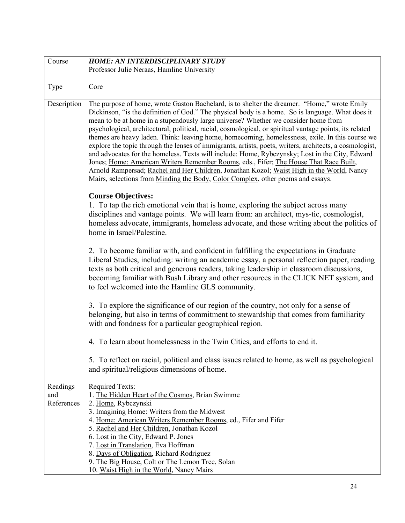<span id="page-29-0"></span>

| Course                        | <b>HOME: AN INTERDISCIPLINARY STUDY</b>                                                                                                                                                                                                                                                                                                                                                                                                                                                                                                                                                                                                                                                                                                                                                                                                                                                                                                                                                   |
|-------------------------------|-------------------------------------------------------------------------------------------------------------------------------------------------------------------------------------------------------------------------------------------------------------------------------------------------------------------------------------------------------------------------------------------------------------------------------------------------------------------------------------------------------------------------------------------------------------------------------------------------------------------------------------------------------------------------------------------------------------------------------------------------------------------------------------------------------------------------------------------------------------------------------------------------------------------------------------------------------------------------------------------|
|                               | Professor Julie Neraas, Hamline University                                                                                                                                                                                                                                                                                                                                                                                                                                                                                                                                                                                                                                                                                                                                                                                                                                                                                                                                                |
|                               |                                                                                                                                                                                                                                                                                                                                                                                                                                                                                                                                                                                                                                                                                                                                                                                                                                                                                                                                                                                           |
| Type                          | Core                                                                                                                                                                                                                                                                                                                                                                                                                                                                                                                                                                                                                                                                                                                                                                                                                                                                                                                                                                                      |
| Description                   | The purpose of home, wrote Gaston Bachelard, is to shelter the dreamer. "Home," wrote Emily<br>Dickinson, "is the definition of God." The physical body is a home. So is language. What does it<br>mean to be at home in a stupendously large universe? Whether we consider home from<br>psychological, architectural, political, racial, cosmological, or spiritual vantage points, its related<br>themes are heavy laden. Think: leaving home, homecoming, homelessness, exile. In this course we<br>explore the topic through the lenses of immigrants, artists, poets, writers, architects, a cosmologist,<br>and advocates for the homeless. Texts will include: Home, Rybczynsky; Lost in the City, Edward<br>Jones; Home: American Writers Remember Rooms, eds., Fifer; The House That Race Built,<br>Arnold Rampersad; Rachel and Her Children, Jonathan Kozol; Waist High in the World, Nancy<br>Mairs, selections from Minding the Body, Color Complex, other poems and essays. |
|                               | <b>Course Objectives:</b><br>1. To tap the rich emotional vein that is home, exploring the subject across many<br>disciplines and vantage points. We will learn from: an architect, mys-tic, cosmologist,<br>homeless advocate, immigrants, homeless advocate, and those writing about the politics of<br>home in Israel/Palestine.                                                                                                                                                                                                                                                                                                                                                                                                                                                                                                                                                                                                                                                       |
|                               | 2. To become familiar with, and confident in fulfilling the expectations in Graduate<br>Liberal Studies, including: writing an academic essay, a personal reflection paper, reading<br>texts as both critical and generous readers, taking leadership in classroom discussions,<br>becoming familiar with Bush Library and other resources in the CLICK NET system, and<br>to feel welcomed into the Hamline GLS community.                                                                                                                                                                                                                                                                                                                                                                                                                                                                                                                                                               |
|                               | 3. To explore the significance of our region of the country, not only for a sense of<br>belonging, but also in terms of commitment to stewardship that comes from familiarity<br>with and fondness for a particular geographical region.                                                                                                                                                                                                                                                                                                                                                                                                                                                                                                                                                                                                                                                                                                                                                  |
|                               | 4. To learn about homelessness in the Twin Cities, and efforts to end it.                                                                                                                                                                                                                                                                                                                                                                                                                                                                                                                                                                                                                                                                                                                                                                                                                                                                                                                 |
|                               | 5. To reflect on racial, political and class issues related to home, as well as psychological<br>and spiritual/religious dimensions of home.                                                                                                                                                                                                                                                                                                                                                                                                                                                                                                                                                                                                                                                                                                                                                                                                                                              |
| Readings<br>and<br>References | <b>Required Texts:</b><br>1. The Hidden Heart of the Cosmos, Brian Swimme<br>2. Home, Rybczynski<br>3. Imagining Home: Writers from the Midwest<br>4. Home: American Writers Remember Rooms, ed., Fifer and Fifer<br>5. Rachel and Her Children, Jonathan Kozol<br>6. Lost in the City, Edward P. Jones<br>7. Lost in Translation, Eva Hoffman<br>8. Days of Obligation, Richard Rodriguez<br>9. The Big House, Colt or The Lemon Tree, Solan<br>10. Waist High in the World, Nancy Mairs                                                                                                                                                                                                                                                                                                                                                                                                                                                                                                 |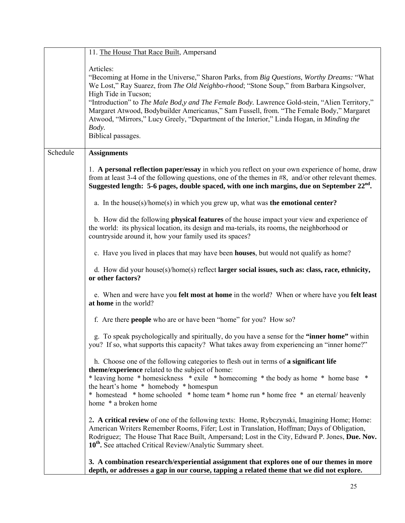|          | 11. The House That Race Built, Ampersand                                                                                                                                                                                                                                                                                                                                                                                                                                                                                                                     |
|----------|--------------------------------------------------------------------------------------------------------------------------------------------------------------------------------------------------------------------------------------------------------------------------------------------------------------------------------------------------------------------------------------------------------------------------------------------------------------------------------------------------------------------------------------------------------------|
|          | Articles:<br>"Becoming at Home in the Universe," Sharon Parks, from Big Questions, Worthy Dreams: "What<br>We Lost," Ray Suarez, from The Old Neighbo-rhood; "Stone Soup," from Barbara Kingsolver,<br>High Tide in Tucson;<br>"Introduction" to <i>The Male Bod,y and The Female Body</i> . Lawrence Gold-stein, "Alien Territory,"<br>Margaret Atwood, Bodybuilder Americanus," Sam Fussell, from. "The Female Body," Margaret<br>Atwood, "Mirrors," Lucy Greely, "Department of the Interior," Linda Hogan, in Minding the<br>Body.<br>Biblical passages. |
| Schedule | <b>Assignments</b>                                                                                                                                                                                                                                                                                                                                                                                                                                                                                                                                           |
|          | 1. A personal reflection paper/essay in which you reflect on your own experience of home, draw<br>from at least 3-4 of the following questions, one of the themes in $#8$ , and/or other relevant themes.<br>Suggested length: 5-6 pages, double spaced, with one inch margins, due on September $22nd$ .                                                                                                                                                                                                                                                    |
|          | a. In the house(s)/home(s) in which you grew up, what was the emotional center?                                                                                                                                                                                                                                                                                                                                                                                                                                                                              |
|          | b. How did the following <b>physical features</b> of the house impact your view and experience of<br>the world: its physical location, its design and ma-terials, its rooms, the neighborhood or<br>countryside around it, how your family used its spaces?                                                                                                                                                                                                                                                                                                  |
|          | c. Have you lived in places that may have been <b>houses</b> , but would not qualify as home?                                                                                                                                                                                                                                                                                                                                                                                                                                                                |
|          | d. How did your house(s)/home(s) reflect larger social issues, such as: class, race, ethnicity,<br>or other factors?                                                                                                                                                                                                                                                                                                                                                                                                                                         |
|          | e. When and were have you felt most at home in the world? When or where have you felt least<br>at home in the world?                                                                                                                                                                                                                                                                                                                                                                                                                                         |
|          | f. Are there <b>people</b> who are or have been "home" for you? How so?                                                                                                                                                                                                                                                                                                                                                                                                                                                                                      |
|          | g. To speak psychologically and spiritually, do you have a sense for the "inner home" within<br>you? If so, what supports this capacity? What takes away from experiencing an "inner home?"                                                                                                                                                                                                                                                                                                                                                                  |
|          | h. Choose one of the following categories to flesh out in terms of a significant life<br>theme/experience related to the subject of home:<br>* leaving home * homesickness * exile * homecoming * the body as home * home base *<br>the heart's home * homebody * homespun<br>* homestead * home schooled * home team * home run * home free * an eternal/ heavenly<br>home * a broken home                                                                                                                                                                  |
|          | 2. A critical review of one of the following texts: Home, Rybczynski, Imagining Home; Home:<br>American Writers Remember Rooms, Fifer; Lost in Translation, Hoffman; Days of Obligation,<br>Rodriguez; The House That Race Built, Ampersand; Lost in the City, Edward P. Jones, Due. Nov.<br>10 <sup>th</sup> . See attached Critical Review/Analytic Summary sheet.                                                                                                                                                                                         |
|          | 3. A combination research/experiential assignment that explores one of our themes in more<br>depth, or addresses a gap in our course, tapping a related theme that we did not explore.                                                                                                                                                                                                                                                                                                                                                                       |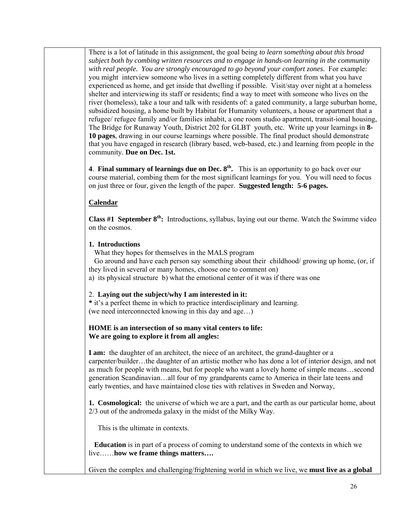There is a lot of latitude in this assignment, the goal being *to learn something about this broad subject both by combing written resources and to engage in hands-on learning in the community with real people. You are strongly encouraged to go beyond your comfort zones.* For example: you might interview someone who lives in a setting completely different from what you have experienced as home, and get inside that dwelling if possible. Visit/stay over night at a homeless shelter and interviewing its staff or residents; find a way to meet with someone who lives on the river (homeless), take a tour and talk with residents of: a gated community, a large suburban home, subsidized housing, a home built by Habitat for Humanity volunteers, a house or apartment that a refugee/ refugee family and/or families inhabit, a one room studio apartment, transit-ional housing, The Bridge for Runaway Youth, District 202 for GLBT youth, etc. Write up your learnings in **8- 10 pages**, drawing in our course learnings where possible. The final product should demonstrate that you have engaged in research (library based, web-based, etc.) and learning from people in the community. **Due on Dec. 1st.** 

**4**. **Final summary of learnings due on Dec. 8th.** This is an opportunity to go back over our course material, combing them for the most significant learnings for you. You will need to focus on just three or four, given the length of the paper. **Suggested length: 5-6 pages.** 

# **Calendar**

**Class #1 September 8th:** Introductions, syllabus, laying out our theme. Watch the Swimme video on the cosmos.

## **1. Introductions**

What they hopes for themselves in the MALS program

 Go around and have each person say something about their childhood/ growing up home, (or, if they lived in several or many homes, choose one to comment on)

a) its physical structure b) what the emotional center of it was if there was one

## 2. **Laying out the subject/why I am interested in it:**

**\*** it's a perfect theme in which to practice interdisciplinary and learning. (we need interconnected knowing in this day and age…)

## **HOME is an intersection of so many vital centers to life: We are going to explore it from all angles:**

**I am:** the daughter of an architect, the niece of an architect, the grand-daughter or a carpenter/builder…the daughter of an artistic mother who has done a lot of interior design, and not as much for people with means, but for people who want a lovely home of simple means…second generation Scandinavian…all four of my grandparents came to America in their late teens and early twenties, and have maintained close ties with relatives in Sweden and Norway,

**1. Cosmological:** the universe of which we are a part, and the earth as our particular home, about 2/3 out of the andromeda galaxy in the midst of the Milky Way.

This is the ultimate in contexts.

 **Education** is in part of a process of coming to understand some of the contexts in which we live……**how we frame things matters….** 

Given the complex and challenging/frightening world in which we live, we **must live as a global**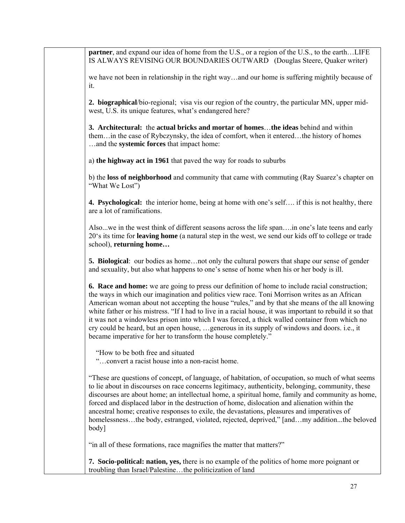**partner**, and expand our idea of home from the U.S., or a region of the U.S., to the earth...LIFE IS ALWAYS REVISING OUR BOUNDARIES OUTWARD (Douglas Steere, Quaker writer)

we have not been in relationship in the right way…and our home is suffering mightily because of it.

**2. biographical**/bio-regional; visa vis our region of the country, the particular MN, upper midwest, U.S. its unique features, what's endangered here?

**3. Architectural:** the **actual bricks and mortar of homes**…**the ideas** behind and within them…in the case of Rybczynsky, the idea of comfort, when it entered…the history of homes …and the **systemic forces** that impact home:

a) **the highway act in 1961** that paved the way for roads to suburbs

b) the **loss of neighborhood** and community that came with commuting (Ray Suarez's chapter on "What We Lost")

**4. Psychological:** the interior home, being at home with one's self…. if this is not healthy, there are a lot of ramifications.

Also...we in the west think of different seasons across the life span….in one's late teens and early 20's its time for **leaving home** (a natural step in the west, we send our kids off to college or trade school), **returning home…** 

**5. Biological**: our bodies as home…not only the cultural powers that shape our sense of gender and sexuality, but also what happens to one's sense of home when his or her body is ill.

**6. Race and home:** we are going to press our definition of home to include racial construction; the ways in which our imagination and politics view race. Toni Morrison writes as an African American woman about not accepting the house "rules," and by that she means of the all knowing white father or his mistress. "If I had to live in a racial house, it was important to rebuild it so that it was not a windowless prison into which I was forced, a thick walled container from which no cry could be heard, but an open house, …generous in its supply of windows and doors. i.e., it became imperative for her to transform the house completely."

"How to be both free and situated

"…convert a racist house into a non-racist home.

"These are questions of concept, of language, of habitation, of occupation, so much of what seems to lie about in discourses on race concerns legitimacy, authenticity, belonging, community, these discourses are about home; an intellectual home, a spiritual home, family and community as home, forced and displaced labor in the destruction of home, dislocation and alienation within the ancestral home; creative responses to exile, the devastations, pleasures and imperatives of homelessness…the body, estranged, violated, rejected, deprived," [and…my addition...the beloved body]

"in all of these formations, race magnifies the matter that matters?"

**7. Socio-political: nation, yes,** there is no example of the politics of home more poignant or troubling than Israel/Palestine…the politicization of land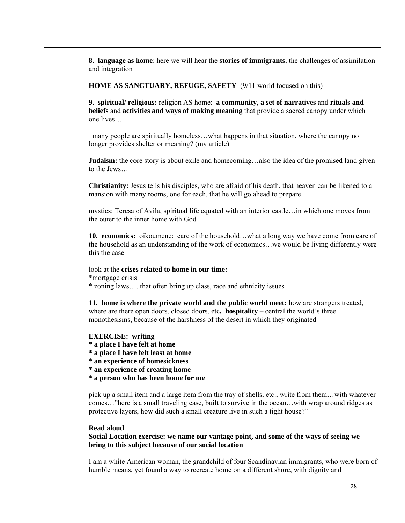**8. language as home**: here we will hear the **stories of immigrants**, the challenges of assimilation and integration

**HOME AS SANCTUARY, REFUGE, SAFETY** (9/11 world focused on this)

**9. spiritual/ religious:** religion AS home: **a community**, **a set of narratives** and **rituals and beliefs** and **activities and ways of making meaning** that provide a sacred canopy under which one lives…

 many people are spiritually homeless…what happens in that situation, where the canopy no longer provides shelter or meaning? (my article)

**Judaism:** the core story is about exile and homecoming…also the idea of the promised land given to the Jews…

**Christianity:** Jesus tells his disciples, who are afraid of his death, that heaven can be likened to a mansion with many rooms, one for each, that he will go ahead to prepare.

mystics: Teresa of Avila, spiritual life equated with an interior castle…in which one moves from the outer to the inner home with God

**10. economics:** oikoumene: care of the household…what a long way we have come from care of the household as an understanding of the work of economics…we would be living differently were this the case

look at the **crises related to home in our time:** \*mortgage crisis

\* zoning laws…..that often bring up class, race and ethnicity issues

**11. home is where the private world and the public world meet:** how are strangers treated, where are there open doors, closed doors, etc**. hospitality** – central the world's three monothesisms, because of the harshness of the desert in which they originated

#### **EXERCISE: writing**

**\* a place I have felt at home** 

**\* a place I have felt least at home** 

**\* an experience of homesickness** 

**\* an experience of creating home** 

**\* a person who has been home for me**

pick up a small item and a large item from the tray of shells, etc., write from them…with whatever comes…"here is a small traveling case, built to survive in the ocean…with wrap around ridges as protective layers, how did such a small creature live in such a tight house?"

#### **Read aloud**

**Social Location exercise: we name our vantage point, and some of the ways of seeing we bring to this subject because of our social location** 

I am a white American woman, the grandchild of four Scandinavian immigrants, who were born of humble means, yet found a way to recreate home on a different shore, with dignity and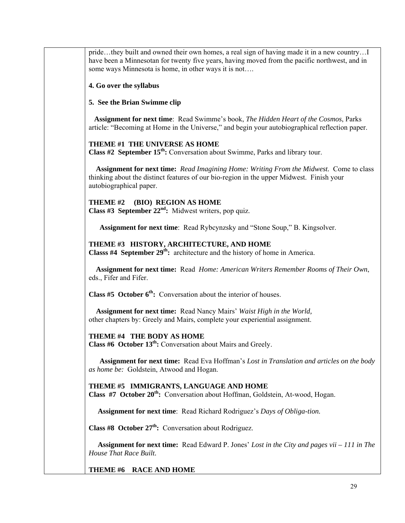pride…they built and owned their own homes, a real sign of having made it in a new country…I have been a Minnesotan for twenty five years, having moved from the pacific northwest, and in some ways Minnesota is home, in other ways it is not….

#### **4. Go over the syllabus**

#### **5. See the Brian Swimme clip**

 **Assignment for next time**: Read Swimme's book, *The Hidden Heart of the Cosmos*, Parks article: "Becoming at Home in the Universe," and begin your autobiographical reflection paper.

#### **THEME #1 THE UNIVERSE AS HOME**

**Class #2 September 15th:** Conversation about Swimme, Parks and library tour.

 **Assignment for next time:** *Read Imagining Home: Writing From the Midwest.* Come to class thinking about the distinct features of our bio-region in the upper Midwest. Finish your autobiographical paper.

**THEME #2 (BIO) REGION AS HOME Class #3 September 22nd:** Midwest writers, pop quiz.

 **Assignment for next time**: Read Rybcynzsky and "Stone Soup," B. Kingsolver.

## **THEME #3 HISTORY, ARCHITECTURE, AND HOME**

**Classs #4 September 29th:** architecture and the history of home in America.

 **Assignment for next time:** Read *Home: American Writers Remember Rooms of Their Own*, eds., Fifer and Fifer.

**Class #5 October 6th:** Conversation about the interior of houses.

 **Assignment for next time:** Read Nancy Mairs' *Waist High in the World,*  other chapters by: Greely and Mairs, complete your experiential assignment.

## **THEME #4 THE BODY AS HOME**

**Class #6 October 13th:** Conversation about Mairs and Greely.

 **Assignment for next time:** Read Eva Hoffman's *Lost in Translation and articles on the body as home be:* Goldstein, Atwood and Hogan.

#### **THEME #5 IMMIGRANTS, LANGUAGE AND HOME**

**Class #7 October 20th:** Conversation about Hoffman, Goldstein, At-wood, Hogan.

**Assignment for next time**: Read Richard Rodriguez's *Days of Obliga-tion.* 

**Class #8 October 27th:** Conversation about Rodriguez.

 **Assignment for next time:** Read Edward P. Jones' *Lost in the City and pages vii – 111 in The House That Race Built.* 

**THEME #6 RACE AND HOME**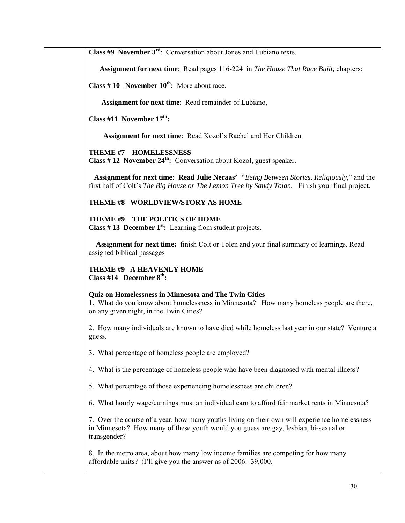**Class #9 November 3rd**: Conversation about Jones and Lubiano texts.

 **Assignment for next time**: Read pages 116-224 in *The House That Race Built,* chapters:

**Class #10 November**  $10^{th}$ **:** More about race.

 **Assignment for next time**: Read remainder of Lubiano,

**Class #11 November 17th:** 

 **Assignment for next time**: Read Kozol's Rachel and Her Children.

**THEME #7 HOMELESSNESS** 

**Class # 12 November 24th:** Conversation about Kozol, guest speaker.

 **Assignment for next time: Read Julie Neraas'** *"Being Between Stories, Religiously*," and the first half of Colt's *The Big House or The Lemon Tree by Sandy Tolan.* Finish your final project.

## **THEME #8 WORLDVIEW/STORY AS HOME**

**THEME #9 THE POLITICS OF HOME Class # 13 December 1st:** Learning from student projects.

 **Assignment for next time:** finish Colt or Tolen and your final summary of learnings. Read assigned biblical passages

**THEME #9 A HEAVENLY HOME Class #14 December 8th:** 

#### **Quiz on Homelessness in Minnesota and The Twin Cities**

1. What do you know about homelessness in Minnesota? How many homeless people are there, on any given night, in the Twin Cities?

2. How many individuals are known to have died while homeless last year in our state? Venture a guess.

3. What percentage of homeless people are employed?

4. What is the percentage of homeless people who have been diagnosed with mental illness?

5. What percentage of those experiencing homelessness are children?

6. What hourly wage/earnings must an individual earn to afford fair market rents in Minnesota?

7. Over the course of a year, how many youths living on their own will experience homelessness in Minnesota? How many of these youth would you guess are gay, lesbian, bi-sexual or transgender?

8. In the metro area, about how many low income families are competing for how many affordable units? (I'll give you the answer as of 2006: 39,000.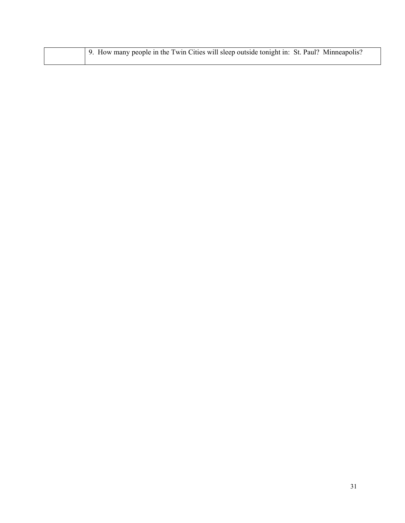|  | 9. How many people in the Twin Cities will sleep outside tonight in: St. Paul? Minneapolis? |
|--|---------------------------------------------------------------------------------------------|
|  |                                                                                             |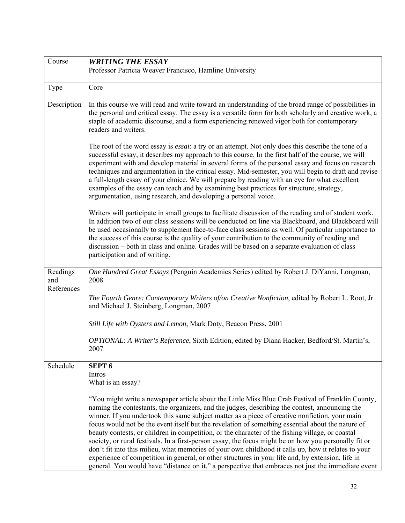| Course                        | <b>WRITING THE ESSAY</b>                                                                                                                                                                                                                                                                                                                                                                                                                                                                                                                                                                                                                                                                                                                                                                                                             |
|-------------------------------|--------------------------------------------------------------------------------------------------------------------------------------------------------------------------------------------------------------------------------------------------------------------------------------------------------------------------------------------------------------------------------------------------------------------------------------------------------------------------------------------------------------------------------------------------------------------------------------------------------------------------------------------------------------------------------------------------------------------------------------------------------------------------------------------------------------------------------------|
|                               | Professor Patricia Weaver Francisco, Hamline University                                                                                                                                                                                                                                                                                                                                                                                                                                                                                                                                                                                                                                                                                                                                                                              |
| Type                          | Core                                                                                                                                                                                                                                                                                                                                                                                                                                                                                                                                                                                                                                                                                                                                                                                                                                 |
| Description                   | In this course we will read and write toward an understanding of the broad range of possibilities in<br>the personal and critical essay. The essay is a versatile form for both scholarly and creative work, a<br>staple of academic discourse, and a form experiencing renewed vigor both for contemporary<br>readers and writers.                                                                                                                                                                                                                                                                                                                                                                                                                                                                                                  |
|                               | The root of the word essay is <i>essai</i> : a try or an attempt. Not only does this describe the tone of a<br>successful essay, it describes my approach to this course. In the first half of the course, we will<br>experiment with and develop material in several forms of the personal essay and focus on research<br>techniques and argumentation in the critical essay. Mid-semester, you will begin to draft and revise<br>a full-length essay of your choice. We will prepare by reading with an eye for what excellent<br>examples of the essay can teach and by examining best practices for structure, strategy,<br>argumentation, using research, and developing a personal voice.                                                                                                                                      |
|                               | Writers will participate in small groups to facilitate discussion of the reading and of student work.<br>In addition two of our class sessions will be conducted on line via Blackboard, and Blackboard will<br>be used occasionally to supplement face-to-face class sessions as well. Of particular importance to<br>the success of this course is the quality of your contribution to the community of reading and<br>discussion – both in class and online. Grades will be based on a separate evaluation of class<br>participation and of writing.                                                                                                                                                                                                                                                                              |
| Readings<br>and<br>References | One Hundred Great Essays (Penguin Academics Series) edited by Robert J. DiYanni, Longman,<br>2008                                                                                                                                                                                                                                                                                                                                                                                                                                                                                                                                                                                                                                                                                                                                    |
|                               | The Fourth Genre: Contemporary Writers of/on Creative Nonfiction, edited by Robert L. Root, Jr.<br>and Michael J. Steinberg, Longman, 2007                                                                                                                                                                                                                                                                                                                                                                                                                                                                                                                                                                                                                                                                                           |
|                               | Still Life with Oysters and Lemon, Mark Doty, Beacon Press, 2001                                                                                                                                                                                                                                                                                                                                                                                                                                                                                                                                                                                                                                                                                                                                                                     |
|                               | OPTIONAL: A Writer's Reference, Sixth Edition, edited by Diana Hacker, Bedford/St. Martin's,<br>2007                                                                                                                                                                                                                                                                                                                                                                                                                                                                                                                                                                                                                                                                                                                                 |
| Schedule                      | <b>SEPT 6</b><br>Intros<br>What is an essay?<br>"You might write a newspaper article about the Little Miss Blue Crab Festival of Franklin County,                                                                                                                                                                                                                                                                                                                                                                                                                                                                                                                                                                                                                                                                                    |
|                               | naming the contestants, the organizers, and the judges, describing the contest, announcing the<br>winner. If you undertook this same subject matter as a piece of creative nonfiction, your main<br>focus would not be the event itself but the revelation of something essential about the nature of<br>beauty contests, or children in competition, or the character of the fishing village, or coastal<br>society, or rural festivals. In a first-person essay, the focus might be on how you personally fit or<br>don't fit into this milieu, what memories of your own childhood it calls up, how it relates to your<br>experience of competition in general, or other structures in your life and, by extension, life in<br>general. You would have "distance on it," a perspective that embraces not just the immediate event |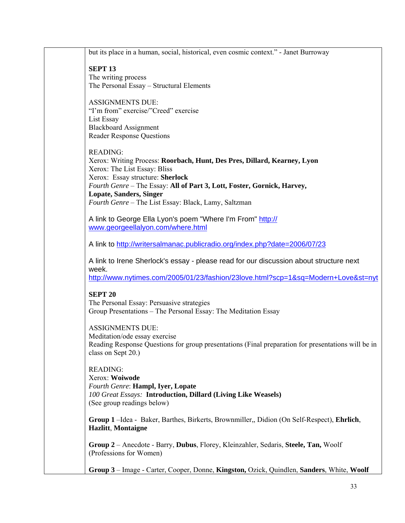| but its place in a human, social, historical, even cosmic context." - Janet Burroway                                                |
|-------------------------------------------------------------------------------------------------------------------------------------|
| <b>SEPT 13</b>                                                                                                                      |
| The writing process                                                                                                                 |
| The Personal Essay - Structural Elements                                                                                            |
| <b>ASSIGNMENTS DUE:</b>                                                                                                             |
| "I'm from" exercise/"Creed" exercise                                                                                                |
| List Essay<br><b>Blackboard Assignment</b>                                                                                          |
| <b>Reader Response Questions</b>                                                                                                    |
|                                                                                                                                     |
| <b>READING:</b><br>Xerox: Writing Process: Roorbach, Hunt, Des Pres, Dillard, Kearney, Lyon                                         |
| Xerox: The List Essay: Bliss                                                                                                        |
| Xerox: Essay structure: Sherlock<br>Fourth Genre - The Essay: All of Part 3, Lott, Foster, Gornick, Harvey,                         |
| <b>Lopate, Sanders, Singer</b>                                                                                                      |
| Fourth Genre - The List Essay: Black, Lamy, Saltzman                                                                                |
| A link to George Ella Lyon's poem "Where I'm From" http://                                                                          |
| www.georgeellalyon.com/where.html                                                                                                   |
| A link to http://writersalmanac.publicradio.org/index.php?date=2006/07/23                                                           |
|                                                                                                                                     |
| A link to Irene Sherlock's essay - please read for our discussion about structure next                                              |
| week.<br>http://www.nytimes.com/2005/01/23/fashion/23love.html?scp=1&sq=Modern+Love&st=nyt                                          |
|                                                                                                                                     |
| <b>SEPT 20</b>                                                                                                                      |
| The Personal Essay: Persuasive strategies<br>Group Presentations - The Personal Essay: The Meditation Essay                         |
|                                                                                                                                     |
| <b>ASSIGNMENTS DUE:</b>                                                                                                             |
| Meditation/ode essay exercise<br>Reading Response Questions for group presentations (Final preparation for presentations will be in |
| class on Sept 20.)                                                                                                                  |
| <b>READING:</b>                                                                                                                     |
| Xerox: Woiwode                                                                                                                      |
| Fourth Genre: Hampl, Iyer, Lopate                                                                                                   |
| 100 Great Essays: Introduction, Dillard (Living Like Weasels)<br>(See group readings below)                                         |
|                                                                                                                                     |
| Group 1-Idea - Baker, Barthes, Birkerts, Brownmiller,, Didion (On Self-Respect), Ehrlich,<br><b>Hazlitt, Montaigne</b>              |
|                                                                                                                                     |
| Group 2 - Anecdote - Barry, Dubus, Florey, Kleinzahler, Sedaris, Steele, Tan, Woolf                                                 |
| (Professions for Women)                                                                                                             |
| Group 3 – Image - Carter, Cooper, Donne, Kingston, Ozick, Quindlen, Sanders, White, Woolf                                           |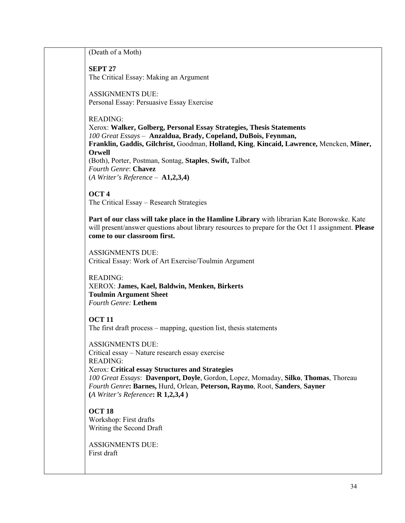(Death of a Moth) **SEPT 27**  The Critical Essay: Making an Argument ASSIGNMENTS DUE: Personal Essay: Persuasive Essay Exercise READING: Xerox: **Walker, Golberg, Personal Essay Strategies, Thesis Statements** *100 Great Essays* – **Anzaldua, Brady, Copeland, DuBois, Feynman, Franklin, Gaddis, Gilchrist,** Goodman, **Holland, King**, **Kincaid, Lawrence,** Mencken, **Miner, Orwell** (Both), Porter, Postman, Sontag, **Staples**, **Swift,** Talbot *Fourth Genre*: **Chavez** (*A Writer's Reference* – **A1,2,3,4) OCT 4**  The Critical Essay – Research Strategies **Part of our class will take place in the Hamline Library** with librarian Kate Borowske. Kate will present/answer questions about library resources to prepare for the Oct 11 assignment. **Please come to our classroom first.** ASSIGNMENTS DUE: Critical Essay: Work of Art Exercise/Toulmin Argument READING: XEROX: **James, Kael, Baldwin, Menken, Birkerts Toulmin Argument Sheet** *Fourth Genre:* **Lethem OCT 11**  The first draft process – mapping, question list, thesis statements ASSIGNMENTS DUE: Critical essay – Nature research essay exercise READING: Xerox: **Critical essay Structures and Strategies** *100 Great Essays*: **Davenport, Doyle**, Gordon, Lopez, Momaday, **Silko**, **Thomas**, Thoreau *Fourth Genre***: Barnes,** Hurd, Orlean, **Peterson, Raymo**, Root, **Sanders**, **Sayner (***A Writer's Reference***: R 1,2,3,4 ) OCT 18**  Workshop: First drafts Writing the Second Draft

ASSIGNMENTS DUE: First draft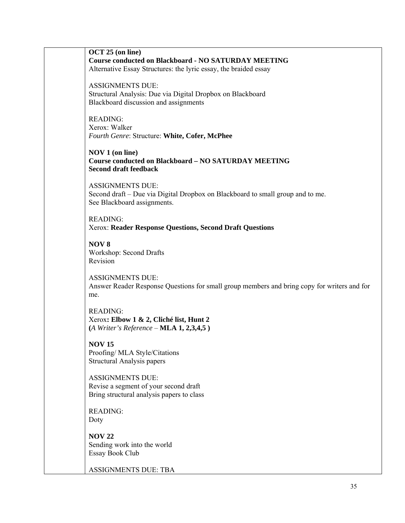**OCT 25 (on line) Course conducted on Blackboard - NO SATURDAY MEETING** Alternative Essay Structures: the lyric essay, the braided essay ASSIGNMENTS DUE: Structural Analysis: Due via Digital Dropbox on Blackboard Blackboard discussion and assignments READING: Xerox: Walker *Fourth Genre*: Structure: **White, Cofer, McPhee NOV 1 (on line) Course conducted on Blackboard – NO SATURDAY MEETING Second draft feedback**  ASSIGNMENTS DUE: Second draft – Due via Digital Dropbox on Blackboard to small group and to me. See Blackboard assignments. READING: Xerox: **Reader Response Questions, Second Draft Questions NOV 8**  Workshop: Second Drafts Revision ASSIGNMENTS DUE: Answer Reader Response Questions for small group members and bring copy for writers and for me. READING: Xerox**: Elbow 1 & 2, Cliché list, Hunt 2 (***A Writer's Reference* – **MLA 1, 2,3,4,5 ) NOV 15**  Proofing/ MLA Style/Citations Structural Analysis papers ASSIGNMENTS DUE: Revise a segment of your second draft Bring structural analysis papers to class READING: Doty **NOV 22**  Sending work into the world Essay Book Club ASSIGNMENTS DUE: TBA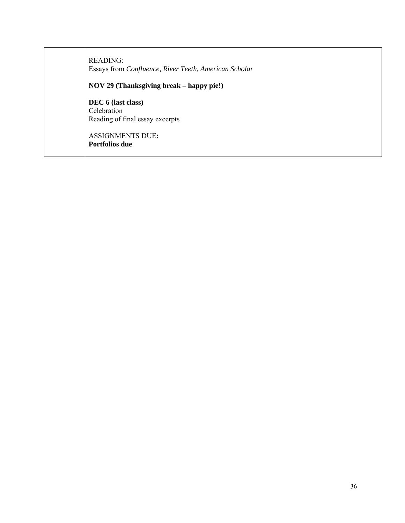| READING:<br>Essays from Confluence, River Teeth, American Scholar    |
|----------------------------------------------------------------------|
| NOV 29 (Thanksgiving break – happy pie!)                             |
| DEC 6 (last class)<br>Celebration<br>Reading of final essay excerpts |
| <b>ASSIGNMENTS DUE:</b><br><b>Portfolios due</b>                     |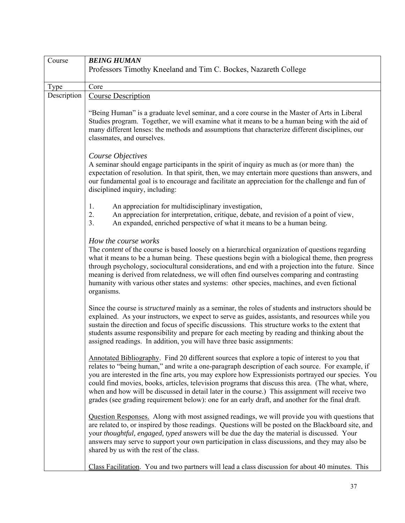| Course      | <b>BEING HUMAN</b>                                                                                         |
|-------------|------------------------------------------------------------------------------------------------------------|
|             | Professors Timothy Kneeland and Tim C. Bockes, Nazareth College                                            |
|             |                                                                                                            |
| Type        | Core                                                                                                       |
| Description | <b>Course Description</b>                                                                                  |
|             |                                                                                                            |
|             | "Being Human" is a graduate level seminar, and a core course in the Master of Arts in Liberal              |
|             | Studies program. Together, we will examine what it means to be a human being with the aid of               |
|             | many different lenses: the methods and assumptions that characterize different disciplines, our            |
|             | classmates, and ourselves.                                                                                 |
|             |                                                                                                            |
|             |                                                                                                            |
|             | Course Objectives                                                                                          |
|             | A seminar should engage participants in the spirit of inquiry as much as (or more than) the                |
|             | expectation of resolution. In that spirit, then, we may entertain more questions than answers, and         |
|             | our fundamental goal is to encourage and facilitate an appreciation for the challenge and fun of           |
|             | disciplined inquiry, including:                                                                            |
|             | 1.<br>An appreciation for multidisciplinary investigation,                                                 |
|             | 2.<br>An appreciation for interpretation, critique, debate, and revision of a point of view,               |
|             | An expanded, enriched perspective of what it means to be a human being.<br>3 <sub>1</sub>                  |
|             |                                                                                                            |
|             | How the course works                                                                                       |
|             |                                                                                                            |
|             | The <i>content</i> of the course is based loosely on a hierarchical organization of questions regarding    |
|             | what it means to be a human being. These questions begin with a biological theme, then progress            |
|             | through psychology, sociocultural considerations, and end with a projection into the future. Since         |
|             | meaning is derived from relatedness, we will often find ourselves comparing and contrasting                |
|             | humanity with various other states and systems: other species, machines, and even fictional                |
|             | organisms.                                                                                                 |
|             |                                                                                                            |
|             | Since the course is <i>structured</i> mainly as a seminar, the roles of students and instructors should be |
|             | explained. As your instructors, we expect to serve as guides, assistants, and resources while you          |
|             | sustain the direction and focus of specific discussions. This structure works to the extent that           |
|             | students assume responsibility and prepare for each meeting by reading and thinking about the              |
|             | assigned readings. In addition, you will have three basic assignments:                                     |
|             | Annotated Bibliography. Find 20 different sources that explore a topic of interest to you that             |
|             | relates to "being human," and write a one-paragraph description of each source. For example, if            |
|             | you are interested in the fine arts, you may explore how Expressionists portrayed our species. You         |
|             | could find movies, books, articles, television programs that discuss this area. (The what, where,          |
|             | when and how will be discussed in detail later in the course.) This assignment will receive two            |
|             | grades (see grading requirement below): one for an early draft, and another for the final draft.           |
|             |                                                                                                            |
|             | Question Responses. Along with most assigned readings, we will provide you with questions that             |
|             | are related to, or inspired by those readings. Questions will be posted on the Blackboard site, and        |
|             | your thoughtful, engaged, typed answers will be due the day the material is discussed. Your                |
|             | answers may serve to support your own participation in class discussions, and they may also be             |
|             | shared by us with the rest of the class.                                                                   |
|             |                                                                                                            |
|             | Class Facilitation. You and two partners will lead a class discussion for about 40 minutes. This           |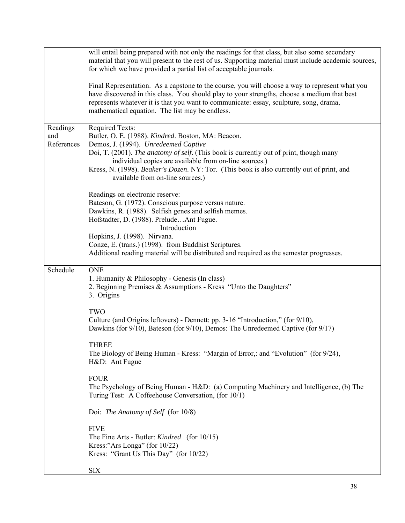|                               | will entail being prepared with not only the readings for that class, but also some secondary<br>material that you will present to the rest of us. Supporting material must include academic sources,<br>for which we have provided a partial list of acceptable journals.                                                                                                                                |
|-------------------------------|-----------------------------------------------------------------------------------------------------------------------------------------------------------------------------------------------------------------------------------------------------------------------------------------------------------------------------------------------------------------------------------------------------------|
|                               | Final Representation. As a capstone to the course, you will choose a way to represent what you<br>have discovered in this class. You should play to your strengths, choose a medium that best<br>represents whatever it is that you want to communicate: essay, sculpture, song, drama,<br>mathematical equation. The list may be endless.                                                                |
| Readings<br>and<br>References | <b>Required Texts:</b><br>Butler, O. E. (1988). Kindred. Boston, MA: Beacon.<br>Demos, J. (1994). Unredeemed Captive<br>Doi, T. (2001). The anatomy of self. (This book is currently out of print, though many<br>individual copies are available from on-line sources.)<br>Kress, N. (1998). Beaker's Dozen. NY: Tor. (This book is also currently out of print, and<br>available from on-line sources.) |
|                               | Readings on electronic reserve:<br>Bateson, G. (1972). Conscious purpose versus nature.<br>Dawkins, R. (1988). Selfish genes and selfish memes.<br>Hofstadter, D. (1988). PreludeAnt Fugue.<br>Introduction<br>Hopkins, J. (1998). Nirvana.<br>Conze, E. (trans.) (1998). from Buddhist Scriptures.<br>Additional reading material will be distributed and required as the semester progresses.           |
| Schedule                      | <b>ONE</b><br>1. Humanity & Philosophy - Genesis (In class)<br>2. Beginning Premises & Assumptions - Kress "Unto the Daughters"<br>3. Origins                                                                                                                                                                                                                                                             |
|                               | TWO<br>Culture (and Origins leftovers) - Dennett: pp. 3-16 "Introduction," (for 9/10),<br>Dawkins (for 9/10), Bateson (for 9/10), Demos: The Unredeemed Captive (for 9/17)                                                                                                                                                                                                                                |
|                               | <b>THREE</b><br>The Biology of Being Human - Kress: "Margin of Error,: and "Evolution" (for 9/24),<br>H&D: Ant Fugue                                                                                                                                                                                                                                                                                      |
|                               | <b>FOUR</b><br>The Psychology of Being Human - H&D: (a) Computing Machinery and Intelligence, (b) The<br>Turing Test: A Coffeehouse Conversation, (for 10/1)                                                                                                                                                                                                                                              |
|                               | Doi: The Anatomy of Self (for 10/8)                                                                                                                                                                                                                                                                                                                                                                       |
|                               | <b>FIVE</b><br>The Fine Arts - Butler: <i>Kindred</i> (for 10/15)<br>Kress:"Ars Longa" (for 10/22)<br>Kress: "Grant Us This Day" (for 10/22)                                                                                                                                                                                                                                                              |
|                               | <b>SIX</b>                                                                                                                                                                                                                                                                                                                                                                                                |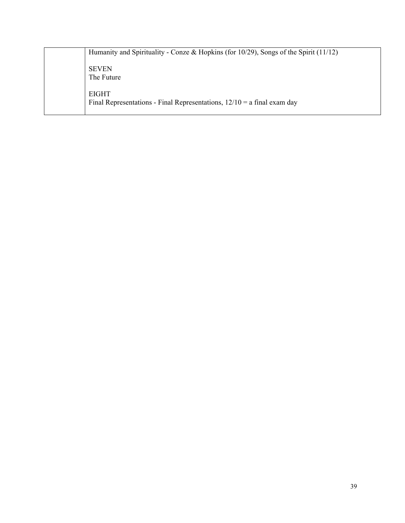|  | Humanity and Spirituality - Conze & Hopkins (for $10/29$ ), Songs of the Spirit (11/12)   |
|--|-------------------------------------------------------------------------------------------|
|  | <b>SEVEN</b><br>The Future                                                                |
|  | <b>EIGHT</b><br>Final Representations - Final Representations, $12/10 = a$ final exam day |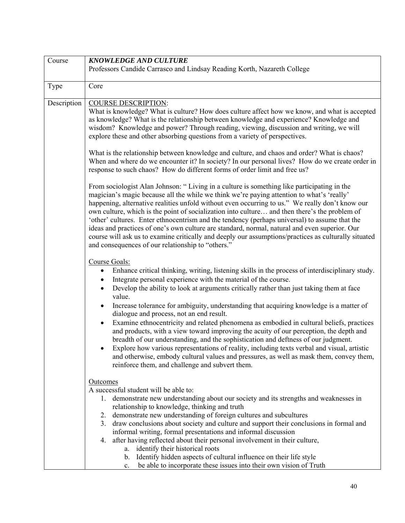| Course      | <b>KNOWLEDGE AND CULTURE</b>                                                                                                                                                                   |
|-------------|------------------------------------------------------------------------------------------------------------------------------------------------------------------------------------------------|
|             | Professors Candide Carrasco and Lindsay Reading Korth, Nazareth College                                                                                                                        |
|             |                                                                                                                                                                                                |
| Type        | Core                                                                                                                                                                                           |
|             |                                                                                                                                                                                                |
| Description | <b>COURSE DESCRIPTION:</b>                                                                                                                                                                     |
|             | What is knowledge? What is culture? How does culture affect how we know, and what is accepted                                                                                                  |
|             | as knowledge? What is the relationship between knowledge and experience? Knowledge and<br>wisdom? Knowledge and power? Through reading, viewing, discussion and writing, we will               |
|             | explore these and other absorbing questions from a variety of perspectives.                                                                                                                    |
|             |                                                                                                                                                                                                |
|             | What is the relationship between knowledge and culture, and chaos and order? What is chaos?                                                                                                    |
|             | When and where do we encounter it? In society? In our personal lives? How do we create order in                                                                                                |
|             | response to such chaos? How do different forms of order limit and free us?                                                                                                                     |
|             |                                                                                                                                                                                                |
|             | From sociologist Alan Johnson: "Living in a culture is something like participating in the                                                                                                     |
|             | magician's magic because all the while we think we're paying attention to what's 'really'                                                                                                      |
|             | happening, alternative realities unfold without even occurring to us." We really don't know our                                                                                                |
|             | own culture, which is the point of socialization into culture and then there's the problem of<br>'other' cultures. Enter ethnocentrism and the tendency (perhaps universal) to assume that the |
|             | ideas and practices of one's own culture are standard, normal, natural and even superior. Our                                                                                                  |
|             | course will ask us to examine critically and deeply our assumptions/practices as culturally situated                                                                                           |
|             | and consequences of our relationship to "others."                                                                                                                                              |
|             |                                                                                                                                                                                                |
|             | Course Goals:                                                                                                                                                                                  |
|             | Enhance critical thinking, writing, listening skills in the process of interdisciplinary study.                                                                                                |
|             | Integrate personal experience with the material of the course.                                                                                                                                 |
|             | Develop the ability to look at arguments critically rather than just taking them at face                                                                                                       |
|             | value.                                                                                                                                                                                         |
|             | Increase tolerance for ambiguity, understanding that acquiring knowledge is a matter of<br>dialogue and process, not an end result.                                                            |
|             | Examine ethnocentricity and related phenomena as embodied in cultural beliefs, practices<br>$\bullet$                                                                                          |
|             | and products, with a view toward improving the acuity of our perception, the depth and                                                                                                         |
|             | breadth of our understanding, and the sophistication and deftness of our judgment.                                                                                                             |
|             | Explore how various representations of reality, including texts verbal and visual, artistic                                                                                                    |
|             | and otherwise, embody cultural values and pressures, as well as mask them, convey them,                                                                                                        |
|             | reinforce them, and challenge and subvert them.                                                                                                                                                |
|             |                                                                                                                                                                                                |
|             | <b>Outcomes</b>                                                                                                                                                                                |
|             | A successful student will be able to:                                                                                                                                                          |
|             | 1. demonstrate new understanding about our society and its strengths and weaknesses in<br>relationship to knowledge, thinking and truth                                                        |
|             | 2. demonstrate new understanding of foreign cultures and subcultures                                                                                                                           |
|             | 3. draw conclusions about society and culture and support their conclusions in formal and                                                                                                      |
|             | informal writing, formal presentations and informal discussion                                                                                                                                 |
|             | 4. after having reflected about their personal involvement in their culture,                                                                                                                   |
|             | identify their historical roots<br>a.                                                                                                                                                          |
|             | Identify hidden aspects of cultural influence on their life style<br>$b_{-}$                                                                                                                   |
|             | be able to incorporate these issues into their own vision of Truth<br>c.                                                                                                                       |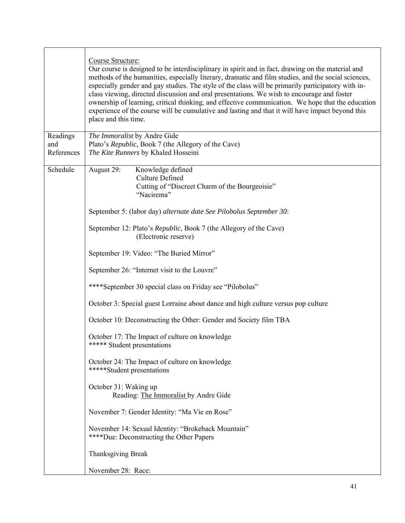|                               | Course Structure:<br>Our course is designed to be interdisciplinary in spirit and in fact, drawing on the material and<br>methods of the humanities, especially literary, dramatic and film studies, and the social sciences,<br>especially gender and gay studies. The style of the class will be primarily participatory with in-<br>class viewing, directed discussion and oral presentations. We wish to encourage and foster<br>ownership of learning, critical thinking, and effective communication. We hope that the education<br>experience of the course will be cumulative and lasting and that it will have impact beyond this<br>place and this time. |
|-------------------------------|--------------------------------------------------------------------------------------------------------------------------------------------------------------------------------------------------------------------------------------------------------------------------------------------------------------------------------------------------------------------------------------------------------------------------------------------------------------------------------------------------------------------------------------------------------------------------------------------------------------------------------------------------------------------|
| Readings<br>and<br>References | The Immoralist by Andre Gide<br>Plato's Republic, Book 7 (the Allegory of the Cave)<br>The Kite Runners by Khaled Hosseini                                                                                                                                                                                                                                                                                                                                                                                                                                                                                                                                         |
| Schedule                      | August 29:<br>Knowledge defined<br><b>Culture Defined</b><br>Cutting of "Discreet Charm of the Bourgeoisie"<br>"Nacirema"                                                                                                                                                                                                                                                                                                                                                                                                                                                                                                                                          |
|                               | September 5: (labor day) alternate date See Pilobolus September 30:                                                                                                                                                                                                                                                                                                                                                                                                                                                                                                                                                                                                |
|                               | September 12: Plato's Republic, Book 7 (the Allegory of the Cave)<br>(Electronic reserve)                                                                                                                                                                                                                                                                                                                                                                                                                                                                                                                                                                          |
|                               | September 19: Video: "The Buried Mirror"                                                                                                                                                                                                                                                                                                                                                                                                                                                                                                                                                                                                                           |
|                               | September 26: "Internet visit to the Louvre"                                                                                                                                                                                                                                                                                                                                                                                                                                                                                                                                                                                                                       |
|                               | ****September 30 special class on Friday see "Pilobolus"                                                                                                                                                                                                                                                                                                                                                                                                                                                                                                                                                                                                           |
|                               | October 3: Special guest Lorraine about dance and high culture versus pop culture                                                                                                                                                                                                                                                                                                                                                                                                                                                                                                                                                                                  |
|                               | October 10: Deconstructing the Other: Gender and Society film TBA                                                                                                                                                                                                                                                                                                                                                                                                                                                                                                                                                                                                  |
|                               | October 17: The Impact of culture on knowledge<br>***** Student presentations                                                                                                                                                                                                                                                                                                                                                                                                                                                                                                                                                                                      |
|                               | October 24: The Impact of culture on knowledge<br>*****Student presentations                                                                                                                                                                                                                                                                                                                                                                                                                                                                                                                                                                                       |
|                               | October 31: Waking up<br>Reading: The Immoralist by Andre Gide                                                                                                                                                                                                                                                                                                                                                                                                                                                                                                                                                                                                     |
|                               | November 7: Gender Identity: "Ma Vie en Rose"                                                                                                                                                                                                                                                                                                                                                                                                                                                                                                                                                                                                                      |
|                               | November 14: Sexual Identity: "Brokeback Mountain"<br>****Due: Deconstructing the Other Papers                                                                                                                                                                                                                                                                                                                                                                                                                                                                                                                                                                     |
|                               | <b>Thanksgiving Break</b>                                                                                                                                                                                                                                                                                                                                                                                                                                                                                                                                                                                                                                          |
|                               | November 28: Race:                                                                                                                                                                                                                                                                                                                                                                                                                                                                                                                                                                                                                                                 |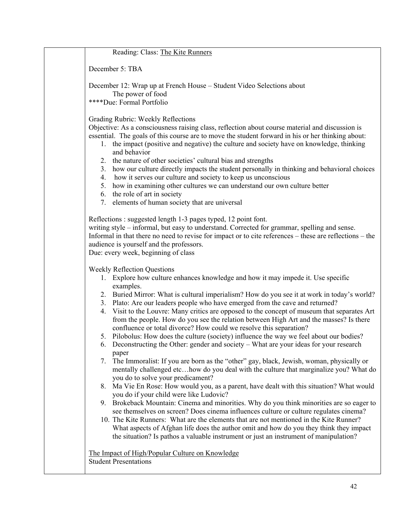| Reading: Class: The Kite Runners                                                                                                                                                                                                                                                                                                                                                                                                                                                                                                                                                                                                                                                                                                                                                                                                                                                                                                                                                                                                                                                                                                                                                                                                                                                                                                                                                                                                                                                                                                                                                                                                 |
|----------------------------------------------------------------------------------------------------------------------------------------------------------------------------------------------------------------------------------------------------------------------------------------------------------------------------------------------------------------------------------------------------------------------------------------------------------------------------------------------------------------------------------------------------------------------------------------------------------------------------------------------------------------------------------------------------------------------------------------------------------------------------------------------------------------------------------------------------------------------------------------------------------------------------------------------------------------------------------------------------------------------------------------------------------------------------------------------------------------------------------------------------------------------------------------------------------------------------------------------------------------------------------------------------------------------------------------------------------------------------------------------------------------------------------------------------------------------------------------------------------------------------------------------------------------------------------------------------------------------------------|
| December 5: TBA                                                                                                                                                                                                                                                                                                                                                                                                                                                                                                                                                                                                                                                                                                                                                                                                                                                                                                                                                                                                                                                                                                                                                                                                                                                                                                                                                                                                                                                                                                                                                                                                                  |
| December 12: Wrap up at French House – Student Video Selections about<br>The power of food<br>****Due: Formal Portfolio                                                                                                                                                                                                                                                                                                                                                                                                                                                                                                                                                                                                                                                                                                                                                                                                                                                                                                                                                                                                                                                                                                                                                                                                                                                                                                                                                                                                                                                                                                          |
| Grading Rubric: Weekly Reflections<br>Objective: As a consciousness raising class, reflection about course material and discussion is<br>essential. The goals of this course are to move the student forward in his or her thinking about:<br>1. the impact (positive and negative) the culture and society have on knowledge, thinking<br>and behavior<br>the nature of other societies' cultural bias and strengths<br>2.<br>how our culture directly impacts the student personally in thinking and behavioral choices<br>3.<br>how it serves our culture and society to keep us unconscious<br>4.<br>how in examining other cultures we can understand our own culture better<br>5.<br>6. the role of art in society<br>7. elements of human society that are universal                                                                                                                                                                                                                                                                                                                                                                                                                                                                                                                                                                                                                                                                                                                                                                                                                                                      |
| Reflections: suggested length 1-3 pages typed, 12 point font.<br>writing style – informal, but easy to understand. Corrected for grammar, spelling and sense.<br>Informal in that there no need to revise for impact or to cite references – these are reflections – the<br>audience is yourself and the professors.<br>Due: every week, beginning of class                                                                                                                                                                                                                                                                                                                                                                                                                                                                                                                                                                                                                                                                                                                                                                                                                                                                                                                                                                                                                                                                                                                                                                                                                                                                      |
| <b>Weekly Reflection Questions</b><br>1. Explore how culture enhances knowledge and how it may impede it. Use specific<br>examples.<br>2. Buried Mirror: What is cultural imperialism? How do you see it at work in today's world?<br>3. Plato: Are our leaders people who have emerged from the cave and returned?<br>Visit to the Louvre: Many critics are opposed to the concept of museum that separates Art<br>4.<br>from the people. How do you see the relation between High Art and the masses? Is there<br>confluence or total divorce? How could we resolve this separation?<br>5. Pilobolus: How does the culture (society) influence the way we feel about our bodies?<br>6. Deconstructing the Other: gender and society – What are your ideas for your research<br>paper<br>The Immoralist: If you are born as the "other" gay, black, Jewish, woman, physically or<br>7.<br>mentally challenged etchow do you deal with the culture that marginalize you? What do<br>you do to solve your predicament?<br>8. Ma Vie En Rose: How would you, as a parent, have dealt with this situation? What would<br>you do if your child were like Ludovic?<br>9. Brokeback Mountain: Cinema and minorities. Why do you think minorities are so eager to<br>see themselves on screen? Does cinema influences culture or culture regulates cinema?<br>10. The Kite Runners: What are the elements that are not mentioned in the Kite Runner?<br>What aspects of Afghan life does the author omit and how do you they think they impact<br>the situation? Is pathos a valuable instrument or just an instrument of manipulation? |
| The Impact of High/Popular Culture on Knowledge<br><b>Student Presentations</b>                                                                                                                                                                                                                                                                                                                                                                                                                                                                                                                                                                                                                                                                                                                                                                                                                                                                                                                                                                                                                                                                                                                                                                                                                                                                                                                                                                                                                                                                                                                                                  |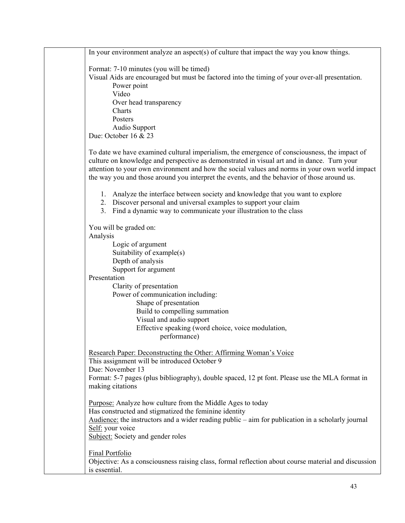In your environment analyze an aspect(s) of culture that impact the way you know things. Format: 7-10 minutes (you will be timed) Visual Aids are encouraged but must be factored into the timing of your over-all presentation. Power point Video Over head transparency Charts Posters Audio Support Due: October 16 & 23 To date we have examined cultural imperialism, the emergence of consciousness, the impact of culture on knowledge and perspective as demonstrated in visual art and in dance. Turn your attention to your own environment and how the social values and norms in your own world impact the way you and those around you interpret the events, and the behavior of those around us. 1. Analyze the interface between society and knowledge that you want to explore 2. Discover personal and universal examples to support your claim 3. Find a dynamic way to communicate your illustration to the class You will be graded on: Analysis Logic of argument Suitability of example(s) Depth of analysis Support for argument Presentation Clarity of presentation Power of communication including: Shape of presentation Build to compelling summation Visual and audio support Effective speaking (word choice, voice modulation, performance) Research Paper: Deconstructing the Other: Affirming Woman's Voice This assignment will be introduced October 9 Due: November 13 Format: 5-7 pages (plus bibliography), double spaced, 12 pt font. Please use the MLA format in making citations Purpose: Analyze how culture from the Middle Ages to today Has constructed and stigmatized the feminine identity Audience: the instructors and a wider reading public – aim for publication in a scholarly journal Self: your voice Subject: Society and gender roles Final Portfolio Objective: As a consciousness raising class, formal reflection about course material and discussion is essential.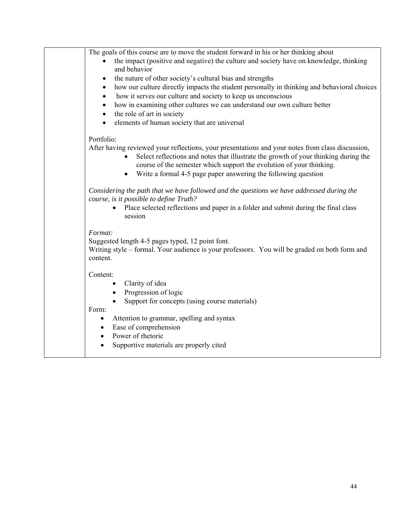| The goals of this course are to move the student forward in his or her thinking about<br>the impact (positive and negative) the culture and society have on knowledge, thinking                                                                                 |
|-----------------------------------------------------------------------------------------------------------------------------------------------------------------------------------------------------------------------------------------------------------------|
| and behavior                                                                                                                                                                                                                                                    |
| the nature of other society's cultural bias and strengths<br>$\bullet$                                                                                                                                                                                          |
| how our culture directly impacts the student personally in thinking and behavioral choices<br>$\bullet$                                                                                                                                                         |
| how it serves our culture and society to keep us unconscious<br>$\bullet$                                                                                                                                                                                       |
| how in examining other cultures we can understand our own culture better<br>$\bullet$                                                                                                                                                                           |
| the role of art in society<br>$\bullet$                                                                                                                                                                                                                         |
| elements of human society that are universal<br>$\bullet$                                                                                                                                                                                                       |
| Portfolio:                                                                                                                                                                                                                                                      |
| After having reviewed your reflections, your presentations and your notes from class discussion,<br>Select reflections and notes that illustrate the growth of your thinking during the<br>course of the semester which support the evolution of your thinking. |
| Write a formal 4-5 page paper answering the following question<br>$\bullet$                                                                                                                                                                                     |
| Considering the path that we have followed and the questions we have addressed during the<br>course, is it possible to define Truth?                                                                                                                            |
| Place selected reflections and paper in a folder and submit during the final class<br>session                                                                                                                                                                   |
| Format:                                                                                                                                                                                                                                                         |
| Suggested length 4-5 pages typed, 12 point font.                                                                                                                                                                                                                |
| Writing style - formal. Your audience is your professors. You will be graded on both form and<br>content.                                                                                                                                                       |
| Content:                                                                                                                                                                                                                                                        |
| Clarity of idea                                                                                                                                                                                                                                                 |
| Progression of logic                                                                                                                                                                                                                                            |
| Support for concepts (using course materials)                                                                                                                                                                                                                   |
| Form:                                                                                                                                                                                                                                                           |
| Attention to grammar, spelling and syntax<br>$\bullet$                                                                                                                                                                                                          |
| Ease of comprehension<br>$\bullet$                                                                                                                                                                                                                              |
| Power of rhetoric<br>$\bullet$                                                                                                                                                                                                                                  |
| Supportive materials are properly cited<br>$\bullet$                                                                                                                                                                                                            |
|                                                                                                                                                                                                                                                                 |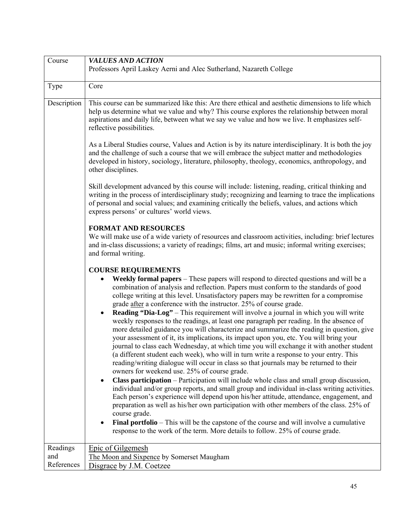| Course                        | <b>VALUES AND ACTION</b>                                                                                                                                                                                                                                                                                                                                                                                                                                                                                                                                                                                                                                                                                                                                                                                                                                                                                                                                                                                                                                                                                                                                                                                                                                                                                                                                                                                                                                                                                                                                                                                                                                                                                          |
|-------------------------------|-------------------------------------------------------------------------------------------------------------------------------------------------------------------------------------------------------------------------------------------------------------------------------------------------------------------------------------------------------------------------------------------------------------------------------------------------------------------------------------------------------------------------------------------------------------------------------------------------------------------------------------------------------------------------------------------------------------------------------------------------------------------------------------------------------------------------------------------------------------------------------------------------------------------------------------------------------------------------------------------------------------------------------------------------------------------------------------------------------------------------------------------------------------------------------------------------------------------------------------------------------------------------------------------------------------------------------------------------------------------------------------------------------------------------------------------------------------------------------------------------------------------------------------------------------------------------------------------------------------------------------------------------------------------------------------------------------------------|
|                               | Professors April Laskey Aerni and Alec Sutherland, Nazareth College                                                                                                                                                                                                                                                                                                                                                                                                                                                                                                                                                                                                                                                                                                                                                                                                                                                                                                                                                                                                                                                                                                                                                                                                                                                                                                                                                                                                                                                                                                                                                                                                                                               |
| Type                          | Core                                                                                                                                                                                                                                                                                                                                                                                                                                                                                                                                                                                                                                                                                                                                                                                                                                                                                                                                                                                                                                                                                                                                                                                                                                                                                                                                                                                                                                                                                                                                                                                                                                                                                                              |
| Description                   | This course can be summarized like this: Are there ethical and aesthetic dimensions to life which<br>help us determine what we value and why? This course explores the relationship between moral<br>aspirations and daily life, between what we say we value and how we live. It emphasizes self-<br>reflective possibilities.                                                                                                                                                                                                                                                                                                                                                                                                                                                                                                                                                                                                                                                                                                                                                                                                                                                                                                                                                                                                                                                                                                                                                                                                                                                                                                                                                                                   |
|                               | As a Liberal Studies course, Values and Action is by its nature interdisciplinary. It is both the joy<br>and the challenge of such a course that we will embrace the subject matter and methodologies<br>developed in history, sociology, literature, philosophy, theology, economics, anthropology, and<br>other disciplines.                                                                                                                                                                                                                                                                                                                                                                                                                                                                                                                                                                                                                                                                                                                                                                                                                                                                                                                                                                                                                                                                                                                                                                                                                                                                                                                                                                                    |
|                               | Skill development advanced by this course will include: listening, reading, critical thinking and<br>writing in the process of interdisciplinary study; recognizing and learning to trace the implications<br>of personal and social values; and examining critically the beliefs, values, and actions which<br>express persons' or cultures' world views.                                                                                                                                                                                                                                                                                                                                                                                                                                                                                                                                                                                                                                                                                                                                                                                                                                                                                                                                                                                                                                                                                                                                                                                                                                                                                                                                                        |
|                               | <b>FORMAT AND RESOURCES</b><br>We will make use of a wide variety of resources and classroom activities, including: brief lectures<br>and in-class discussions; a variety of readings; films, art and music; informal writing exercises;<br>and formal writing.                                                                                                                                                                                                                                                                                                                                                                                                                                                                                                                                                                                                                                                                                                                                                                                                                                                                                                                                                                                                                                                                                                                                                                                                                                                                                                                                                                                                                                                   |
|                               | <b>COURSE REQUIREMENTS</b><br>Weekly formal papers - These papers will respond to directed questions and will be a<br>combination of analysis and reflection. Papers must conform to the standards of good<br>college writing at this level. Unsatisfactory papers may be rewritten for a compromise<br>grade after a conference with the instructor. 25% of course grade.<br><b>Reading "Dia-Log"</b> – This requirement will involve a journal in which you will write<br>$\bullet$<br>weekly responses to the readings, at least one paragraph per reading. In the absence of<br>more detailed guidance you will characterize and summarize the reading in question, give<br>your assessment of it, its implications, its impact upon you, etc. You will bring your<br>journal to class each Wednesday, at which time you will exchange it with another student<br>(a different student each week), who will in turn write a response to your entry. This<br>reading/writing dialogue will occur in class so that journals may be returned to their<br>owners for weekend use. 25% of course grade.<br>Class participation – Participation will include whole class and small group discussion,<br>$\bullet$<br>individual and/or group reports, and small group and individual in-class writing activities.<br>Each person's experience will depend upon his/her attitude, attendance, engagement, and<br>preparation as well as his/her own participation with other members of the class. 25% of<br>course grade.<br>Final portfolio – This will be the capstone of the course and will involve a cumulative<br>$\bullet$<br>response to the work of the term. More details to follow. 25% of course grade. |
| Readings<br>and<br>References | Epic of Gilgemesh<br>The Moon and Sixpence by Somerset Maugham<br>Disgrace by J.M. Coetzee                                                                                                                                                                                                                                                                                                                                                                                                                                                                                                                                                                                                                                                                                                                                                                                                                                                                                                                                                                                                                                                                                                                                                                                                                                                                                                                                                                                                                                                                                                                                                                                                                        |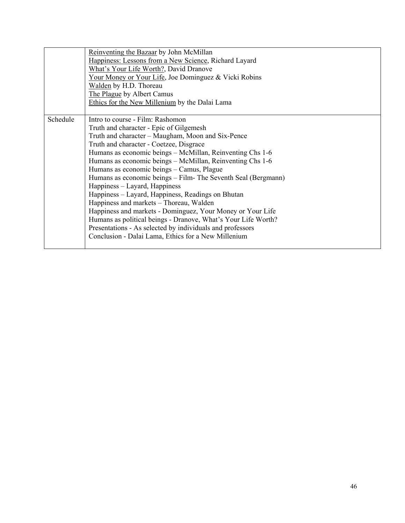|          | Reinventing the Bazaar by John McMillan                       |
|----------|---------------------------------------------------------------|
|          | Happiness: Lessons from a New Science, Richard Layard         |
|          | What's Your Life Worth?, David Dranove                        |
|          | Your Money or Your Life, Joe Dominguez & Vicki Robins         |
|          | Walden by H.D. Thoreau                                        |
|          | The Plague by Albert Camus                                    |
|          | Ethics for the New Millenium by the Dalai Lama                |
|          |                                                               |
| Schedule | Intro to course - Film: Rashomon                              |
|          | Truth and character - Epic of Gilgemesh                       |
|          | Truth and character – Maugham, Moon and Six-Pence             |
|          | Truth and character - Coetzee, Disgrace                       |
|          | Humans as economic beings - McMillan, Reinventing Chs 1-6     |
|          | Humans as economic beings - McMillan, Reinventing Chs 1-6     |
|          | Humans as economic beings - Camus, Plague                     |
|          | Humans as economic beings – Film- The Seventh Seal (Bergmann) |
|          | Happiness – Layard, Happiness                                 |
|          | Happiness – Layard, Happiness, Readings on Bhutan             |
|          | Happiness and markets - Thoreau, Walden                       |
|          | Happiness and markets - Dominguez, Your Money or Your Life    |
|          | Humans as political beings - Dranove, What's Your Life Worth? |
|          | Presentations - As selected by individuals and professors     |
|          | Conclusion - Dalai Lama, Ethics for a New Millenium           |
|          |                                                               |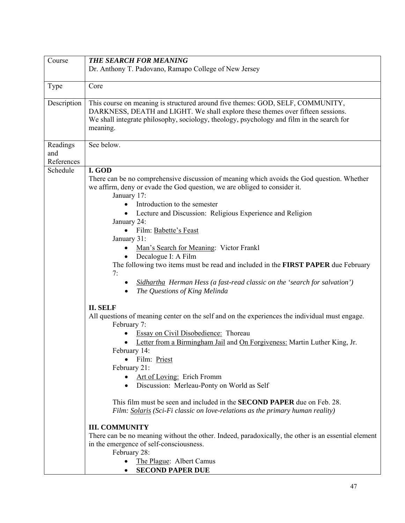| Course                        | <b>THE SEARCH FOR MEANING</b>                                                                                                                                                                                                                                                                                                                                                                                                                                                                                                                                                                                                                                                                                                                                                                                                             |
|-------------------------------|-------------------------------------------------------------------------------------------------------------------------------------------------------------------------------------------------------------------------------------------------------------------------------------------------------------------------------------------------------------------------------------------------------------------------------------------------------------------------------------------------------------------------------------------------------------------------------------------------------------------------------------------------------------------------------------------------------------------------------------------------------------------------------------------------------------------------------------------|
|                               | Dr. Anthony T. Padovano, Ramapo College of New Jersey                                                                                                                                                                                                                                                                                                                                                                                                                                                                                                                                                                                                                                                                                                                                                                                     |
| Type                          | Core                                                                                                                                                                                                                                                                                                                                                                                                                                                                                                                                                                                                                                                                                                                                                                                                                                      |
| Description                   | This course on meaning is structured around five themes: GOD, SELF, COMMUNITY,<br>DARKNESS, DEATH and LIGHT. We shall explore these themes over fifteen sessions.<br>We shall integrate philosophy, sociology, theology, psychology and film in the search for<br>meaning.                                                                                                                                                                                                                                                                                                                                                                                                                                                                                                                                                                |
| Readings<br>and<br>References | See below.                                                                                                                                                                                                                                                                                                                                                                                                                                                                                                                                                                                                                                                                                                                                                                                                                                |
| Schedule                      | I. GOD<br>There can be no comprehensive discussion of meaning which avoids the God question. Whether<br>we affirm, deny or evade the God question, we are obliged to consider it.<br>January 17:<br>Introduction to the semester<br>$\bullet$<br>Lecture and Discussion: Religious Experience and Religion<br>January 24:<br>Film: Babette's Feast<br>January 31:<br>Man's Search for Meaning: Victor Frankl<br>Decalogue I: A Film<br>The following two items must be read and included in the FIRST PAPER due February<br>7:<br>Sidhartha Herman Hess (a fast-read classic on the 'search for salvation')<br>The Questions of King Melinda<br>٠                                                                                                                                                                                         |
|                               | <b>II. SELF</b><br>All questions of meaning center on the self and on the experiences the individual must engage.<br>February 7:<br><b>Essay on Civil Disobedience:</b> Thoreau<br>Letter from a Birmingham Jail and On Forgiveness: Martin Luther King, Jr.<br>February 14:<br>· Film: Priest<br>February 21:<br>Art of Loving: Erich Fromm<br>$\bullet$<br>Discussion: Merleau-Ponty on World as Self<br>$\bullet$<br>This film must be seen and included in the <b>SECOND PAPER</b> due on Feb. 28.<br>Film: Solaris (Sci-Fi classic on love-relations as the primary human reality)<br><b>III. COMMUNITY</b><br>There can be no meaning without the other. Indeed, paradoxically, the other is an essential element<br>in the emergence of self-consciousness.<br>February 28:<br>The Plague: Albert Camus<br><b>SECOND PAPER DUE</b> |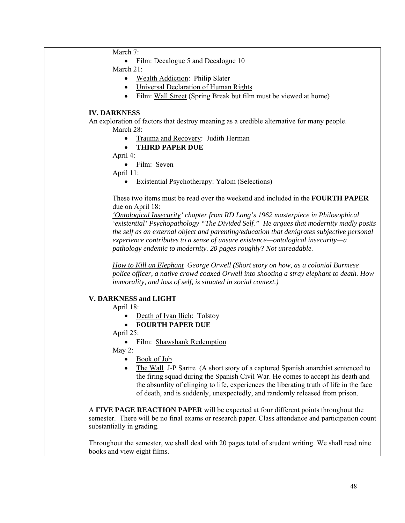| March 7:                                                                                               |
|--------------------------------------------------------------------------------------------------------|
| Film: Decalogue 5 and Decalogue 10<br>$\bullet$                                                        |
| March 21:                                                                                              |
| Wealth Addiction: Philip Slater<br>٠                                                                   |
| Universal Declaration of Human Rights<br>$\bullet$                                                     |
| Film: Wall Street (Spring Break but film must be viewed at home)<br>$\bullet$                          |
|                                                                                                        |
| <b>IV. DARKNESS</b>                                                                                    |
|                                                                                                        |
| An exploration of factors that destroy meaning as a credible alternative for many people.<br>March 28: |
|                                                                                                        |
| Trauma and Recovery: Judith Herman<br>$\bullet$                                                        |
| <b>THIRD PAPER DUE</b><br>$\bullet$                                                                    |
| April 4:                                                                                               |
| Film: Seven                                                                                            |
| April 11:                                                                                              |
| <b>Existential Psychotherapy: Yalom (Selections)</b>                                                   |
|                                                                                                        |
| These two items must be read over the weekend and included in the <b>FOURTH PAPER</b>                  |
| due on April 18:                                                                                       |
| 'Ontological Insecurity' chapter from RD Lang's 1962 masterpiece in Philosophical                      |
| 'existential' Psychopathology "The Divided Self." He argues that modernity madly posits                |
| the self as an external object and parenting/education that denigrates subjective personal             |
| experience contributes to a sense of unsure existence—ontological insecurity—a                         |
| pathology endemic to modernity. 20 pages roughly? Not unreadable.                                      |
|                                                                                                        |
| How to Kill an Elephant George Orwell (Short story on how, as a colonial Burmese                       |
| police officer, a native crowd coaxed Orwell into shooting a stray elephant to death. How              |
| immorality, and loss of self, is situated in social context.)                                          |
|                                                                                                        |
| <b>V. DARKNESS and LIGHT</b>                                                                           |
| April 18:                                                                                              |
| Death of Ivan Ilich: Tolstoy                                                                           |
| <b>FOURTH PAPER DUE</b><br>$\bullet$                                                                   |
| April 25:                                                                                              |
| Film: Shawshank Redemption                                                                             |
|                                                                                                        |
| May 2:                                                                                                 |
| <b>Book of Job</b>                                                                                     |
| The Wall J-P Sartre (A short story of a captured Spanish anarchist sentenced to<br>$\bullet$           |
| the firing squad during the Spanish Civil War. He comes to accept his death and                        |
| the absurdity of clinging to life, experiences the liberating truth of life in the face                |
| of death, and is suddenly, unexpectedly, and randomly released from prison.                            |
|                                                                                                        |
| A FIVE PAGE REACTION PAPER will be expected at four different points throughout the                    |
| semester. There will be no final exams or research paper. Class attendance and participation count     |
| substantially in grading.                                                                              |
|                                                                                                        |
| Throughout the semester, we shall deal with 20 pages total of student writing. We shall read nine      |
| books and view eight films.                                                                            |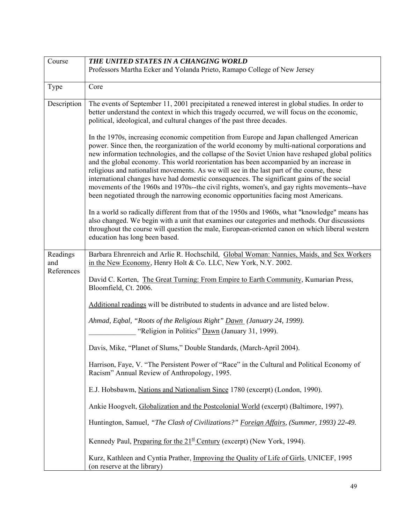| Course                        | THE UNITED STATES IN A CHANGING WORLD                                                                                                                                                                                                                                                                                                                                                                                                                                                                                                                                      |
|-------------------------------|----------------------------------------------------------------------------------------------------------------------------------------------------------------------------------------------------------------------------------------------------------------------------------------------------------------------------------------------------------------------------------------------------------------------------------------------------------------------------------------------------------------------------------------------------------------------------|
|                               | Professors Martha Ecker and Yolanda Prieto, Ramapo College of New Jersey                                                                                                                                                                                                                                                                                                                                                                                                                                                                                                   |
| Type                          | Core                                                                                                                                                                                                                                                                                                                                                                                                                                                                                                                                                                       |
| Description                   | The events of September 11, 2001 precipitated a renewed interest in global studies. In order to<br>better understand the context in which this tragedy occurred, we will focus on the economic,<br>political, ideological, and cultural changes of the past three decades.<br>In the 1970s, increasing economic competition from Europe and Japan challenged American<br>power. Since then, the reorganization of the world economy by multi-national corporations and<br>new information technologies, and the collapse of the Soviet Union have reshaped global politics |
|                               | and the global economy. This world reorientation has been accompanied by an increase in<br>religious and nationalist movements. As we will see in the last part of the course, these<br>international changes have had domestic consequences. The significant gains of the social<br>movements of the 1960s and 1970s--the civil rights, women's, and gay rights movements--have<br>been negotiated through the narrowing economic opportunities facing most Americans.                                                                                                    |
|                               | In a world so radically different from that of the 1950s and 1960s, what "knowledge" means has<br>also changed. We begin with a unit that examines our categories and methods. Our discussions<br>throughout the course will question the male, European-oriented canon on which liberal western<br>education has long been based.                                                                                                                                                                                                                                         |
| Readings<br>and<br>References | Barbara Ehrenreich and Arlie R. Hochschild, Global Woman: Nannies, Maids, and Sex Workers<br>in the New Economy, Henry Holt & Co. LLC, New York, N.Y. 2002.                                                                                                                                                                                                                                                                                                                                                                                                                |
|                               | David C. Korten, The Great Turning: From Empire to Earth Community, Kumarian Press,<br>Bloomfield, Ct. 2006.                                                                                                                                                                                                                                                                                                                                                                                                                                                               |
|                               | Additional readings will be distributed to students in advance and are listed below.                                                                                                                                                                                                                                                                                                                                                                                                                                                                                       |
|                               | Ahmad, Eqbal, "Roots of the Religious Right" Dawn (January 24, 1999).<br>"Religion in Politics" Dawn (January 31, 1999).                                                                                                                                                                                                                                                                                                                                                                                                                                                   |
|                               | Davis, Mike, "Planet of Slums," Double Standards, (March-April 2004).                                                                                                                                                                                                                                                                                                                                                                                                                                                                                                      |
|                               | Harrison, Faye, V. "The Persistent Power of "Race" in the Cultural and Political Economy of<br>Racism" Annual Review of Anthropology, 1995.                                                                                                                                                                                                                                                                                                                                                                                                                                |
|                               | E.J. Hobsbawm, Nations and Nationalism Since 1780 (excerpt) (London, 1990).                                                                                                                                                                                                                                                                                                                                                                                                                                                                                                |
|                               | Ankie Hoogvelt, Globalization and the Postcolonial World (excerpt) (Baltimore, 1997).                                                                                                                                                                                                                                                                                                                                                                                                                                                                                      |
|                               | Huntington, Samuel, "The Clash of Civilizations?" Foreign Affairs, (Summer, 1993) 22-49.                                                                                                                                                                                                                                                                                                                                                                                                                                                                                   |
|                               | Kennedy Paul, Preparing for the $21^{\underline{st}}$ Century (excerpt) (New York, 1994).                                                                                                                                                                                                                                                                                                                                                                                                                                                                                  |
|                               | Kurz, Kathleen and Cyntia Prather, Improving the Quality of Life of Girls, UNICEF, 1995<br>(on reserve at the library)                                                                                                                                                                                                                                                                                                                                                                                                                                                     |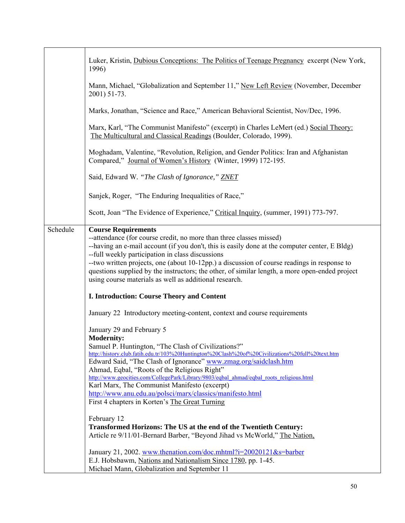|          | Luker, Kristin, Dubious Conceptions: The Politics of Teenage Pregnancy excerpt (New York,<br>1996)                                                                                                                                                                                                                                                                                                                                                                                                                |
|----------|-------------------------------------------------------------------------------------------------------------------------------------------------------------------------------------------------------------------------------------------------------------------------------------------------------------------------------------------------------------------------------------------------------------------------------------------------------------------------------------------------------------------|
|          | Mann, Michael, "Globalization and September 11," New Left Review (November, December<br>2001) 51-73.                                                                                                                                                                                                                                                                                                                                                                                                              |
|          | Marks, Jonathan, "Science and Race," American Behavioral Scientist, Nov/Dec, 1996.                                                                                                                                                                                                                                                                                                                                                                                                                                |
|          | Marx, Karl, "The Communist Manifesto" (excerpt) in Charles LeMert (ed.) Social Theory:<br>The Multicultural and Classical Readings (Boulder, Colorado, 1999).                                                                                                                                                                                                                                                                                                                                                     |
|          | Moghadam, Valentine, "Revolution, Religion, and Gender Politics: Iran and Afghanistan<br>Compared," Journal of Women's History (Winter, 1999) 172-195.                                                                                                                                                                                                                                                                                                                                                            |
|          | Said, Edward W. "The Clash of Ignorance," ZNET                                                                                                                                                                                                                                                                                                                                                                                                                                                                    |
|          | Sanjek, Roger, "The Enduring Inequalities of Race,"                                                                                                                                                                                                                                                                                                                                                                                                                                                               |
|          | Scott, Joan "The Evidence of Experience," Critical Inquiry, (summer, 1991) 773-797.                                                                                                                                                                                                                                                                                                                                                                                                                               |
| Schedule | <b>Course Requirements</b><br>--attendance (for course credit, no more than three classes missed)<br>--having an e-mail account (if you don't, this is easily done at the computer center, E Bldg)<br>--full weekly participation in class discussions<br>--two written projects, one (about 10-12pp.) a discussion of course readings in response to<br>questions supplied by the instructors; the other, of similar length, a more open-ended project<br>using course materials as well as additional research. |
|          | I. Introduction: Course Theory and Content                                                                                                                                                                                                                                                                                                                                                                                                                                                                        |
|          | January 22 Introductory meeting-content, context and course requirements                                                                                                                                                                                                                                                                                                                                                                                                                                          |
|          | January 29 and February 5<br><b>Modernity:</b>                                                                                                                                                                                                                                                                                                                                                                                                                                                                    |
|          | Samuel P. Huntington, "The Clash of Civilizations?"                                                                                                                                                                                                                                                                                                                                                                                                                                                               |
|          | http://history.club.fatih.edu.tr/103%20Huntington%20Clash%20of%20Civilizations%20full%20text.htm<br>Edward Said, "The Clash of Ignorance" www.zmag.org/saidclash.htm                                                                                                                                                                                                                                                                                                                                              |
|          | Ahmad, Eqbal, "Roots of the Religious Right"<br>http://www.geocities.com/CollegePark/Library/9803/eqbal ahmad/eqbal roots religious.html                                                                                                                                                                                                                                                                                                                                                                          |
|          | Karl Marx, The Communist Manifesto (excerpt)                                                                                                                                                                                                                                                                                                                                                                                                                                                                      |
|          | http://www.anu.edu.au/polsci/marx/classics/manifesto.html<br>First 4 chapters in Korten's The Great Turning                                                                                                                                                                                                                                                                                                                                                                                                       |
|          |                                                                                                                                                                                                                                                                                                                                                                                                                                                                                                                   |
|          | February 12<br>Transformed Horizons: The US at the end of the Twentieth Century:                                                                                                                                                                                                                                                                                                                                                                                                                                  |
|          | Article re 9/11/01-Bernard Barber, "Beyond Jihad vs McWorld," The Nation,                                                                                                                                                                                                                                                                                                                                                                                                                                         |
|          | January 21, 2002. www.thenation.com/doc.mhtml?i=20020121&s=barber<br>E.J. Hobsbawm, Nations and Nationalism Since 1780, pp. 1-45.<br>Michael Mann, Globalization and September 11                                                                                                                                                                                                                                                                                                                                 |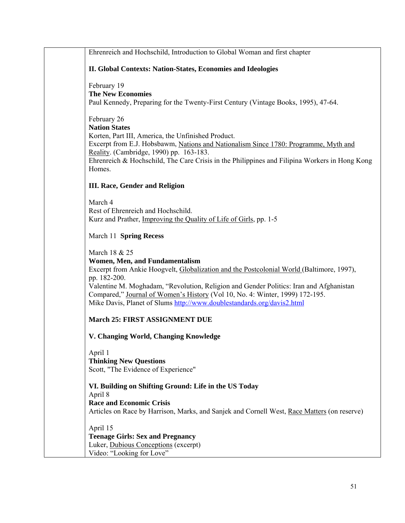| Ehrenreich and Hochschild, Introduction to Global Woman and first chapter                                                                                                                                                                                                                                                                                                                                       |
|-----------------------------------------------------------------------------------------------------------------------------------------------------------------------------------------------------------------------------------------------------------------------------------------------------------------------------------------------------------------------------------------------------------------|
| II. Global Contexts: Nation-States, Economies and Ideologies                                                                                                                                                                                                                                                                                                                                                    |
| February 19<br><b>The New Economies</b><br>Paul Kennedy, Preparing for the Twenty-First Century (Vintage Books, 1995), 47-64.                                                                                                                                                                                                                                                                                   |
| February 26<br><b>Nation States</b><br>Korten, Part III, America, the Unfinished Product.<br>Excerpt from E.J. Hobsbawm, Nations and Nationalism Since 1780: Programme, Myth and<br>Reality. (Cambridge, 1990) pp. 163-183.<br>Ehrenreich & Hochschild, The Care Crisis in the Philippines and Filipina Workers in Hong Kong<br>Homes.                                                                          |
| <b>III. Race, Gender and Religion</b>                                                                                                                                                                                                                                                                                                                                                                           |
| March 4<br>Rest of Ehrenreich and Hochschild.<br>Kurz and Prather, Improving the Quality of Life of Girls, pp. 1-5                                                                                                                                                                                                                                                                                              |
| March 11 Spring Recess                                                                                                                                                                                                                                                                                                                                                                                          |
| March 18 & 25<br>Women, Men, and Fundamentalism<br>Excerpt from Ankie Hoogvelt, Globalization and the Postcolonial World (Baltimore, 1997),<br>pp. 182-200.<br>Valentine M. Moghadam, "Revolution, Religion and Gender Politics: Iran and Afghanistan<br>Compared," Journal of Women's History (Vol 10, No. 4: Winter, 1999) 172-195.<br>Mike Davis, Planet of Slums http://www.doublestandards.org/davis2.html |
| <b>March 25: FIRST ASSIGNMENT DUE</b>                                                                                                                                                                                                                                                                                                                                                                           |
| V. Changing World, Changing Knowledge                                                                                                                                                                                                                                                                                                                                                                           |
| April 1<br><b>Thinking New Questions</b><br>Scott, "The Evidence of Experience"                                                                                                                                                                                                                                                                                                                                 |
| VI. Building on Shifting Ground: Life in the US Today                                                                                                                                                                                                                                                                                                                                                           |
| April 8<br><b>Race and Economic Crisis</b><br>Articles on Race by Harrison, Marks, and Sanjek and Cornell West, Race Matters (on reserve)                                                                                                                                                                                                                                                                       |
| April 15<br><b>Teenage Girls: Sex and Pregnancy</b><br>Luker, Dubious Conceptions (excerpt)<br>Video: "Looking for Love"                                                                                                                                                                                                                                                                                        |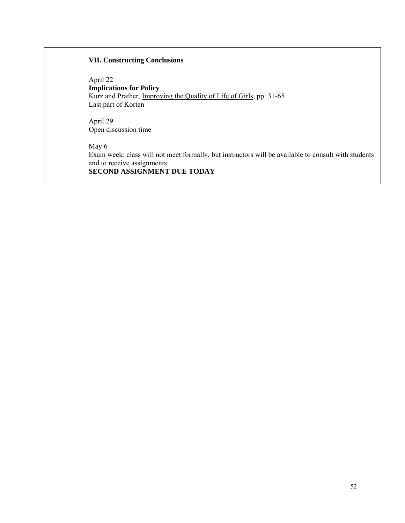| <b>VII. Constructing Conclusions</b>                                                                                                                                              |
|-----------------------------------------------------------------------------------------------------------------------------------------------------------------------------------|
| April 22<br><b>Implications for Policy</b><br>Kurz and Prather, Improving the Quality of Life of Girls, pp. 31-65<br>Last part of Korten                                          |
| April 29<br>Open discussion time                                                                                                                                                  |
| May 6<br>Exam week: class will not meet formally, but instructors will be available to consult with students<br>and to receive assignments:<br><b>SECOND ASSIGNMENT DUE TODAY</b> |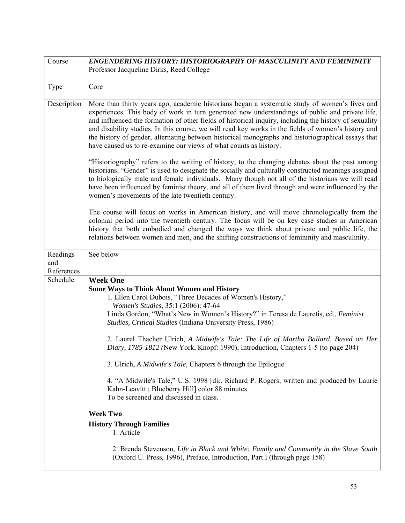| Course                        | ENGENDERING HISTORY: HISTORIOGRAPHY OF MASCULINITY AND FEMININITY                                                                                                                                                                                                                                                                                                                                                                                                                                                                                                                                                                                                                                                                                                                                                                                                                                                                 |
|-------------------------------|-----------------------------------------------------------------------------------------------------------------------------------------------------------------------------------------------------------------------------------------------------------------------------------------------------------------------------------------------------------------------------------------------------------------------------------------------------------------------------------------------------------------------------------------------------------------------------------------------------------------------------------------------------------------------------------------------------------------------------------------------------------------------------------------------------------------------------------------------------------------------------------------------------------------------------------|
|                               | Professor Jacqueline Dirks, Reed College                                                                                                                                                                                                                                                                                                                                                                                                                                                                                                                                                                                                                                                                                                                                                                                                                                                                                          |
|                               |                                                                                                                                                                                                                                                                                                                                                                                                                                                                                                                                                                                                                                                                                                                                                                                                                                                                                                                                   |
| Type                          | Core                                                                                                                                                                                                                                                                                                                                                                                                                                                                                                                                                                                                                                                                                                                                                                                                                                                                                                                              |
| Description                   | More than thirty years ago, academic historians began a systematic study of women's lives and<br>experiences. This body of work in turn generated new understandings of public and private life,<br>and influenced the formation of other fields of historical inquiry, including the history of sexuality<br>and disability studies. In this course, we will read key works in the fields of women's history and<br>the history of gender, alternating between historical monographs and historiographical essays that<br>have caused us to re-examine our views of what counts as history.                                                                                                                                                                                                                                                                                                                                      |
|                               | "Historiography" refers to the writing of history, to the changing debates about the past among<br>historians. "Gender" is used to designate the socially and culturally constructed meanings assigned<br>to biologically male and female individuals. Many though not all of the historians we will read<br>have been influenced by feminist theory, and all of them lived through and were influenced by the<br>women's movements of the late twentieth century.                                                                                                                                                                                                                                                                                                                                                                                                                                                                |
|                               | The course will focus on works in American history, and will move chronologically from the<br>colonial period into the twentieth century. The focus will be on key case studies in American<br>history that both embodied and changed the ways we think about private and public life, the<br>relations between women and men, and the shifting constructions of femininity and masculinity.                                                                                                                                                                                                                                                                                                                                                                                                                                                                                                                                      |
| Readings<br>and<br>References | See below                                                                                                                                                                                                                                                                                                                                                                                                                                                                                                                                                                                                                                                                                                                                                                                                                                                                                                                         |
| Schedule                      | <b>Week One</b><br><b>Some Ways to Think About Women and History</b><br>1. Ellen Carol Dubois, "Three Decades of Women's History,"<br>Women's Studies, 35:1 (2006): 47-64<br>Linda Gordon, "What's New in Women's History?" in Teresa de Lauretis, ed., Feminist<br>Studies, Critical Studies (Indiana University Press, 1986)<br>2. Laurel Thacher Ulrich, A Midwife's Tale: The Life of Martha Ballard, Based on Her<br>Diary, 1785-1812 (New York, Knopf: 1990), Introduction, Chapters 1-5 (to page 204)<br>3. Ulrich, A Midwife's Tale, Chapters 6 through the Epilogue<br>4. "A Midwife's Tale," U.S. 1998 [dir. Richard P. Rogers; written and produced by Laurie<br>Kahn-Leavitt; Blueberry Hill] color 88 minutes<br>To be screened and discussed in class.<br><b>Week Two</b><br><b>History Through Families</b><br>1. Article<br>2. Brenda Stevenson, Life in Black and White: Family and Community in the Slave South |
|                               | (Oxford U. Press, 1996), Preface, Introduction, Part I (through page 158)                                                                                                                                                                                                                                                                                                                                                                                                                                                                                                                                                                                                                                                                                                                                                                                                                                                         |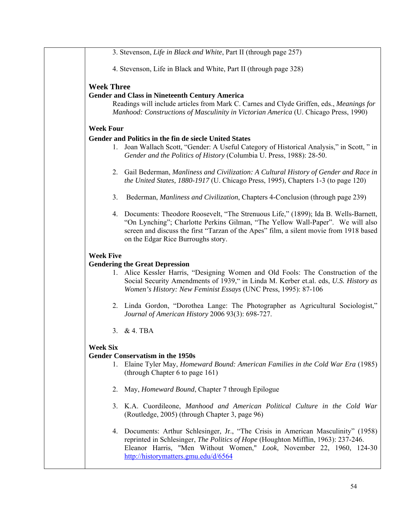| 3. Stevenson, Life in Black and White, Part II (through page 257)                                                                                                                                                                                                                                       |
|---------------------------------------------------------------------------------------------------------------------------------------------------------------------------------------------------------------------------------------------------------------------------------------------------------|
| 4. Stevenson, Life in Black and White, Part II (through page 328)                                                                                                                                                                                                                                       |
| <b>Week Three</b><br><b>Gender and Class in Nineteenth Century America</b><br>Readings will include articles from Mark C. Carnes and Clyde Griffen, eds., Meanings for<br>Manhood: Constructions of Masculinity in Victorian America (U. Chicago Press, 1990)                                           |
| <b>Week Four</b>                                                                                                                                                                                                                                                                                        |
| Gender and Politics in the fin de siecle United States<br>Joan Wallach Scott, "Gender: A Useful Category of Historical Analysis," in Scott, " in<br>1.<br>Gender and the Politics of History (Columbia U. Press, 1988): 28-50.                                                                          |
| Gail Bederman, Manliness and Civilization: A Cultural History of Gender and Race in<br>2.<br>the United States, 1880-1917 (U. Chicago Press, 1995), Chapters 1-3 (to page 120)                                                                                                                          |
| Bederman, Manliness and Civilization, Chapters 4-Conclusion (through page 239)<br>3.                                                                                                                                                                                                                    |
| 4. Documents: Theodore Roosevelt, "The Strenuous Life," (1899); Ida B. Wells-Barnett,<br>"On Lynching"; Charlotte Perkins Gilman, "The Yellow Wall-Paper". We will also<br>screen and discuss the first "Tarzan of the Apes" film, a silent movie from 1918 based<br>on the Edgar Rice Burroughs story. |
| <b>Week Five</b>                                                                                                                                                                                                                                                                                        |
| <b>Gendering the Great Depression</b><br>1. Alice Kessler Harris, "Designing Women and Old Fools: The Construction of the<br>Social Security Amendments of 1939," in Linda M. Kerber et.al. eds, U.S. History as<br>Women's History: New Feminist Essays (UNC Press, 1995): 87-106                      |
| 2. Linda Gordon, "Dorothea Lange: The Photographer as Agricultural Sociologist,"<br>Journal of American History 2006 93(3): 698-727.                                                                                                                                                                    |
| $&4.$ TBA<br>3.                                                                                                                                                                                                                                                                                         |
| <b>Week Six</b><br><b>Gender Conservatism in the 1950s</b><br>Elaine Tyler May, <i>Homeward Bound: American Families in the Cold War Era</i> (1985)<br>1.<br>(through Chapter 6 to page 161)                                                                                                            |
| May, <i>Homeward Bound</i> , Chapter 7 through Epilogue<br>2.                                                                                                                                                                                                                                           |
| 3. K.A. Cuordileone, Manhood and American Political Culture in the Cold War<br>(Routledge, 2005) (through Chapter 3, page 96)                                                                                                                                                                           |
| 4. Documents: Arthur Schlesinger, Jr., "The Crisis in American Masculinity" (1958)<br>reprinted in Schlesinger, The Politics of Hope (Houghton Mifflin, 1963): 237-246.<br>Eleanor Harris, "Men Without Women," Look, November 22, 1960, 124-30<br>http://historymatters.gmu.edu/d/6564                 |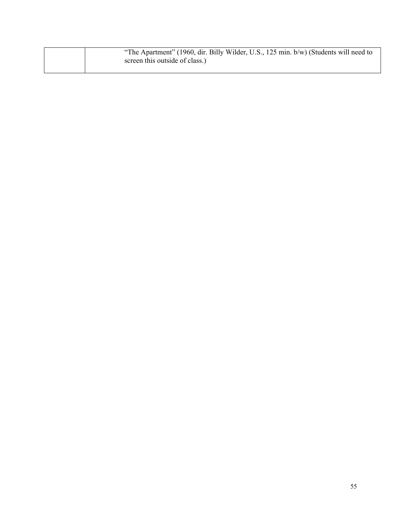|  | "The Apartment" (1960, dir. Billy Wilder, U.S., 125 min. b/w) (Students will need to |
|--|--------------------------------------------------------------------------------------|
|  | screen this outside of class.)                                                       |
|  |                                                                                      |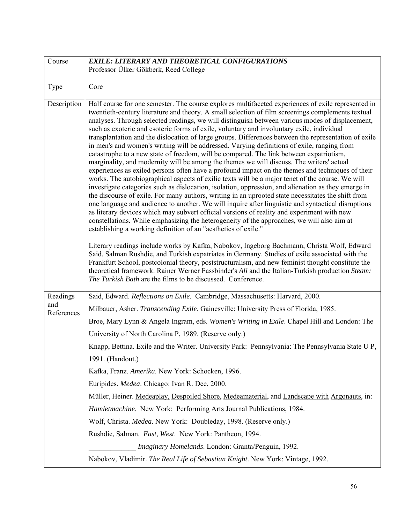| Course            | <b>EXILE: LITERARY AND THEORETICAL CONFIGURATIONS</b>                                                                                                                                                                                                                                                                                                                                                                                                                                                                                                                                                                                                                                                                                                                                                                                                                                                                                                                                                                                                                                                                                                                                                                                                                                                                                                                                                                                                                                                                                                                                         |
|-------------------|-----------------------------------------------------------------------------------------------------------------------------------------------------------------------------------------------------------------------------------------------------------------------------------------------------------------------------------------------------------------------------------------------------------------------------------------------------------------------------------------------------------------------------------------------------------------------------------------------------------------------------------------------------------------------------------------------------------------------------------------------------------------------------------------------------------------------------------------------------------------------------------------------------------------------------------------------------------------------------------------------------------------------------------------------------------------------------------------------------------------------------------------------------------------------------------------------------------------------------------------------------------------------------------------------------------------------------------------------------------------------------------------------------------------------------------------------------------------------------------------------------------------------------------------------------------------------------------------------|
|                   | Professor Ülker Gökberk, Reed College                                                                                                                                                                                                                                                                                                                                                                                                                                                                                                                                                                                                                                                                                                                                                                                                                                                                                                                                                                                                                                                                                                                                                                                                                                                                                                                                                                                                                                                                                                                                                         |
| Type              | Core                                                                                                                                                                                                                                                                                                                                                                                                                                                                                                                                                                                                                                                                                                                                                                                                                                                                                                                                                                                                                                                                                                                                                                                                                                                                                                                                                                                                                                                                                                                                                                                          |
|                   |                                                                                                                                                                                                                                                                                                                                                                                                                                                                                                                                                                                                                                                                                                                                                                                                                                                                                                                                                                                                                                                                                                                                                                                                                                                                                                                                                                                                                                                                                                                                                                                               |
| Description       | Half course for one semester. The course explores multifaceted experiences of exile represented in<br>twentieth-century literature and theory. A small selection of film screenings complements textual<br>analyses. Through selected readings, we will distinguish between various modes of displacement,<br>such as exoteric and esoteric forms of exile, voluntary and involuntary exile, individual<br>transplantation and the dislocation of large groups. Differences between the representation of exile<br>in men's and women's writing will be addressed. Varying definitions of exile, ranging from<br>catastrophe to a new state of freedom, will be compared. The link between expatriotism,<br>marginality, and modernity will be among the themes we will discuss. The writers' actual<br>experiences as exiled persons often have a profound impact on the themes and techniques of their<br>works. The autobiographical aspects of exilic texts will be a major tenet of the course. We will<br>investigate categories such as dislocation, isolation, oppression, and alienation as they emerge in<br>the discourse of exile. For many authors, writing in an uprooted state necessitates the shift from<br>one language and audience to another. We will inquire after linguistic and syntactical disruptions<br>as literary devices which may subvert official versions of reality and experiment with new<br>constellations. While emphasizing the heterogeneity of the approaches, we will also aim at<br>establishing a working definition of an "aesthetics of exile." |
|                   | Literary readings include works by Kafka, Nabokov, Ingeborg Bachmann, Christa Wolf, Edward<br>Said, Salman Rushdie, and Turkish expatriates in Germany. Studies of exile associated with the<br>Frankfurt School, postcolonial theory, poststructuralism, and new feminist thought constitute the<br>theoretical framework. Rainer Werner Fassbinder's Ali and the Italian-Turkish production Steam:<br>The Turkish Bath are the films to be discussed. Conference.                                                                                                                                                                                                                                                                                                                                                                                                                                                                                                                                                                                                                                                                                                                                                                                                                                                                                                                                                                                                                                                                                                                           |
| Readings          | Said, Edward. Reflections on Exile. Cambridge, Massachusetts: Harvard, 2000.                                                                                                                                                                                                                                                                                                                                                                                                                                                                                                                                                                                                                                                                                                                                                                                                                                                                                                                                                                                                                                                                                                                                                                                                                                                                                                                                                                                                                                                                                                                  |
| and<br>References | Milbauer, Asher. Transcending Exile. Gainesville: University Press of Florida, 1985.                                                                                                                                                                                                                                                                                                                                                                                                                                                                                                                                                                                                                                                                                                                                                                                                                                                                                                                                                                                                                                                                                                                                                                                                                                                                                                                                                                                                                                                                                                          |
|                   | Broe, Mary Lynn & Angela Ingram, eds. Women's Writing in Exile. Chapel Hill and London: The                                                                                                                                                                                                                                                                                                                                                                                                                                                                                                                                                                                                                                                                                                                                                                                                                                                                                                                                                                                                                                                                                                                                                                                                                                                                                                                                                                                                                                                                                                   |
|                   | University of North Carolina P, 1989. (Reserve only.)                                                                                                                                                                                                                                                                                                                                                                                                                                                                                                                                                                                                                                                                                                                                                                                                                                                                                                                                                                                                                                                                                                                                                                                                                                                                                                                                                                                                                                                                                                                                         |
|                   | Knapp, Bettina. Exile and the Writer. University Park: Pennsylvania: The Pennsylvania State U P,                                                                                                                                                                                                                                                                                                                                                                                                                                                                                                                                                                                                                                                                                                                                                                                                                                                                                                                                                                                                                                                                                                                                                                                                                                                                                                                                                                                                                                                                                              |
|                   | 1991. (Handout.)                                                                                                                                                                                                                                                                                                                                                                                                                                                                                                                                                                                                                                                                                                                                                                                                                                                                                                                                                                                                                                                                                                                                                                                                                                                                                                                                                                                                                                                                                                                                                                              |
|                   | Kafka, Franz. Amerika. New York: Schocken, 1996.                                                                                                                                                                                                                                                                                                                                                                                                                                                                                                                                                                                                                                                                                                                                                                                                                                                                                                                                                                                                                                                                                                                                                                                                                                                                                                                                                                                                                                                                                                                                              |
|                   | Euripides. Medea. Chicago: Ivan R. Dee, 2000.                                                                                                                                                                                                                                                                                                                                                                                                                                                                                                                                                                                                                                                                                                                                                                                                                                                                                                                                                                                                                                                                                                                                                                                                                                                                                                                                                                                                                                                                                                                                                 |
|                   | Müller, Heiner. Medeaplay, Despoiled Shore, Medeamaterial, and Landscape with Argonauts, in:                                                                                                                                                                                                                                                                                                                                                                                                                                                                                                                                                                                                                                                                                                                                                                                                                                                                                                                                                                                                                                                                                                                                                                                                                                                                                                                                                                                                                                                                                                  |
|                   | Hamletmachine. New York: Performing Arts Journal Publications, 1984.                                                                                                                                                                                                                                                                                                                                                                                                                                                                                                                                                                                                                                                                                                                                                                                                                                                                                                                                                                                                                                                                                                                                                                                                                                                                                                                                                                                                                                                                                                                          |
|                   | Wolf, Christa. Medea. New York: Doubleday, 1998. (Reserve only.)                                                                                                                                                                                                                                                                                                                                                                                                                                                                                                                                                                                                                                                                                                                                                                                                                                                                                                                                                                                                                                                                                                                                                                                                                                                                                                                                                                                                                                                                                                                              |
|                   | Rushdie, Salman. East, West. New York: Pantheon, 1994.                                                                                                                                                                                                                                                                                                                                                                                                                                                                                                                                                                                                                                                                                                                                                                                                                                                                                                                                                                                                                                                                                                                                                                                                                                                                                                                                                                                                                                                                                                                                        |
|                   | Imaginary Homelands. London: Granta/Penguin, 1992.                                                                                                                                                                                                                                                                                                                                                                                                                                                                                                                                                                                                                                                                                                                                                                                                                                                                                                                                                                                                                                                                                                                                                                                                                                                                                                                                                                                                                                                                                                                                            |
|                   | Nabokov, Vladimir. The Real Life of Sebastian Knight. New York: Vintage, 1992.                                                                                                                                                                                                                                                                                                                                                                                                                                                                                                                                                                                                                                                                                                                                                                                                                                                                                                                                                                                                                                                                                                                                                                                                                                                                                                                                                                                                                                                                                                                |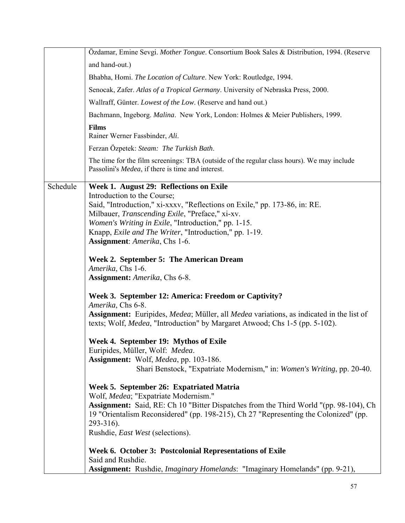|          | Özdamar, Emine Sevgi. Mother Tongue. Consortium Book Sales & Distribution, 1994. (Reserve                                                       |
|----------|-------------------------------------------------------------------------------------------------------------------------------------------------|
|          | and hand-out.)                                                                                                                                  |
|          | Bhabha, Homi. The Location of Culture. New York: Routledge, 1994.                                                                               |
|          | Senocak, Zafer. Atlas of a Tropical Germany. University of Nebraska Press, 2000.                                                                |
|          | Wallraff, Günter. Lowest of the Low. (Reserve and hand out.)                                                                                    |
|          | Bachmann, Ingeborg. Malina. New York, London: Holmes & Meier Publishers, 1999.                                                                  |
|          | <b>Films</b><br>Rainer Werner Fassbinder, Ali.                                                                                                  |
|          | Ferzan Özpetek: Steam: The Turkish Bath.                                                                                                        |
|          | The time for the film screenings: TBA (outside of the regular class hours). We may include<br>Passolini's Medea, if there is time and interest. |
| Schedule | Week 1. August 29: Reflections on Exile                                                                                                         |
|          | Introduction to the Course;                                                                                                                     |
|          | Said, "Introduction," xi-xxxv, "Reflections on Exile," pp. 173-86, in: RE.<br>Milbauer, Transcending Exile, "Preface," xi-xv.                   |
|          | Women's Writing in Exile, "Introduction," pp. 1-15.                                                                                             |
|          | Knapp, <i>Exile and The Writer</i> , "Introduction," pp. 1-19.                                                                                  |
|          | Assignment: Amerika, Chs 1-6.                                                                                                                   |
|          | Week 2. September 5: The American Dream                                                                                                         |
|          | Amerika, Chs 1-6.                                                                                                                               |
|          | Assignment: Amerika, Chs 6-8.                                                                                                                   |
|          | Week 3. September 12: America: Freedom or Captivity?                                                                                            |
|          | Amerika, Chs 6-8.<br><b>Assignment:</b> Euripides, <i>Medea</i> ; Müller, all <i>Medea</i> variations, as indicated in the list of              |
|          | texts; Wolf, <i>Medea</i> , "Introduction" by Margaret Atwood; Chs 1-5 (pp. 5-102).                                                             |
|          |                                                                                                                                                 |
|          | Week 4. September 19: Mythos of Exile<br>Euripides, Müller, Wolf: Medea.                                                                        |
|          | Assignment: Wolf, Medea, pp. 103-186.                                                                                                           |
|          | Shari Benstock, "Expatriate Modernism," in: Women's Writing, pp. 20-40.                                                                         |
|          | Week 5. September 26: Expatriated Matria<br>Wolf, Medea; "Expatriate Modernism."                                                                |
|          | Assignment: Said, RE: Ch 10 "Bitter Dispatches from the Third World "(pp. 98-104), Ch                                                           |
|          | 19 "Orientalism Reconsidered" (pp. 198-215), Ch 27 "Representing the Colonized" (pp.<br>$293 - 316$ ).                                          |
|          | Rushdie, East West (selections).                                                                                                                |
|          |                                                                                                                                                 |
|          | Week 6. October 3: Postcolonial Representations of Exile<br>Said and Rushdie.                                                                   |
|          | <b>Assignment:</b> Rushdie, <i>Imaginary Homelands</i> : "Imaginary Homelands" (pp. 9-21),                                                      |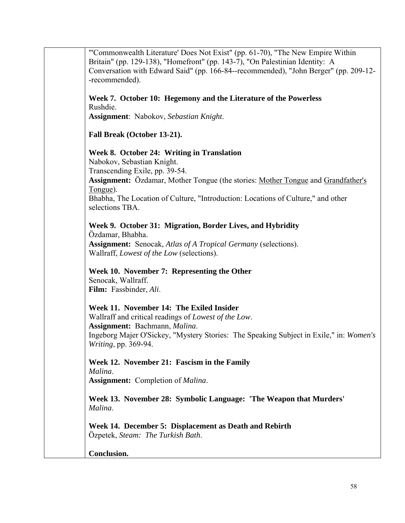"'Commonwealth Literature' Does Not Exist" (pp. 61-70), "The New Empire Within Britain" (pp. 129-138), "Homefront" (pp. 143-7), "On Palestinian Identity: A Conversation with Edward Said" (pp. 166-84--recommended), "John Berger" (pp. 209-12- -recommended). **Week 7. October 10: Hegemony and the Literature of the Powerless** Rushdie. **Assignment**: Nabokov, *Sebastian Knight*. **Fall Break (October 13-21). Week 8. October 24: Writing in Translation** Nabokov, Sebastian Knight. Transcending Exile, pp. 39-54. **Assignment:** Özdamar, Mother Tongue (the stories: Mother Tongue and Grandfather's Tongue). Bhabha, The Location of Culture, "Introduction: Locations of Culture," and other selections TBA. **Week 9. October 31: Migration, Border Lives, and Hybridity**  Özdamar, Bhabha. **Assignment:** Senocak, *Atlas of A Tropical Germany* (selections). Wallraff, *Lowest of the Low* (selections). **Week 10. November 7: Representing the Other**  Senocak, Wallraff. **Film:** Fassbinder, *Ali*. **Week 11. November 14: The Exiled Insider**  Wallraff and critical readings of *Lowest of the Low*. **Assignment:** Bachmann, *Malina*. Ingeborg Majer O'Sickey, "Mystery Stories: The Speaking Subject in Exile," in: *Women's Writing*, pp. 369-94. **Week 12. November 21: Fascism in the Family**  *Malina*. **Assignment:** Completion of *Malina*. **Week 13. November 28: Symbolic Language: 'The Weapon that Murders'**  *Malina*. **Week 14. December 5: Displacement as Death and Rebirth**  Özpetek, *Steam: The Turkish Bath*. **Conclusion.**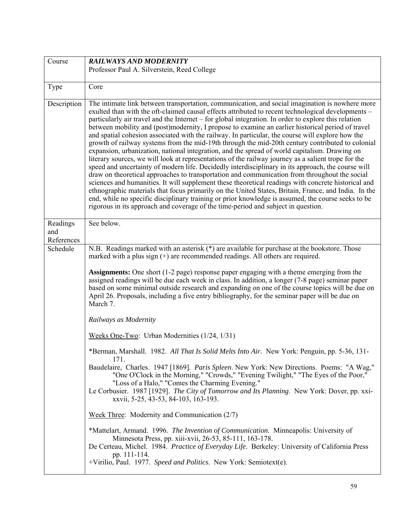| Course                        | <b>RAILWAYS AND MODERNITY</b>                                                                                                                                                                                                                                                                                                                                                                                                                                                                                                                                                                                                                                                                                                                                                                                                                                                                                                                                                                                                                                                                                                                                                                                                                                                                                                                                                                                                                       |
|-------------------------------|-----------------------------------------------------------------------------------------------------------------------------------------------------------------------------------------------------------------------------------------------------------------------------------------------------------------------------------------------------------------------------------------------------------------------------------------------------------------------------------------------------------------------------------------------------------------------------------------------------------------------------------------------------------------------------------------------------------------------------------------------------------------------------------------------------------------------------------------------------------------------------------------------------------------------------------------------------------------------------------------------------------------------------------------------------------------------------------------------------------------------------------------------------------------------------------------------------------------------------------------------------------------------------------------------------------------------------------------------------------------------------------------------------------------------------------------------------|
|                               | Professor Paul A. Silverstein, Reed College                                                                                                                                                                                                                                                                                                                                                                                                                                                                                                                                                                                                                                                                                                                                                                                                                                                                                                                                                                                                                                                                                                                                                                                                                                                                                                                                                                                                         |
| Type                          | Core                                                                                                                                                                                                                                                                                                                                                                                                                                                                                                                                                                                                                                                                                                                                                                                                                                                                                                                                                                                                                                                                                                                                                                                                                                                                                                                                                                                                                                                |
| Description                   | The intimate link between transportation, communication, and social imagination is nowhere more<br>exulted than with the oft-claimed causal effects attributed to recent technological developments –<br>particularly air travel and the Internet – for global integration. In order to explore this relation<br>between mobility and (post)modernity, I propose to examine an earlier historical period of travel<br>and spatial cohesion associated with the railway. In particular, the course will explore how the<br>growth of railway systems from the mid-19th through the mid-20th century contributed to colonial<br>expansion, urbanization, national integration, and the spread of world capitalism. Drawing on<br>literary sources, we will look at representations of the railway journey as a salient trope for the<br>speed and uncertainty of modern life. Decidedly interdisciplinary in its approach, the course will<br>draw on theoretical approaches to transportation and communication from throughout the social<br>sciences and humanities. It will supplement these theoretical readings with concrete historical and<br>ethnographic materials that focus primarily on the United States, Britain, France, and India. In the<br>end, while no specific disciplinary training or prior knowledge is assumed, the course seeks to be<br>rigorous in its approach and coverage of the time-period and subject in question. |
| Readings<br>and<br>References | See below.                                                                                                                                                                                                                                                                                                                                                                                                                                                                                                                                                                                                                                                                                                                                                                                                                                                                                                                                                                                                                                                                                                                                                                                                                                                                                                                                                                                                                                          |
| Schedule                      | N.B. Readings marked with an asterisk (*) are available for purchase at the bookstore. Those<br>marked with a plus sign $(+)$ are recommended readings. All others are required.                                                                                                                                                                                                                                                                                                                                                                                                                                                                                                                                                                                                                                                                                                                                                                                                                                                                                                                                                                                                                                                                                                                                                                                                                                                                    |
|                               | Assignments: One short (1-2 page) response paper engaging with a theme emerging from the<br>assigned readings will be due each week in class. In addition, a longer (7-8 page) seminar paper<br>based on some minimal outside research and expanding on one of the course topics will be due on<br>April 26. Proposals, including a five entry bibliography, for the seminar paper will be due on<br>March 7.                                                                                                                                                                                                                                                                                                                                                                                                                                                                                                                                                                                                                                                                                                                                                                                                                                                                                                                                                                                                                                       |
|                               | Railways as Modernity                                                                                                                                                                                                                                                                                                                                                                                                                                                                                                                                                                                                                                                                                                                                                                                                                                                                                                                                                                                                                                                                                                                                                                                                                                                                                                                                                                                                                               |
|                               | Weeks One-Two: Urban Modernities (1/24, 1/31)                                                                                                                                                                                                                                                                                                                                                                                                                                                                                                                                                                                                                                                                                                                                                                                                                                                                                                                                                                                                                                                                                                                                                                                                                                                                                                                                                                                                       |
|                               | *Berman, Marshall. 1982. All That Is Solid Melts Into Air. New York: Penguin, pp. 5-36, 131-<br>171.                                                                                                                                                                                                                                                                                                                                                                                                                                                                                                                                                                                                                                                                                                                                                                                                                                                                                                                                                                                                                                                                                                                                                                                                                                                                                                                                                |
|                               | Baudelaire, Charles. 1947 [1869]. Paris Spleen. New York: New Directions. Poems: "A Wag,"<br>"One O'Clock in the Morning," "Crowds," "Evening Twilight," "The Eyes of the Poor,"<br>"Loss of a Halo," "Comes the Charming Evening."<br>Le Corbusier. 1987 [1929]. The City of Tomorrow and Its Planning. New York: Dover, pp. xxi-<br>xxvii, 5-25, 43-53, 84-103, 163-193.                                                                                                                                                                                                                                                                                                                                                                                                                                                                                                                                                                                                                                                                                                                                                                                                                                                                                                                                                                                                                                                                          |
|                               | Week Three: Modernity and Communication (2/7)                                                                                                                                                                                                                                                                                                                                                                                                                                                                                                                                                                                                                                                                                                                                                                                                                                                                                                                                                                                                                                                                                                                                                                                                                                                                                                                                                                                                       |
|                               | *Mattelart, Armand. 1996. The Invention of Communication. Minneapolis: University of<br>Minnesota Press, pp. xiii-xvii, 26-53, 85-111, 163-178.<br>De Certeau, Michel. 1984. Practice of Everyday Life. Berkeley: University of California Press<br>pp. 111-114.<br>+Virilio, Paul. 1977. Speed and Politics. New York: Semiotext(e).                                                                                                                                                                                                                                                                                                                                                                                                                                                                                                                                                                                                                                                                                                                                                                                                                                                                                                                                                                                                                                                                                                               |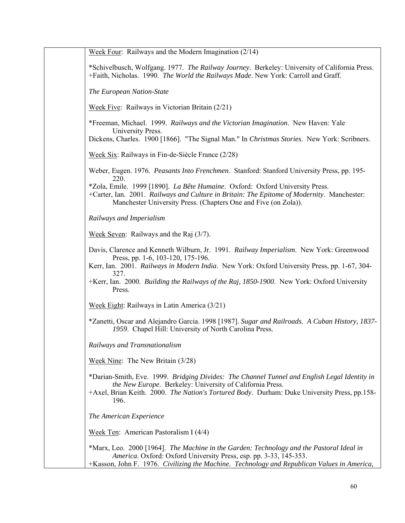| Week Four: Railways and the Modern Imagination $(2/14)$                                                                                                                                                                                       |
|-----------------------------------------------------------------------------------------------------------------------------------------------------------------------------------------------------------------------------------------------|
| *Schivelbusch, Wolfgang. 1977. The Railway Journey. Berkeley: University of California Press.<br>+Faith, Nicholas. 1990. The World the Railways Made. New York: Carroll and Graff.                                                            |
| The European Nation-State                                                                                                                                                                                                                     |
| Week Five: Railways in Victorian Britain $(2/21)$                                                                                                                                                                                             |
| *Freeman, Michael. 1999. Railways and the Victorian Imagination. New Haven: Yale<br>University Press.                                                                                                                                         |
| Dickens, Charles. 1900 [1866]. "The Signal Man." In Christmas Stories. New York: Scribners.                                                                                                                                                   |
| Week Six: Railways in Fin-de-Siècle France (2/28)                                                                                                                                                                                             |
| Weber, Eugen. 1976. Peasants Into Frenchmen. Stanford: Stanford University Press, pp. 195-<br>220.                                                                                                                                            |
| *Zola, Emile. 1999 [1890]. La Bête Humaine. Oxford: Oxford University Press.<br>+Carter, Ian. 2001. Railways and Culture in Britain: The Epitome of Modernity. Manchester:<br>Manchester University Press. (Chapters One and Five (on Zola)). |
| Railways and Imperialism                                                                                                                                                                                                                      |
| Week Seven: Railways and the Raj $(3/7)$ .                                                                                                                                                                                                    |
| Davis, Clarence and Kenneth Wilburn, Jr. 1991. Railway Imperialism. New York: Greenwood<br>Press, pp. 1-6, 103-120, 175-196.                                                                                                                  |
| Kerr, Ian. 2001. Railways in Modern India. New York: Oxford University Press, pp. 1-67, 304-<br>327.                                                                                                                                          |
| +Kerr, Ian. 2000. Building the Railways of the Raj, 1850-1900. New York: Oxford University<br>Press.                                                                                                                                          |
| Week Eight: Railways in Latin America (3/21)                                                                                                                                                                                                  |
| *Zanetti, Oscar and Alejandro Garcia. 1998 [1987]. Sugar and Railroads. A Cuban History, 1837-<br>1959. Chapel Hill: University of North Carolina Press.                                                                                      |
| Railways and Transnationalism                                                                                                                                                                                                                 |
| Week Nine: The New Britain $(3/28)$                                                                                                                                                                                                           |
| *Darian-Smith, Eve. 1999. Bridging Divides: The Channel Tunnel and English Legal Identity in<br>the New Europe. Berkeley: University of California Press.                                                                                     |
| +Axel, Brian Keith. 2000. The Nation's Tortured Body. Durham: Duke University Press, pp.158-<br>196.                                                                                                                                          |
| The American Experience                                                                                                                                                                                                                       |
| Week Ten: American Pastoralism I $(4/4)$                                                                                                                                                                                                      |
| *Marx, Leo. 2000 [1964]. The Machine in the Garden: Technology and the Pastoral Ideal in<br>America. Oxford: Oxford University Press, esp. pp. 3-33, 145-353.                                                                                 |
| +Kasson, John F. 1976. Civilizing the Machine. Technology and Republican Values in America,                                                                                                                                                   |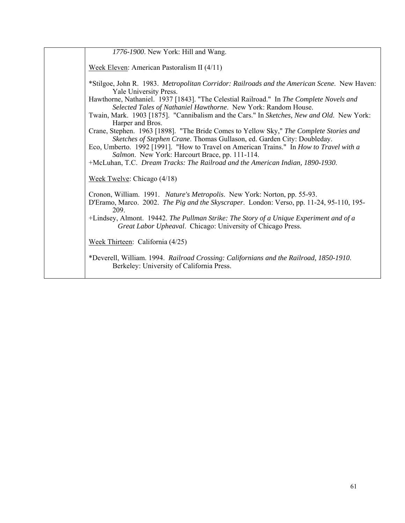| 1776-1900. New York: Hill and Wang.                                                                                                                                          |
|------------------------------------------------------------------------------------------------------------------------------------------------------------------------------|
| Week Eleven: American Pastoralism II $(4/11)$                                                                                                                                |
| *Stilgoe, John R. 1983. Metropolitan Corridor: Railroads and the American Scene. New Haven:<br>Yale University Press.                                                        |
| Hawthorne, Nathaniel. 1937 [1843]. "The Celestial Railroad." In The Complete Novels and<br>Selected Tales of Nathaniel Hawthorne. New York: Random House.                    |
| Twain, Mark. 1903 [1875]. "Cannibalism and the Cars." In Sketches, New and Old. New York:<br>Harper and Bros.                                                                |
| Crane, Stephen. 1963 [1898]. "The Bride Comes to Yellow Sky," The Complete Stories and<br>Sketches of Stephen Crane. Thomas Gullason, ed. Garden City: Doubleday.            |
| Eco, Umberto. 1992 [1991]. "How to Travel on American Trains." In How to Travel with a<br>Salmon. New York: Harcourt Brace, pp. 111-114.                                     |
| +McLuhan, T.C. Dream Tracks: The Railroad and the American Indian, 1890-1930.                                                                                                |
| Week Twelve: Chicago $(4/18)$                                                                                                                                                |
| Cronon, William. 1991. Nature's Metropolis. New York: Norton, pp. 55-93.<br>D'Eramo, Marco. 2002. The Pig and the Skyscraper. London: Verso, pp. 11-24, 95-110, 195-<br>209. |
| +Lindsey, Almont. 19442. The Pullman Strike: The Story of a Unique Experiment and of a<br>Great Labor Upheaval. Chicago: University of Chicago Press.                        |
| Week Thirteen: California $(4/25)$                                                                                                                                           |
| *Deverell, William. 1994. Railroad Crossing: Californians and the Railroad, 1850-1910.<br>Berkeley: University of California Press.                                          |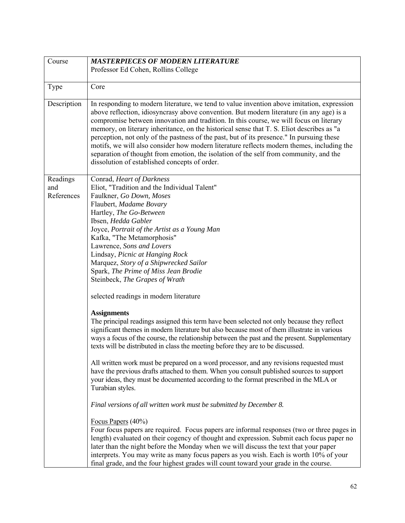| Course                        | <b>MASTERPIECES OF MODERN LITERATURE</b>                                                                                                                                                                                                                                                                                                                                                                                                                                                                                                                                                                                                                                                                                                                                                                                                                                                                                                                                                                                                                                                                                                                                                                                                                                                                                                                                                                                                                                                                                                                                                                                                                                                                                                                                |
|-------------------------------|-------------------------------------------------------------------------------------------------------------------------------------------------------------------------------------------------------------------------------------------------------------------------------------------------------------------------------------------------------------------------------------------------------------------------------------------------------------------------------------------------------------------------------------------------------------------------------------------------------------------------------------------------------------------------------------------------------------------------------------------------------------------------------------------------------------------------------------------------------------------------------------------------------------------------------------------------------------------------------------------------------------------------------------------------------------------------------------------------------------------------------------------------------------------------------------------------------------------------------------------------------------------------------------------------------------------------------------------------------------------------------------------------------------------------------------------------------------------------------------------------------------------------------------------------------------------------------------------------------------------------------------------------------------------------------------------------------------------------------------------------------------------------|
|                               | Professor Ed Cohen, Rollins College                                                                                                                                                                                                                                                                                                                                                                                                                                                                                                                                                                                                                                                                                                                                                                                                                                                                                                                                                                                                                                                                                                                                                                                                                                                                                                                                                                                                                                                                                                                                                                                                                                                                                                                                     |
| Type                          | Core                                                                                                                                                                                                                                                                                                                                                                                                                                                                                                                                                                                                                                                                                                                                                                                                                                                                                                                                                                                                                                                                                                                                                                                                                                                                                                                                                                                                                                                                                                                                                                                                                                                                                                                                                                    |
| Description                   | In responding to modern literature, we tend to value invention above imitation, expression<br>above reflection, idiosyncrasy above convention. But modern literature (in any age) is a<br>compromise between innovation and tradition. In this course, we will focus on literary<br>memory, on literary inheritance, on the historical sense that T. S. Eliot describes as "a<br>perception, not only of the pastness of the past, but of its presence." In pursuing these<br>motifs, we will also consider how modern literature reflects modern themes, including the<br>separation of thought from emotion, the isolation of the self from community, and the<br>dissolution of established concepts of order.                                                                                                                                                                                                                                                                                                                                                                                                                                                                                                                                                                                                                                                                                                                                                                                                                                                                                                                                                                                                                                                       |
| Readings<br>and<br>References | Conrad, Heart of Darkness<br>Eliot, "Tradition and the Individual Talent"<br>Faulkner, Go Down, Moses<br>Flaubert, Madame Bovary<br>Hartley, The Go-Between<br>Ibsen, Hedda Gabler<br>Joyce, Portrait of the Artist as a Young Man<br>Kafka, "The Metamorphosis"<br>Lawrence, Sons and Lovers<br>Lindsay, Picnic at Hanging Rock<br>Marquez, Story of a Shipwrecked Sailor<br>Spark, The Prime of Miss Jean Brodie<br>Steinbeck, The Grapes of Wrath<br>selected readings in modern literature<br><b>Assignments</b><br>The principal readings assigned this term have been selected not only because they reflect<br>significant themes in modern literature but also because most of them illustrate in various<br>ways a focus of the course, the relationship between the past and the present. Supplementary<br>texts will be distributed in class the meeting before they are to be discussed.<br>All written work must be prepared on a word processor, and any revisions requested must<br>have the previous drafts attached to them. When you consult published sources to support<br>your ideas, they must be documented according to the format prescribed in the MLA or<br>Turabian styles.<br>Final versions of all written work must be submitted by December 8.<br>Focus Papers (40%)<br>Four focus papers are required. Focus papers are informal responses (two or three pages in<br>length) evaluated on their cogency of thought and expression. Submit each focus paper no<br>later than the night before the Monday when we will discuss the text that your paper<br>interprets. You may write as many focus papers as you wish. Each is worth 10% of your<br>final grade, and the four highest grades will count toward your grade in the course. |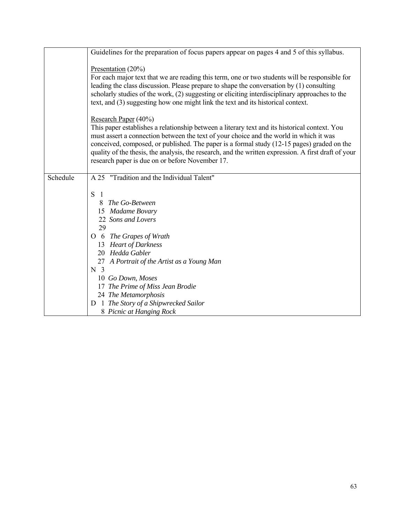|          | Guidelines for the preparation of focus papers appear on pages 4 and 5 of this syllabus.                                                                                                                                                                                                                                                                                                                                                                                 |
|----------|--------------------------------------------------------------------------------------------------------------------------------------------------------------------------------------------------------------------------------------------------------------------------------------------------------------------------------------------------------------------------------------------------------------------------------------------------------------------------|
|          | Presentation $(20\%)$<br>For each major text that we are reading this term, one or two students will be responsible for<br>leading the class discussion. Please prepare to shape the conversation by (1) consulting<br>scholarly studies of the work, (2) suggesting or eliciting interdisciplinary approaches to the<br>text, and (3) suggesting how one might link the text and its historical context.                                                                |
|          | Research Paper (40%)<br>This paper establishes a relationship between a literary text and its historical context. You<br>must assert a connection between the text of your choice and the world in which it was<br>conceived, composed, or published. The paper is a formal study (12-15 pages) graded on the<br>quality of the thesis, the analysis, the research, and the written expression. A first draft of your<br>research paper is due on or before November 17. |
| Schedule | A 25 "Tradition and the Individual Talent"                                                                                                                                                                                                                                                                                                                                                                                                                               |
|          | S<br>$\overline{1}$<br>The Go-Between<br>8<br>15 Madame Bovary<br>22 Sons and Lovers<br>29<br>O 6 The Grapes of Wrath<br>13 Heart of Darkness<br>20 Hedda Gabler<br>27 A Portrait of the Artist as a Young Man<br>N <sub>3</sub><br>10 Go Down, Moses<br>17 The Prime of Miss Jean Brodie<br>24 The Metamorphosis<br>D 1 The Story of a Shipwrecked Sailor<br>8 Picnic at Hanging Rock                                                                                   |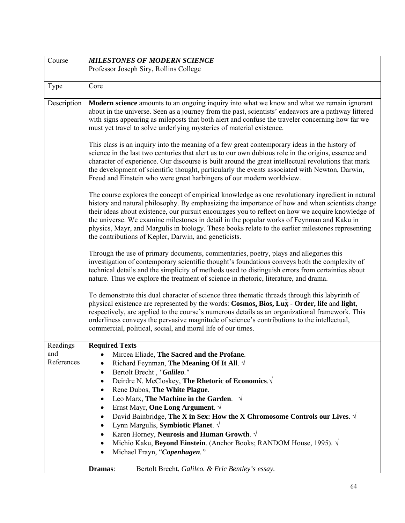| Course                        | <b>MILESTONES OF MODERN SCIENCE</b>                                                                                                                                                                                                                                                                                                                                                                                                                                                                                                                                                                                                                                                                                                                                                                                                                                                                                                                                                                                                  |
|-------------------------------|--------------------------------------------------------------------------------------------------------------------------------------------------------------------------------------------------------------------------------------------------------------------------------------------------------------------------------------------------------------------------------------------------------------------------------------------------------------------------------------------------------------------------------------------------------------------------------------------------------------------------------------------------------------------------------------------------------------------------------------------------------------------------------------------------------------------------------------------------------------------------------------------------------------------------------------------------------------------------------------------------------------------------------------|
|                               | Professor Joseph Siry, Rollins College                                                                                                                                                                                                                                                                                                                                                                                                                                                                                                                                                                                                                                                                                                                                                                                                                                                                                                                                                                                               |
|                               |                                                                                                                                                                                                                                                                                                                                                                                                                                                                                                                                                                                                                                                                                                                                                                                                                                                                                                                                                                                                                                      |
| Type                          | Core                                                                                                                                                                                                                                                                                                                                                                                                                                                                                                                                                                                                                                                                                                                                                                                                                                                                                                                                                                                                                                 |
| Description                   | Modern science amounts to an ongoing inquiry into what we know and what we remain ignorant<br>about in the universe. Seen as a journey from the past, scientists' endeavors are a pathway littered<br>with signs appearing as mileposts that both alert and confuse the traveler concerning how far we<br>must yet travel to solve underlying mysteries of material existence.<br>This class is an inquiry into the meaning of a few great contemporary ideas in the history of<br>science in the last two centuries that alert us to our own dubious role in the origins, essence and<br>character of experience. Our discourse is built around the great intellectual revolutions that mark<br>the development of scientific thought, particularly the events associated with Newton, Darwin,                                                                                                                                                                                                                                      |
|                               | Freud and Einstein who were great harbingers of our modern worldview.<br>The course explores the concept of empirical knowledge as one revolutionary ingredient in natural<br>history and natural philosophy. By emphasizing the importance of how and when scientists change<br>their ideas about existence, our pursuit encourages you to reflect on how we acquire knowledge of<br>the universe. We examine milestones in detail in the popular works of Feynman and Kaku in<br>physics, Mayr, and Margulis in biology. These books relate to the earlier milestones representing<br>the contributions of Kepler, Darwin, and geneticists.<br>Through the use of primary documents, commentaries, poetry, plays and allegories this<br>investigation of contemporary scientific thought's foundations conveys both the complexity of<br>technical details and the simplicity of methods used to distinguish errors from certainties about<br>nature. Thus we explore the treatment of science in rhetoric, literature, and drama. |
|                               | To demonstrate this dual character of science three thematic threads through this labyrinth of<br>physical existence are represented by the words: Cosmos, Bios, Lux - Order, life and light,<br>respectively, are applied to the course's numerous details as an organizational framework. This<br>orderliness conveys the pervasive magnitude of science's contributions to the intellectual,<br>commercial, political, social, and moral life of our times.                                                                                                                                                                                                                                                                                                                                                                                                                                                                                                                                                                       |
| Readings<br>and<br>References | <b>Required Texts</b><br>Mircea Eliade, The Sacred and the Profane.<br>Richard Feynman, The Meaning Of It All. $\sqrt{ }$<br>Bertolt Brecht, "Galileo."<br>$\bullet$<br>Deirdre N. McCloskey, The Rhetoric of Economics. √<br>Rene Dubos, The White Plague.<br>٠<br>Leo Marx, The Machine in the Garden. $\sqrt{ }$<br>$\bullet$<br>Ernst Mayr, One Long Argument. $\sqrt{ }$<br>$\bullet$<br>David Bainbridge, The X in Sex: How the X Chromosome Controls our Lives. $\sqrt{ }$<br>$\bullet$<br>Lynn Margulis, Symbiotic Planet. $\sqrt{}$<br>$\bullet$<br>Karen Horney, Neurosis and Human Growth. $\sqrt{ }$<br>$\bullet$<br>Michio Kaku, Beyond Einstein. (Anchor Books; RANDOM House, 1995). √<br>$\bullet$<br>Michael Frayn, "Copenhagen."<br>$\bullet$                                                                                                                                                                                                                                                                       |
|                               | Dramas:<br>Bertolt Brecht, Galileo. & Eric Bentley's essay.                                                                                                                                                                                                                                                                                                                                                                                                                                                                                                                                                                                                                                                                                                                                                                                                                                                                                                                                                                          |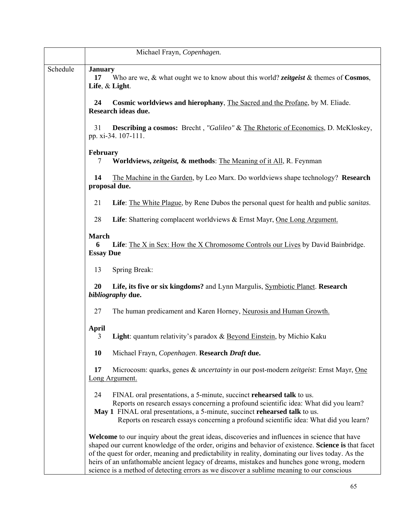|          | Michael Frayn, Copenhagen.                                                                                                                                                                                                                                                                                                                                                                                                                                                                                  |
|----------|-------------------------------------------------------------------------------------------------------------------------------------------------------------------------------------------------------------------------------------------------------------------------------------------------------------------------------------------------------------------------------------------------------------------------------------------------------------------------------------------------------------|
| Schedule | <b>January</b><br>Who are we, & what ought we to know about this world? <i>zeitgeist</i> & themes of <b>Cosmos</b> ,<br>17<br>Life, & Light.                                                                                                                                                                                                                                                                                                                                                                |
|          | 24<br>Cosmic worldviews and hierophany, The Sacred and the Profane, by M. Eliade.<br>Research ideas due.                                                                                                                                                                                                                                                                                                                                                                                                    |
|          | <b>Describing a cosmos:</b> Brecht, "Galileo" & The Rhetoric of Economics, D. McKloskey,<br>31<br>pp. xi-34. 107-111.                                                                                                                                                                                                                                                                                                                                                                                       |
|          | <b>February</b><br>Worldviews, <i>zeitgeist</i> , & methods: The Meaning of it All, R. Feynman<br>7                                                                                                                                                                                                                                                                                                                                                                                                         |
|          | The Machine in the Garden, by Leo Marx. Do worldviews shape technology? Research<br>14<br>proposal due.                                                                                                                                                                                                                                                                                                                                                                                                     |
|          | Life: The White Plague, by Rene Dubos the personal quest for health and public sanitas.<br>21                                                                                                                                                                                                                                                                                                                                                                                                               |
|          | 28<br>Life: Shattering complacent worldviews & Ernst Mayr, One Long Argument.                                                                                                                                                                                                                                                                                                                                                                                                                               |
|          | <b>March</b><br><b>Life</b> : The X in Sex: How the X Chromosome Controls our Lives by David Bainbridge.<br>6<br><b>Essay Due</b>                                                                                                                                                                                                                                                                                                                                                                           |
|          | 13<br>Spring Break:                                                                                                                                                                                                                                                                                                                                                                                                                                                                                         |
|          | 20<br>Life, its five or six kingdoms? and Lynn Margulis, Symbiotic Planet. Research<br>bibliography due.                                                                                                                                                                                                                                                                                                                                                                                                    |
|          | 27<br>The human predicament and Karen Horney, Neurosis and Human Growth.                                                                                                                                                                                                                                                                                                                                                                                                                                    |
|          | <b>April</b><br>3<br>Light: quantum relativity's paradox & Beyond Einstein, by Michio Kaku                                                                                                                                                                                                                                                                                                                                                                                                                  |
|          | Michael Frayn, Copenhagen. Research Draft due.<br><b>10</b>                                                                                                                                                                                                                                                                                                                                                                                                                                                 |
|          | 17<br>Microcosm: quarks, genes & <i>uncertainty</i> in our post-modern <i>zeitgeist</i> : Ernst Mayr, One<br>Long Argument.                                                                                                                                                                                                                                                                                                                                                                                 |
|          | 24<br>FINAL oral presentations, a 5-minute, succinct rehearsed talk to us.<br>Reports on research essays concerning a profound scientific idea: What did you learn?<br>May 1 FINAL oral presentations, a 5-minute, succinct rehearsed talk to us.<br>Reports on research essays concerning a profound scientific idea: What did you learn?                                                                                                                                                                  |
|          | <b>Welcome</b> to our inquiry about the great ideas, discoveries and influences in science that have<br>shaped our current knowledge of the order, origins and behavior of existence. Science is that facet<br>of the quest for order, meaning and predictability in reality, dominating our lives today. As the<br>heirs of an unfathomable ancient legacy of dreams, mistakes and hunches gone wrong, modern<br>science is a method of detecting errors as we discover a sublime meaning to our conscious |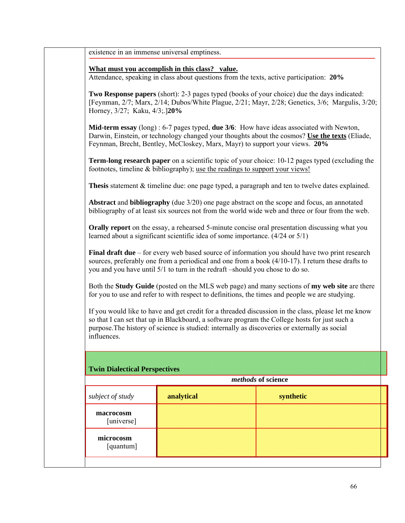existence in an immense universal emptiness.

## **What must you accomplish in this class? value.**

Attendance, speaking in class about questions from the texts, active participation: **20%**

**Two Response papers** (short): 2-3 pages typed (books of your choice) due the days indicated: [Feynman, 2/7; Marx, 2/14; Dubos/White Plague, 2/21; Mayr, 2/28; Genetics, 3/6; Margulis, 3/20; Horney, 3/27; Kaku, 4/3;.]**20%**

**Mid-term essay** (long) : 6-7 pages typed, **due 3/6**: How have ideas associated with Newton, Darwin, Einstein, or technology changed your thoughts about the cosmos? **Use the texts** (Eliade, Feynman, Brecht, Bentley, McCloskey, Marx, Mayr) to support your views. **20%** 

**Term-long research paper** on a scientific topic of your choice: 10-12 pages typed (excluding the footnotes, timeline & bibliography); use the readings to support your views!

**Thesis** statement & timeline due: one page typed, a paragraph and ten to twelve dates explained.

**Abstract** and **bibliography** (due 3/20) one page abstract on the scope and focus, an annotated bibliography of at least six sources not from the world wide web and three or four from the web.

**Orally report** on the essay, a rehearsed 5-minute concise oral presentation discussing what you learned about a significant scientific idea of some importance. (4/24 or 5/1)

**Final draft due** – for every web based source of information you should have two print research sources, preferably one from a periodical and one from a book (4/10-17). I return these drafts to you and you have until 5/1 to turn in the redraft –should you chose to do so.

Both the **Study Guide** (posted on the MLS web page) and many sections of **my web site** are there for you to use and refer to with respect to definitions, the times and people we are studying.

If you would like to have and get credit for a threaded discussion in the class, please let me know so that I can set that up in Blackboard, a software program the College hosts for just such a purpose.The history of science is studied: internally as discoveries or externally as social influences.

| methods of science      |            |           |  |
|-------------------------|------------|-----------|--|
| subject of study        | analytical | synthetic |  |
| macrocosm<br>[universe] |            |           |  |
| microcosm               |            |           |  |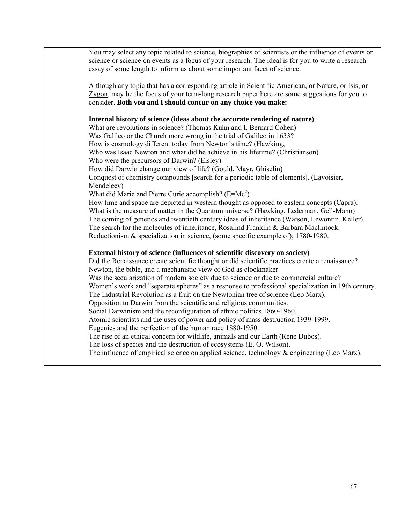| You may select any topic related to science, biographies of scientists or the influence of events on<br>science or science on events as a focus of your research. The ideal is for you to write a research<br>essay of some length to inform us about some important facet of science.                                                                                                                                                                                                                                                                                                                                                                                                                                                                                                                                                                                                                                                                                                                                                                                                                                               |
|--------------------------------------------------------------------------------------------------------------------------------------------------------------------------------------------------------------------------------------------------------------------------------------------------------------------------------------------------------------------------------------------------------------------------------------------------------------------------------------------------------------------------------------------------------------------------------------------------------------------------------------------------------------------------------------------------------------------------------------------------------------------------------------------------------------------------------------------------------------------------------------------------------------------------------------------------------------------------------------------------------------------------------------------------------------------------------------------------------------------------------------|
| Although any topic that has a corresponding article in Scientific American, or Nature, or Isis, or<br>Zygon, may be the focus of your term-long research paper here are some suggestions for you to<br>consider. Both you and I should concur on any choice you make:                                                                                                                                                                                                                                                                                                                                                                                                                                                                                                                                                                                                                                                                                                                                                                                                                                                                |
| Internal history of science (ideas about the accurate rendering of nature)<br>What are revolutions in science? (Thomas Kuhn and I. Bernard Cohen)<br>Was Galileo or the Church more wrong in the trial of Galileo in 1633?<br>How is cosmology different today from Newton's time? (Hawking,<br>Who was Isaac Newton and what did he achieve in his lifetime? (Christianson)<br>Who were the precursors of Darwin? (Eisley)<br>How did Darwin change our view of life? (Gould, Mayr, Ghiselin)<br>Conquest of chemistry compounds [search for a periodic table of elements]. (Lavoisier,<br>Mendeleev)<br>What did Marie and Pierre Curie accomplish? $(E=Mc^2)$<br>How time and space are depicted in western thought as opposed to eastern concepts (Capra).<br>What is the measure of matter in the Quantum universe? (Hawking, Lederman, Gell-Mann)<br>The coming of genetics and twentieth century ideas of inheritance (Watson, Lewontin, Keller).<br>The search for the molecules of inheritance, Rosalind Franklin & Barbara Maclintock.<br>Reductionism & specialization in science, (some specific example of); 1780-1980. |
| External history of science (influences of scientific discovery on society)<br>Did the Renaissance create scientific thought or did scientific practices create a renaissance?<br>Newton, the bible, and a mechanistic view of God as clockmaker.<br>Was the secularization of modern society due to science or due to commercial culture?<br>Women's work and "separate spheres" as a response to professional specialization in 19th century.<br>The Industrial Revolution as a fruit on the Newtonian tree of science (Leo Marx).<br>Opposition to Darwin from the scientific and religious communities.<br>Social Darwinism and the reconfiguration of ethnic politics 1860-1960.<br>Atomic scientists and the uses of power and policy of mass destruction 1939-1999.<br>Eugenics and the perfection of the human race 1880-1950.<br>The rise of an ethical concern for wildlife, animals and our Earth (Rene Dubos).<br>The loss of species and the destruction of ecosystems (E. O. Wilson).<br>The influence of empirical science on applied science, technology $\&$ engineering (Leo Marx).                                |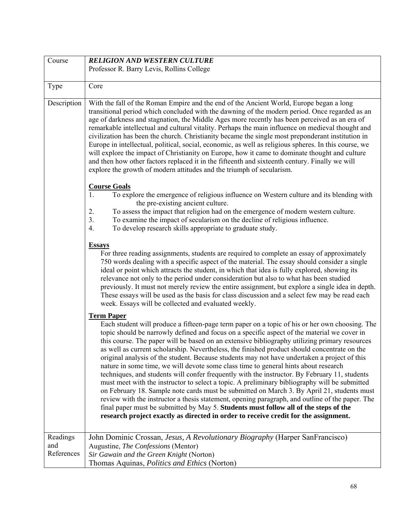| Course                        | <b>RELIGION AND WESTERN CULTURE</b>                                                                                                                                                                                                                                                                                                                                                                                                                                                                                                                                                                                                                                                                                                                                                                                                                                                                                                                                                                                                                                                                                                                                                          |
|-------------------------------|----------------------------------------------------------------------------------------------------------------------------------------------------------------------------------------------------------------------------------------------------------------------------------------------------------------------------------------------------------------------------------------------------------------------------------------------------------------------------------------------------------------------------------------------------------------------------------------------------------------------------------------------------------------------------------------------------------------------------------------------------------------------------------------------------------------------------------------------------------------------------------------------------------------------------------------------------------------------------------------------------------------------------------------------------------------------------------------------------------------------------------------------------------------------------------------------|
|                               | Professor R. Barry Levis, Rollins College                                                                                                                                                                                                                                                                                                                                                                                                                                                                                                                                                                                                                                                                                                                                                                                                                                                                                                                                                                                                                                                                                                                                                    |
|                               |                                                                                                                                                                                                                                                                                                                                                                                                                                                                                                                                                                                                                                                                                                                                                                                                                                                                                                                                                                                                                                                                                                                                                                                              |
| Type                          | Core                                                                                                                                                                                                                                                                                                                                                                                                                                                                                                                                                                                                                                                                                                                                                                                                                                                                                                                                                                                                                                                                                                                                                                                         |
| Description                   | With the fall of the Roman Empire and the end of the Ancient World, Europe began a long<br>transitional period which concluded with the dawning of the modern period. Once regarded as an<br>age of darkness and stagnation, the Middle Ages more recently has been perceived as an era of<br>remarkable intellectual and cultural vitality. Perhaps the main influence on medieval thought and<br>civilization has been the church. Christianity became the single most preponderant institution in<br>Europe in intellectual, political, social, economic, as well as religious spheres. In this course, we<br>will explore the impact of Christianity on Europe, how it came to dominate thought and culture<br>and then how other factors replaced it in the fifteenth and sixteenth century. Finally we will<br>explore the growth of modern attitudes and the triumph of secularism.                                                                                                                                                                                                                                                                                                   |
|                               | <b>Course Goals</b><br>1.<br>To explore the emergence of religious influence on Western culture and its blending with<br>the pre-existing ancient culture.<br>2.<br>To assess the impact that religion had on the emergence of modern western culture.<br>To examine the impact of secularism on the decline of religious influence.<br>3 <sub>1</sub><br>To develop research skills appropriate to graduate study.<br>4.                                                                                                                                                                                                                                                                                                                                                                                                                                                                                                                                                                                                                                                                                                                                                                    |
|                               | <b>Essays</b><br>For three reading assignments, students are required to complete an essay of approximately<br>750 words dealing with a specific aspect of the material. The essay should consider a single<br>ideal or point which attracts the student, in which that idea is fully explored, showing its<br>relevance not only to the period under consideration but also to what has been studied<br>previously. It must not merely review the entire assignment, but explore a single idea in depth.<br>These essays will be used as the basis for class discussion and a select few may be read each<br>week. Essays will be collected and evaluated weekly.                                                                                                                                                                                                                                                                                                                                                                                                                                                                                                                           |
|                               | <b>Term Paper</b><br>Each student will produce a fifteen-page term paper on a topic of his or her own choosing. The<br>topic should be narrowly defined and focus on a specific aspect of the material we cover in<br>this course. The paper will be based on an extensive bibliography utilizing primary resources<br>as well as current scholarship. Nevertheless, the finished product should concentrate on the<br>original analysis of the student. Because students may not have undertaken a project of this<br>nature in some time, we will devote some class time to general hints about research<br>techniques, and students will confer frequently with the instructor. By February 11, students<br>must meet with the instructor to select a topic. A preliminary bibliography will be submitted<br>on February 18. Sample note cards must be submitted on March 3. By April 21, students must<br>review with the instructor a thesis statement, opening paragraph, and outline of the paper. The<br>final paper must be submitted by May 5. Students must follow all of the steps of the<br>research project exactly as directed in order to receive credit for the assignment. |
| Readings<br>and<br>References | John Dominic Crossan, Jesus, A Revolutionary Biography (Harper SanFrancisco)<br>Augustine, The Confessions (Mentor)<br>Sir Gawain and the Green Knight (Norton)<br>Thomas Aquinas, <i>Politics and Ethics</i> (Norton)                                                                                                                                                                                                                                                                                                                                                                                                                                                                                                                                                                                                                                                                                                                                                                                                                                                                                                                                                                       |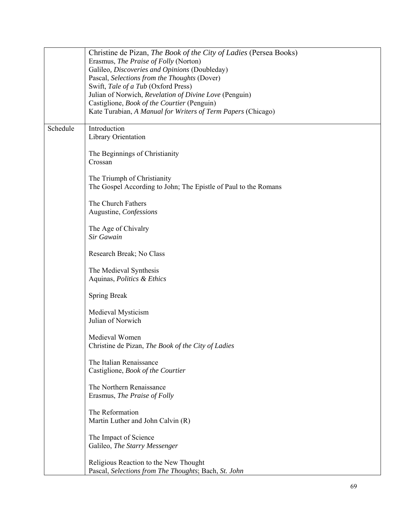|                                                                                                                    | Christine de Pizan, The Book of the City of Ladies (Persea Books)<br>Erasmus, The Praise of Folly (Norton)<br>Galileo, Discoveries and Opinions (Doubleday)<br>Pascal, Selections from the Thoughts (Dover)<br>Swift, Tale of a Tub (Oxford Press)<br>Julian of Norwich, Revelation of Divine Love (Penguin) |  |
|--------------------------------------------------------------------------------------------------------------------|--------------------------------------------------------------------------------------------------------------------------------------------------------------------------------------------------------------------------------------------------------------------------------------------------------------|--|
| Castiglione, <i>Book of the Courtier</i> (Penguin)<br>Kate Turabian, A Manual for Writers of Term Papers (Chicago) |                                                                                                                                                                                                                                                                                                              |  |
| Schedule<br>Introduction<br>Library Orientation                                                                    |                                                                                                                                                                                                                                                                                                              |  |
|                                                                                                                    | The Beginnings of Christianity<br>Crossan                                                                                                                                                                                                                                                                    |  |
|                                                                                                                    | The Triumph of Christianity<br>The Gospel According to John; The Epistle of Paul to the Romans                                                                                                                                                                                                               |  |
|                                                                                                                    | The Church Fathers<br>Augustine, Confessions                                                                                                                                                                                                                                                                 |  |
|                                                                                                                    | The Age of Chivalry<br>Sir Gawain                                                                                                                                                                                                                                                                            |  |
|                                                                                                                    | Research Break; No Class                                                                                                                                                                                                                                                                                     |  |
|                                                                                                                    | The Medieval Synthesis<br>Aquinas, Politics & Ethics                                                                                                                                                                                                                                                         |  |
| <b>Spring Break</b>                                                                                                |                                                                                                                                                                                                                                                                                                              |  |
|                                                                                                                    | Medieval Mysticism<br>Julian of Norwich                                                                                                                                                                                                                                                                      |  |
|                                                                                                                    | Medieval Women<br>Christine de Pizan, The Book of the City of Ladies                                                                                                                                                                                                                                         |  |
|                                                                                                                    | The Italian Renaissance<br>Castiglione, Book of the Courtier                                                                                                                                                                                                                                                 |  |
|                                                                                                                    | The Northern Renaissance<br>Erasmus, The Praise of Folly                                                                                                                                                                                                                                                     |  |
|                                                                                                                    | The Reformation<br>Martin Luther and John Calvin (R)                                                                                                                                                                                                                                                         |  |
|                                                                                                                    | The Impact of Science<br>Galileo, The Starry Messenger                                                                                                                                                                                                                                                       |  |
|                                                                                                                    | Religious Reaction to the New Thought<br>Pascal, Selections from The Thoughts; Bach, St. John                                                                                                                                                                                                                |  |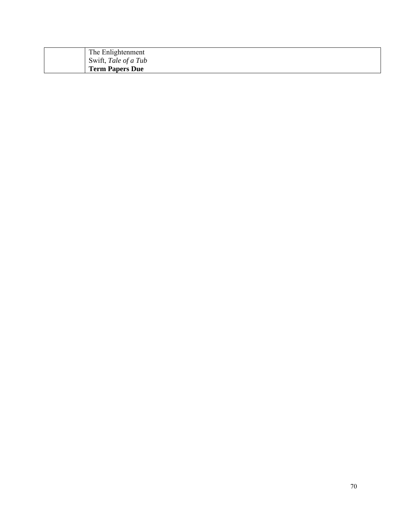| The Enlightenment      |
|------------------------|
| Swift, Tale of a Tub   |
| <b>Term Papers Due</b> |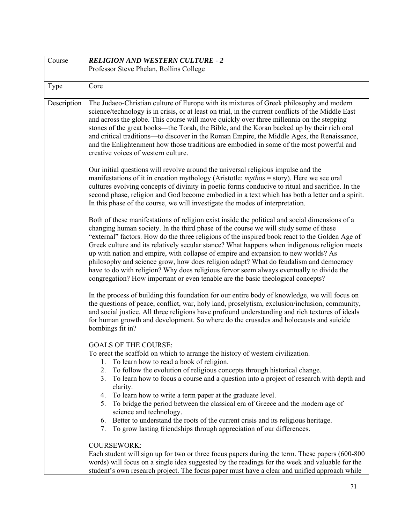| Course      | <b>RELIGION AND WESTERN CULTURE - 2</b>                                                                                                                                                                                                                                                                                                                                                                                                                                                                                                                                                                                                                                                                                                                |  |  |  |
|-------------|--------------------------------------------------------------------------------------------------------------------------------------------------------------------------------------------------------------------------------------------------------------------------------------------------------------------------------------------------------------------------------------------------------------------------------------------------------------------------------------------------------------------------------------------------------------------------------------------------------------------------------------------------------------------------------------------------------------------------------------------------------|--|--|--|
|             | Professor Steve Phelan, Rollins College                                                                                                                                                                                                                                                                                                                                                                                                                                                                                                                                                                                                                                                                                                                |  |  |  |
|             |                                                                                                                                                                                                                                                                                                                                                                                                                                                                                                                                                                                                                                                                                                                                                        |  |  |  |
| Type        | Core                                                                                                                                                                                                                                                                                                                                                                                                                                                                                                                                                                                                                                                                                                                                                   |  |  |  |
| Description | The Judaeo-Christian culture of Europe with its mixtures of Greek philosophy and modern<br>science/technology is in crisis, or at least on trial, in the current conflicts of the Middle East<br>and across the globe. This course will move quickly over three millennia on the stepping<br>stones of the great books—the Torah, the Bible, and the Koran backed up by their rich oral<br>and critical traditions—to discover in the Roman Empire, the Middle Ages, the Renaissance,<br>and the Enlightenment how those traditions are embodied in some of the most powerful and<br>creative voices of western culture.                                                                                                                               |  |  |  |
|             | Our initial questions will revolve around the universal religious impulse and the<br>manifestations of it in creation mythology (Aristotle: $mythos =$ story). Here we see oral<br>cultures evolving concepts of divinity in poetic forms conducive to ritual and sacrifice. In the<br>second phase, religion and God become embodied in a text which has both a letter and a spirit.<br>In this phase of the course, we will investigate the modes of interpretation.                                                                                                                                                                                                                                                                                 |  |  |  |
|             | Both of these manifestations of religion exist inside the political and social dimensions of a<br>changing human society. In the third phase of the course we will study some of these<br>"external" factors. How do the three religions of the inspired book react to the Golden Age of<br>Greek culture and its relatively secular stance? What happens when indigenous religion meets<br>up with nation and empire, with collapse of empire and expansion to new worlds? As<br>philosophy and science grow, how does religion adapt? What do feudalism and democracy<br>have to do with religion? Why does religious fervor seem always eventually to divide the<br>congregation? How important or even tenable are the basic theological concepts? |  |  |  |
|             | In the process of building this foundation for our entire body of knowledge, we will focus on<br>the questions of peace, conflict, war, holy land, proselytism, exclusion/inclusion, community,<br>and social justice. All three religions have profound understanding and rich textures of ideals<br>for human growth and development. So where do the crusades and holocausts and suicide<br>bombings fit in?                                                                                                                                                                                                                                                                                                                                        |  |  |  |
|             | <b>GOALS OF THE COURSE:</b><br>To erect the scaffold on which to arrange the history of western civilization.<br>To learn how to read a book of religion.<br>1.<br>To follow the evolution of religious concepts through historical change.<br>2.<br>To learn how to focus a course and a question into a project of research with depth and<br>3.<br>clarity.<br>4. To learn how to write a term paper at the graduate level.<br>5. To bridge the period between the classical era of Greece and the modern age of<br>science and technology.<br>6. Better to understand the roots of the current crisis and its religious heritage.<br>7. To grow lasting friendships through appreciation of our differences.                                       |  |  |  |
|             | <b>COURSEWORK:</b><br>Each student will sign up for two or three focus papers during the term. These papers (600-800)<br>words) will focus on a single idea suggested by the readings for the week and valuable for the<br>student's own research project. The focus paper must have a clear and unified approach while                                                                                                                                                                                                                                                                                                                                                                                                                                |  |  |  |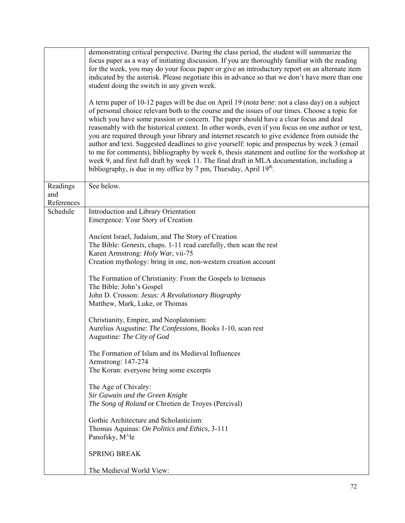|                        | demonstrating critical perspective. During the class period, the student will summarize the<br>focus paper as a way of initiating discussion. If you are thoroughly familiar with the reading<br>for the week, you may do your focus paper or give an introductory report on an alternate item<br>indicated by the asterisk. Please negotiate this in advance so that we don't have more than one<br>student doing the switch in any given week.<br>A term paper of 10-12 pages will be due on April 19 ( <i>nota bene</i> : not a class day) on a subject<br>of personal choice relevant both to the course and the issues of our times. Choose a topic for<br>which you have some passion or concern. The paper should have a clear focus and deal |
|------------------------|------------------------------------------------------------------------------------------------------------------------------------------------------------------------------------------------------------------------------------------------------------------------------------------------------------------------------------------------------------------------------------------------------------------------------------------------------------------------------------------------------------------------------------------------------------------------------------------------------------------------------------------------------------------------------------------------------------------------------------------------------|
|                        | reasonably with the historical context. In other words, even if you focus on one author or text,<br>you are required through your library and internet research to give evidence from outside the<br>author and text. Suggested deadlines to give yourself: topic and prospectus by week 3 (email<br>to me for comments), bibliography by week 6, thesis statement and outline for the workshop at<br>week 9, and first full draft by week 11. The final draft in MLA documentation, including a<br>bibliography, is due in my office by 7 pm, Thursday, April 19 <sup>th</sup> .                                                                                                                                                                    |
| Readings<br>and        | See below.                                                                                                                                                                                                                                                                                                                                                                                                                                                                                                                                                                                                                                                                                                                                           |
| References<br>Schedule | Introduction and Library Orientation                                                                                                                                                                                                                                                                                                                                                                                                                                                                                                                                                                                                                                                                                                                 |
|                        | Emergence: Your Story of Creation                                                                                                                                                                                                                                                                                                                                                                                                                                                                                                                                                                                                                                                                                                                    |
|                        | Ancient Israel, Judaism, and The Story of Creation<br>The Bible: <i>Genesis</i> , chaps. 1-11 read carefully, then scan the rest<br>Karen Armstrong: Holy War, vii-75<br>Creation mythology: bring in one, non-western creation account                                                                                                                                                                                                                                                                                                                                                                                                                                                                                                              |
|                        | The Formation of Christianity: From the Gospels to Irenaeus<br>The Bible: John's Gospel<br>John D. Crosson: Jesus: A Revolutionary Biography<br>Matthew, Mark, Luke, or Thomas                                                                                                                                                                                                                                                                                                                                                                                                                                                                                                                                                                       |
|                        | Christianity, Empire, and Neoplatonism:<br>Aurelius Augustine: The Confessions, Books 1-10, scan rest<br>Augustine: The City of God                                                                                                                                                                                                                                                                                                                                                                                                                                                                                                                                                                                                                  |
|                        | The Formation of Islam and its Medieval Influences<br>Armstrong: 147-274<br>The Koran: everyone bring some excerpts                                                                                                                                                                                                                                                                                                                                                                                                                                                                                                                                                                                                                                  |
|                        | The Age of Chivalry:<br>Sir Gawain and the Green Knight<br>The Song of Roland or Chretien de Troyes (Percival)                                                                                                                                                                                                                                                                                                                                                                                                                                                                                                                                                                                                                                       |
|                        | Gothic Architecture and Scholasticism:<br>Thomas Aquinas: On Politics and Ethics, 3-111<br>Panofsky, M^le                                                                                                                                                                                                                                                                                                                                                                                                                                                                                                                                                                                                                                            |
|                        | <b>SPRING BREAK</b>                                                                                                                                                                                                                                                                                                                                                                                                                                                                                                                                                                                                                                                                                                                                  |
|                        | The Medieval World View:                                                                                                                                                                                                                                                                                                                                                                                                                                                                                                                                                                                                                                                                                                                             |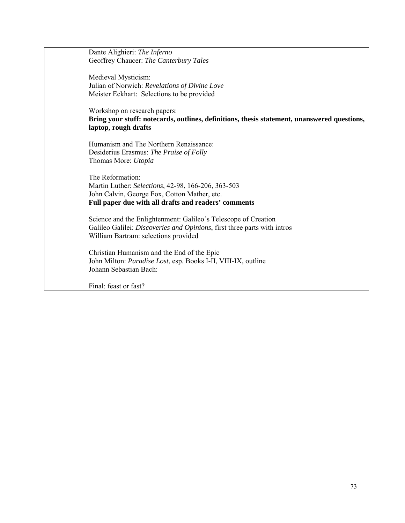| Dante Alighieri: The Inferno                                                                |
|---------------------------------------------------------------------------------------------|
| Geoffrey Chaucer: The Canterbury Tales                                                      |
|                                                                                             |
| Medieval Mysticism:                                                                         |
| Julian of Norwich: Revelations of Divine Love                                               |
| Meister Eckhart: Selections to be provided                                                  |
|                                                                                             |
| Workshop on research papers:                                                                |
| Bring your stuff: notecards, outlines, definitions, thesis statement, unanswered questions, |
| laptop, rough drafts                                                                        |
|                                                                                             |
| Humanism and The Northern Renaissance:                                                      |
| Desiderius Erasmus: The Praise of Folly                                                     |
| Thomas More: Utopia                                                                         |
|                                                                                             |
| The Reformation:                                                                            |
| Martin Luther: Selections, 42-98, 166-206, 363-503                                          |
| John Calvin, George Fox, Cotton Mather, etc.                                                |
| Full paper due with all drafts and readers' comments                                        |
|                                                                                             |
| Science and the Enlightenment: Galileo's Telescope of Creation                              |
| Galileo Galilei: Discoveries and Opinions, first three parts with intros                    |
| William Bartram: selections provided                                                        |
|                                                                                             |
| Christian Humanism and the End of the Epic                                                  |
| John Milton: Paradise Lost, esp. Books I-II, VIII-IX, outline                               |
| Johann Sebastian Bach:                                                                      |
|                                                                                             |
| Final: feast or fast?                                                                       |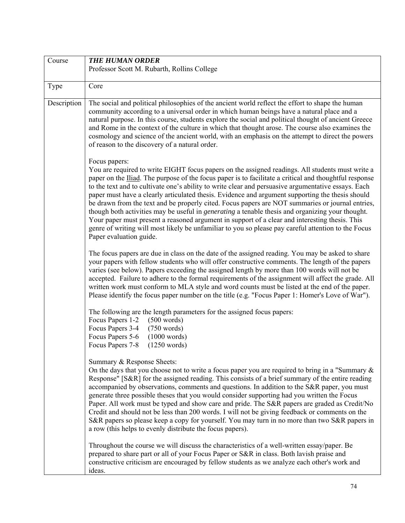| Course      | <b>THE HUMAN ORDER</b>                                                                                                                                                                                                                                                                                                                                                                                                                                                                                                                                                                                                                                                                                                                                                                                                                                                                            |  |  |  |
|-------------|---------------------------------------------------------------------------------------------------------------------------------------------------------------------------------------------------------------------------------------------------------------------------------------------------------------------------------------------------------------------------------------------------------------------------------------------------------------------------------------------------------------------------------------------------------------------------------------------------------------------------------------------------------------------------------------------------------------------------------------------------------------------------------------------------------------------------------------------------------------------------------------------------|--|--|--|
|             | Professor Scott M. Rubarth, Rollins College                                                                                                                                                                                                                                                                                                                                                                                                                                                                                                                                                                                                                                                                                                                                                                                                                                                       |  |  |  |
| Type        | Core                                                                                                                                                                                                                                                                                                                                                                                                                                                                                                                                                                                                                                                                                                                                                                                                                                                                                              |  |  |  |
| Description | The social and political philosophies of the ancient world reflect the effort to shape the human<br>community according to a universal order in which human beings have a natural place and a<br>natural purpose. In this course, students explore the social and political thought of ancient Greece<br>and Rome in the context of the culture in which that thought arose. The course also examines the<br>cosmology and science of the ancient world, with an emphasis on the attempt to direct the powers<br>of reason to the discovery of a natural order.                                                                                                                                                                                                                                                                                                                                   |  |  |  |
|             | Focus papers:<br>You are required to write EIGHT focus papers on the assigned readings. All students must write a<br>paper on the <i>Iliad</i> . The purpose of the focus paper is to facilitate a critical and thoughtful response<br>to the text and to cultivate one's ability to write clear and persuasive argumentative essays. Each<br>paper must have a clearly articulated thesis. Evidence and argument supporting the thesis should<br>be drawn from the text and be properly cited. Focus papers are NOT summaries or journal entries,<br>though both activities may be useful in <i>generating</i> a tenable thesis and organizing your thought.<br>Your paper must present a reasoned argument in support of a clear and interesting thesis. This<br>genre of writing will most likely be unfamiliar to you so please pay careful attention to the Focus<br>Paper evaluation guide. |  |  |  |
|             | The focus papers are due in class on the date of the assigned reading. You may be asked to share<br>your papers with fellow students who will offer constructive comments. The length of the papers<br>varies (see below). Papers exceeding the assigned length by more than 100 words will not be<br>accepted. Failure to adhere to the formal requirements of the assignment will affect the grade. All<br>written work must conform to MLA style and word counts must be listed at the end of the paper.<br>Please identify the focus paper number on the title (e.g. "Focus Paper 1: Homer's Love of War").                                                                                                                                                                                                                                                                                   |  |  |  |
|             | The following are the length parameters for the assigned focus papers:<br>Focus Papers 1-2<br>(500 words)<br>Focus Papers 3-4<br>$(750 \text{ words})$<br>Focus Papers 5-6<br>(1000 words)<br>Focus Papers 7-8<br>(1250 words)                                                                                                                                                                                                                                                                                                                                                                                                                                                                                                                                                                                                                                                                    |  |  |  |
|             | Summary & Response Sheets:<br>On the days that you choose not to write a focus paper you are required to bring in a "Summary $\&$<br>Response" [S&R] for the assigned reading. This consists of a brief summary of the entire reading<br>accompanied by observations, comments and questions. In addition to the S&R paper, you must<br>generate three possible theses that you would consider supporting had you written the Focus<br>Paper. All work must be typed and show care and pride. The S&R papers are graded as Credit/No<br>Credit and should not be less than 200 words. I will not be giving feedback or comments on the<br>S&R papers so please keep a copy for yourself. You may turn in no more than two S&R papers in<br>a row (this helps to evenly distribute the focus papers).                                                                                              |  |  |  |
|             | Throughout the course we will discuss the characteristics of a well-written essay/paper. Be<br>prepared to share part or all of your Focus Paper or S&R in class. Both lavish praise and<br>constructive criticism are encouraged by fellow students as we analyze each other's work and<br>ideas.                                                                                                                                                                                                                                                                                                                                                                                                                                                                                                                                                                                                |  |  |  |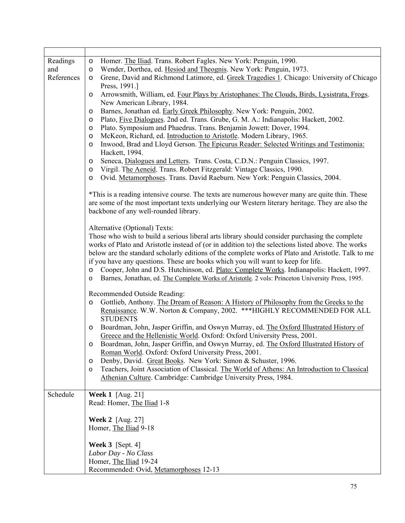| Readings          | Homer. The Iliad. Trans. Robert Fagles. New York: Penguin, 1990.<br>$\circ$                                                                                                                      |  |  |  |  |
|-------------------|--------------------------------------------------------------------------------------------------------------------------------------------------------------------------------------------------|--|--|--|--|
| and<br>References | Wender, Dorthea, ed. Hesiod and Theognis. New York: Penguin, 1973.<br>$\circ$                                                                                                                    |  |  |  |  |
|                   | Grene, David and Richmond Latimore, ed. Greek Tragedies 1. Chicago: University of Chicago<br>$\circ$<br>Press, 1991.]                                                                            |  |  |  |  |
|                   | Arrowsmith, William, ed. Four Plays by Aristophanes: The Clouds, Birds, Lysistrata, Frogs.<br>$\circ$                                                                                            |  |  |  |  |
|                   | New American Library, 1984.                                                                                                                                                                      |  |  |  |  |
|                   | Barnes, Jonathan ed. Early Greek Philosophy. New York: Penguin, 2002.<br>O                                                                                                                       |  |  |  |  |
|                   | Plato, Five Dialogues. 2nd ed. Trans. Grube, G. M. A.: Indianapolis: Hackett, 2002.<br>O                                                                                                         |  |  |  |  |
|                   | Plato. Symposium and Phaedrus. Trans. Benjamin Jowett: Dover, 1994.<br>O                                                                                                                         |  |  |  |  |
|                   | McKeon, Richard, ed. Introduction to Aristotle. Modern Library, 1965.<br>$\circ$<br>Inwood, Brad and Lloyd Gerson. The Epicurus Reader: Selected Writings and Testimonia:<br>$\circ$             |  |  |  |  |
|                   | Hackett, 1994.                                                                                                                                                                                   |  |  |  |  |
|                   | Seneca, Dialogues and Letters. Trans. Costa, C.D.N.: Penguin Classics, 1997.<br>$\circ$                                                                                                          |  |  |  |  |
|                   | Virgil. The Aeneid. Trans. Robert Fitzgerald: Vintage Classics, 1990.<br>$\circ$                                                                                                                 |  |  |  |  |
|                   | Ovid. Metamorphoses. Trans. David Raeburn. New York: Penguin Classics, 2004.<br>$\circ$                                                                                                          |  |  |  |  |
|                   | *This is a reading intensive course. The texts are numerous however many are quite thin. These                                                                                                   |  |  |  |  |
|                   | are some of the most important texts underlying our Western literary heritage. They are also the<br>backbone of any well-rounded library.                                                        |  |  |  |  |
|                   | Alternative (Optional) Texts:                                                                                                                                                                    |  |  |  |  |
|                   | Those who wish to build a serious liberal arts library should consider purchasing the complete                                                                                                   |  |  |  |  |
|                   | works of Plato and Aristotle instead of (or in addition to) the selections listed above. The works                                                                                               |  |  |  |  |
|                   | below are the standard scholarly editions of the complete works of Plato and Aristotle. Talk to me                                                                                               |  |  |  |  |
|                   | if you have any questions. These are books which you will want to keep for life.<br>Cooper, John and D.S. Hutchinson, ed. Plato: Complete Works. Indianapolis: Hackett, 1997.<br>$\circ$         |  |  |  |  |
|                   | Barnes, Jonathan, ed. The Complete Works of Aristotle. 2 vols: Princeton University Press, 1995.<br>$\circ$                                                                                      |  |  |  |  |
|                   |                                                                                                                                                                                                  |  |  |  |  |
|                   | Recommended Outside Reading:                                                                                                                                                                     |  |  |  |  |
|                   | Gottlieb, Anthony. The Dream of Reason: A History of Philosophy from the Greeks to the<br>$\circ$<br>Renaissance. W.W. Norton & Company, 2002. *** HIGHLY RECOMMENDED FOR ALL<br><b>STUDENTS</b> |  |  |  |  |
|                   | Boardman, John, Jasper Griffin, and Oswyn Murray, ed. The Oxford Illustrated History of<br>$\circ$                                                                                               |  |  |  |  |
|                   | Greece and the Hellenistic World. Oxford: Oxford University Press, 2001.                                                                                                                         |  |  |  |  |
|                   | Boardman, John, Jasper Griffin, and Oswyn Murray, ed. The Oxford Illustrated History of                                                                                                          |  |  |  |  |
|                   | Roman World. Oxford: Oxford University Press, 2001.                                                                                                                                              |  |  |  |  |
|                   | Denby, David. Great Books. New York: Simon & Schuster, 1996.<br>$\circ$                                                                                                                          |  |  |  |  |
|                   | Teachers, Joint Association of Classical. The World of Athens: An Introduction to Classical<br>$\circ$<br>Athenian Culture. Cambridge: Cambridge University Press, 1984.                         |  |  |  |  |
|                   |                                                                                                                                                                                                  |  |  |  |  |
| Schedule          | <b>Week 1</b> [Aug. 21]                                                                                                                                                                          |  |  |  |  |
|                   | Read: Homer, The Iliad 1-8                                                                                                                                                                       |  |  |  |  |
|                   | <b>Week 2</b> [Aug. 27]                                                                                                                                                                          |  |  |  |  |
|                   | Homer, The Iliad 9-18                                                                                                                                                                            |  |  |  |  |
|                   |                                                                                                                                                                                                  |  |  |  |  |
|                   | Week $3$ [Sept. 4]                                                                                                                                                                               |  |  |  |  |
|                   | Labor Day - No Class                                                                                                                                                                             |  |  |  |  |
|                   | Homer, The Iliad 19-24                                                                                                                                                                           |  |  |  |  |
|                   | Recommended: Ovid, Metamorphoses 12-13                                                                                                                                                           |  |  |  |  |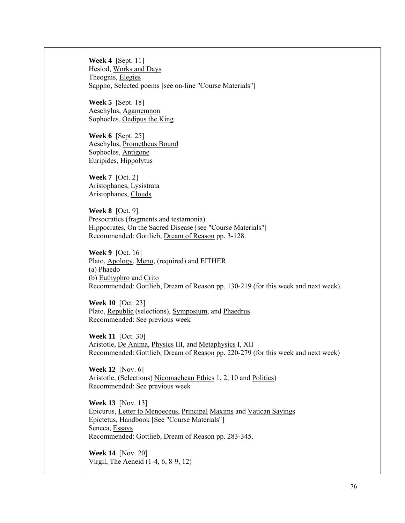**Week 4** [Sept. 11] Hesiod, Works and Days Theognis, Elegies Sappho, Selected poems [see on-line "Course Materials"]

**Week 5** [Sept. 18] Aeschylus, Agamemnon Sophocles, Oedipus the King

**Week 6** [Sept. 25] Aeschylus, Prometheus Bound Sophocles, Antigone Euripides, Hippolytus

**Week 7** [Oct. 2] Aristophanes, Lysistrata Aristophanes, Clouds

**Week 8** [Oct. 9] Presocratics (fragments and testamonia) Hippocrates, On the Sacred Disease [see "Course Materials"] Recommended: Gottlieb, Dream of Reason pp. 3-128.

**Week 9** [Oct. 16] Plato, Apology, Meno, (required) and EITHER (a) Phaedo (b) Euthyphro and Crito Recommended: Gottlieb, Dream of Reason pp. 130-219 (for this week and next week).

**Week 10** [Oct. 23] Plato, Republic (selections), Symposium, and Phaedrus Recommended: See previous week

**Week 11** [Oct. 30] Aristotle, De Anima, Physics III, and Metaphysics I, XII Recommended: Gottlieb, Dream of Reason pp. 220-279 (for this week and next week)

**Week 12** [Nov. 6] Aristotle, (Selections) Nicomachean Ethics 1, 2, 10 and Politics) Recommended: See previous week

**Week 13** [Nov. 13] Epicurus, Letter to Menoeceus, Principal Maxims and Vatican Sayings Epictetus, Handbook [See "Course Materials"] Seneca, Essays Recommended: Gottlieb, Dream of Reason pp. 283-345.

**Week 14** [Nov. 20] Virgil, The Aeneid (1-4, 6, 8-9, 12)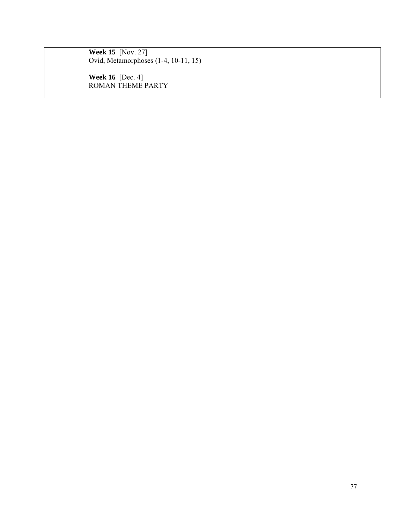| <b>Week 15</b> [Nov. 27]<br>Ovid, Metamorphoses (1-4, 10-11, 15) |
|------------------------------------------------------------------|
| <b>Week 16</b> [Dec. 4]<br><b>ROMAN THEME PARTY</b>              |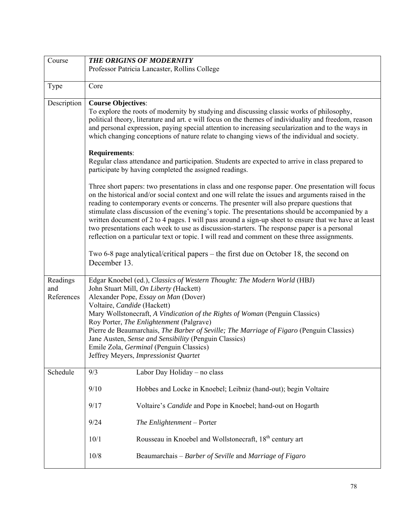| Course      | <b>THE ORIGINS OF MODERNITY</b>                                                                             |                                                                                                                                                                                                          |  |  |
|-------------|-------------------------------------------------------------------------------------------------------------|----------------------------------------------------------------------------------------------------------------------------------------------------------------------------------------------------------|--|--|
|             |                                                                                                             | Professor Patricia Lancaster, Rollins College                                                                                                                                                            |  |  |
|             |                                                                                                             |                                                                                                                                                                                                          |  |  |
| Type        | Core                                                                                                        |                                                                                                                                                                                                          |  |  |
| Description | <b>Course Objectives:</b>                                                                                   |                                                                                                                                                                                                          |  |  |
|             |                                                                                                             | To explore the roots of modernity by studying and discussing classic works of philosophy,                                                                                                                |  |  |
|             |                                                                                                             | political theory, literature and art. e will focus on the themes of individuality and freedom, reason                                                                                                    |  |  |
|             |                                                                                                             | and personal expression, paying special attention to increasing secularization and to the ways in                                                                                                        |  |  |
|             |                                                                                                             | which changing conceptions of nature relate to changing views of the individual and society.                                                                                                             |  |  |
|             | Requirements:                                                                                               |                                                                                                                                                                                                          |  |  |
|             |                                                                                                             | Regular class attendance and participation. Students are expected to arrive in class prepared to                                                                                                         |  |  |
|             |                                                                                                             | participate by having completed the assigned readings.                                                                                                                                                   |  |  |
|             |                                                                                                             |                                                                                                                                                                                                          |  |  |
|             |                                                                                                             | Three short papers: two presentations in class and one response paper. One presentation will focus<br>on the historical and/or social context and one will relate the issues and arguments raised in the |  |  |
|             |                                                                                                             | reading to contemporary events or concerns. The presenter will also prepare questions that                                                                                                               |  |  |
|             |                                                                                                             | stimulate class discussion of the evening's topic. The presentations should be accompanied by a                                                                                                          |  |  |
|             |                                                                                                             | written document of 2 to 4 pages. I will pass around a sign-up sheet to ensure that we have at least                                                                                                     |  |  |
|             |                                                                                                             | two presentations each week to use as discussion-starters. The response paper is a personal                                                                                                              |  |  |
|             |                                                                                                             | reflection on a particular text or topic. I will read and comment on these three assignments.                                                                                                            |  |  |
|             | Two 6-8 page analytical/critical papers – the first due on October 18, the second on                        |                                                                                                                                                                                                          |  |  |
|             | December 13.                                                                                                |                                                                                                                                                                                                          |  |  |
|             |                                                                                                             |                                                                                                                                                                                                          |  |  |
| Readings    |                                                                                                             | Edgar Knoebel (ed.), Classics of Western Thought: The Modern World (HBJ)                                                                                                                                 |  |  |
| and         | John Stuart Mill, On Liberty (Hackett)                                                                      |                                                                                                                                                                                                          |  |  |
| References  | Alexander Pope, Essay on Man (Dover)                                                                        |                                                                                                                                                                                                          |  |  |
|             | Voltaire, Candide (Hackett)<br>Mary Wollstonecraft, A Vindication of the Rights of Woman (Penguin Classics) |                                                                                                                                                                                                          |  |  |
|             |                                                                                                             | Roy Porter, The Enlightenment (Palgrave)                                                                                                                                                                 |  |  |
|             |                                                                                                             | Pierre de Beaumarchais, The Barber of Seville; The Marriage of Figaro (Penguin Classics)                                                                                                                 |  |  |
|             |                                                                                                             | Jane Austen, Sense and Sensibility (Penguin Classics)                                                                                                                                                    |  |  |
|             | Emile Zola, Germinal (Penguin Classics)<br>Jeffrey Meyers, Impressionist Quartet                            |                                                                                                                                                                                                          |  |  |
|             |                                                                                                             |                                                                                                                                                                                                          |  |  |
| Schedule    | 9/3                                                                                                         | Labor Day Holiday – no class                                                                                                                                                                             |  |  |
|             | 9/10                                                                                                        | Hobbes and Locke in Knoebel; Leibniz (hand-out); begin Voltaire                                                                                                                                          |  |  |
|             |                                                                                                             |                                                                                                                                                                                                          |  |  |
|             | 9/17                                                                                                        | Voltaire's Candide and Pope in Knoebel; hand-out on Hogarth                                                                                                                                              |  |  |
|             | 9/24                                                                                                        | The Enlightenment - Porter                                                                                                                                                                               |  |  |
|             | 10/1                                                                                                        | Rousseau in Knoebel and Wollstonecraft, 18 <sup>th</sup> century art                                                                                                                                     |  |  |
|             |                                                                                                             |                                                                                                                                                                                                          |  |  |
|             | 10/8                                                                                                        | Beaumarchais - Barber of Seville and Marriage of Figaro                                                                                                                                                  |  |  |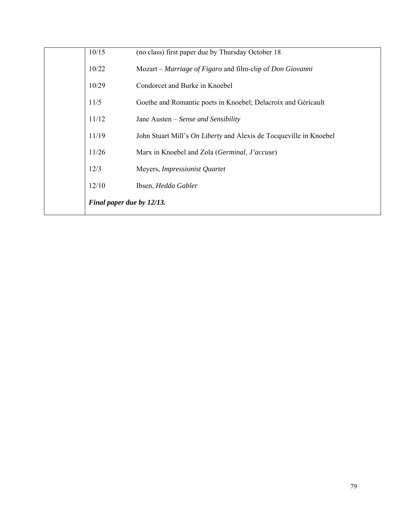| Final paper due by 12/13. |                                                                           |
|---------------------------|---------------------------------------------------------------------------|
| 12/10                     | Ibsen, Hedda Gabler                                                       |
| 12/3                      | Meyers, Impressionist Quartet                                             |
| 11/26                     | Marx in Knoebel and Zola (Germinal, J'accuse)                             |
| 11/19                     | John Stuart Mill's <i>On Liberty</i> and Alexis de Tocqueville in Knoebel |
| 11/12                     | Jane Austen – Sense and Sensibility                                       |
| 11/5                      | Goethe and Romantic poets in Knoebel; Delacroix and Géricault             |
| 10/29                     | Condorcet and Burke in Knoebel                                            |
| 10/22                     | Mozart – Marriage of Figaro and film-clip of Don Giovanni                 |
| 10/15                     | (no class) first paper due by Thursday October 18                         |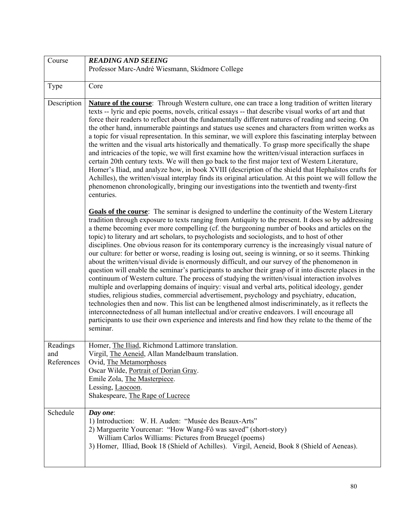| Course                        | <b>READING AND SEEING</b>                                                                                                                                                                                                                                                                                                                                                                                                                                                                                                                                                                                                                                                                                                                                                                                                                                                                                                                                                                                                                                                                                                                                                                                                                                                                                                                                                                                                                                     |
|-------------------------------|---------------------------------------------------------------------------------------------------------------------------------------------------------------------------------------------------------------------------------------------------------------------------------------------------------------------------------------------------------------------------------------------------------------------------------------------------------------------------------------------------------------------------------------------------------------------------------------------------------------------------------------------------------------------------------------------------------------------------------------------------------------------------------------------------------------------------------------------------------------------------------------------------------------------------------------------------------------------------------------------------------------------------------------------------------------------------------------------------------------------------------------------------------------------------------------------------------------------------------------------------------------------------------------------------------------------------------------------------------------------------------------------------------------------------------------------------------------|
|                               | Professor Marc-André Wiesmann, Skidmore College                                                                                                                                                                                                                                                                                                                                                                                                                                                                                                                                                                                                                                                                                                                                                                                                                                                                                                                                                                                                                                                                                                                                                                                                                                                                                                                                                                                                               |
| Type                          | Core                                                                                                                                                                                                                                                                                                                                                                                                                                                                                                                                                                                                                                                                                                                                                                                                                                                                                                                                                                                                                                                                                                                                                                                                                                                                                                                                                                                                                                                          |
| Description                   | Nature of the course: Through Western culture, one can trace a long tradition of written literary<br>texts -- lyric and epic poems, novels, critical essays -- that describe visual works of art and that<br>force their readers to reflect about the fundamentally different natures of reading and seeing. On<br>the other hand, innumerable paintings and statues use scenes and characters from written works as<br>a topic for visual representation. In this seminar, we will explore this fascinating interplay between<br>the written and the visual arts historically and thematically. To grasp more specifically the shape<br>and intricacies of the topic, we will first examine how the written/visual interaction surfaces in<br>certain 20th century texts. We will then go back to the first major text of Western Literature,<br>Homer's Iliad, and analyze how, in book XVIII (description of the shield that Hephaïstos crafts for<br>Achilles), the written/visual interplay finds its original articulation. At this point we will follow the<br>phenomenon chronologically, bringing our investigations into the twentieth and twenty-first<br>centuries.                                                                                                                                                                                                                                                                               |
|                               | Goals of the course: The seminar is designed to underline the continuity of the Western Literary<br>tradition through exposure to texts ranging from Antiquity to the present. It does so by addressing<br>a theme becoming ever more compelling (cf. the burgeoning number of books and articles on the<br>topic) to literary and art scholars, to psychologists and sociologists, and to host of other<br>disciplines. One obvious reason for its contemporary currency is the increasingly visual nature of<br>our culture: for better or worse, reading is losing out, seeing is winning, or so it seems. Thinking<br>about the written/visual divide is enormously difficult, and our survey of the phenomenon in<br>question will enable the seminar's participants to anchor their grasp of it into discrete places in the<br>continuum of Western culture. The process of studying the written/visual interaction involves<br>multiple and overlapping domains of inquiry: visual and verbal arts, political ideology, gender<br>studies, religious studies, commercial advertisement, psychology and psychiatry, education,<br>technologies then and now. This list can be lengthened almost indiscriminately, as it reflects the<br>interconnectedness of all human intellectual and/or creative endeavors. I will encourage all<br>participants to use their own experience and interests and find how they relate to the theme of the<br>seminar. |
| Readings<br>and<br>References | Homer, The Iliad, Richmond Lattimore translation.<br>Virgil, The Aeneid, Allan Mandelbaum translation.<br>Ovid, The Metamorphoses<br>Oscar Wilde, Portrait of Dorian Gray.<br>Emile Zola, The Masterpiece.<br>Lessing, Laocoon.<br>Shakespeare, The Rape of Lucrece                                                                                                                                                                                                                                                                                                                                                                                                                                                                                                                                                                                                                                                                                                                                                                                                                                                                                                                                                                                                                                                                                                                                                                                           |
| Schedule                      | Day one:<br>1) Introduction: W. H. Auden: "Musée des Beaux-Arts"<br>2) Marguerite Yourcenar: "How Wang-Fô was saved" (short-story)<br>William Carlos Williams: Pictures from Bruegel (poems)<br>3) Homer, Illiad, Book 18 (Shield of Achilles). Virgil, Aeneid, Book 8 (Shield of Aeneas).                                                                                                                                                                                                                                                                                                                                                                                                                                                                                                                                                                                                                                                                                                                                                                                                                                                                                                                                                                                                                                                                                                                                                                    |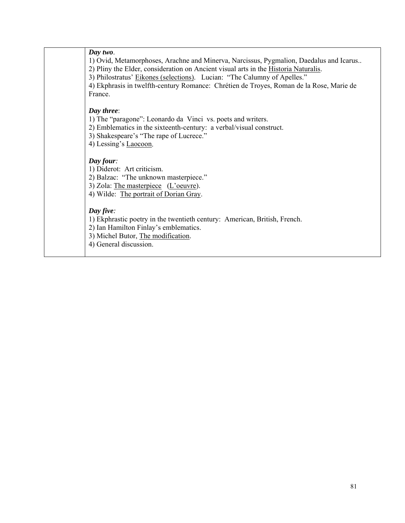| 1) Ovid, Metamorphoses, Arachne and Minerva, Narcissus, Pygmalion, Daedalus and Icarus<br>4) Ekphrasis in twelfth-century Romance: Chrétien de Troyes, Roman de la Rose, Marie de |
|-----------------------------------------------------------------------------------------------------------------------------------------------------------------------------------|
|                                                                                                                                                                                   |
|                                                                                                                                                                                   |
|                                                                                                                                                                                   |
|                                                                                                                                                                                   |
|                                                                                                                                                                                   |
|                                                                                                                                                                                   |
|                                                                                                                                                                                   |
|                                                                                                                                                                                   |
|                                                                                                                                                                                   |
|                                                                                                                                                                                   |
|                                                                                                                                                                                   |
|                                                                                                                                                                                   |
|                                                                                                                                                                                   |
|                                                                                                                                                                                   |
|                                                                                                                                                                                   |
|                                                                                                                                                                                   |
|                                                                                                                                                                                   |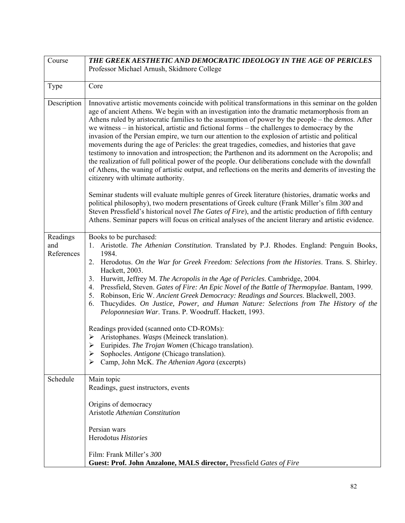| Course                        | THE GREEK AESTHETIC AND DEMOCRATIC IDEOLOGY IN THE AGE OF PERICLES                                                                                                                                                                                                                                                                                                                                                                                                                                                                                                                                                                                                                                                                                                                                                                                                                                                                                                               |
|-------------------------------|----------------------------------------------------------------------------------------------------------------------------------------------------------------------------------------------------------------------------------------------------------------------------------------------------------------------------------------------------------------------------------------------------------------------------------------------------------------------------------------------------------------------------------------------------------------------------------------------------------------------------------------------------------------------------------------------------------------------------------------------------------------------------------------------------------------------------------------------------------------------------------------------------------------------------------------------------------------------------------|
|                               | Professor Michael Arnush, Skidmore College                                                                                                                                                                                                                                                                                                                                                                                                                                                                                                                                                                                                                                                                                                                                                                                                                                                                                                                                       |
|                               |                                                                                                                                                                                                                                                                                                                                                                                                                                                                                                                                                                                                                                                                                                                                                                                                                                                                                                                                                                                  |
| Type                          | Core                                                                                                                                                                                                                                                                                                                                                                                                                                                                                                                                                                                                                                                                                                                                                                                                                                                                                                                                                                             |
| Description                   | Innovative artistic movements coincide with political transformations in this seminar on the golden<br>age of ancient Athens. We begin with an investigation into the dramatic metamorphosis from an<br>Athens ruled by aristocratic families to the assumption of power by the people – the <i>demos</i> . After<br>we witness – in historical, artistic and fictional forms – the challenges to democracy by the<br>invasion of the Persian empire, we turn our attention to the explosion of artistic and political<br>movements during the age of Pericles: the great tragedies, comedies, and histories that gave<br>testimony to innovation and introspection; the Parthenon and its adornment on the Acropolis; and<br>the realization of full political power of the people. Our deliberations conclude with the downfall<br>of Athens, the waning of artistic output, and reflections on the merits and demerits of investing the<br>citizenry with ultimate authority. |
|                               | Seminar students will evaluate multiple genres of Greek literature (histories, dramatic works and<br>political philosophy), two modern presentations of Greek culture (Frank Miller's film 300 and<br>Steven Pressfield's historical novel The Gates of Fire), and the artistic production of fifth century<br>Athens. Seminar papers will focus on critical analyses of the ancient literary and artistic evidence.                                                                                                                                                                                                                                                                                                                                                                                                                                                                                                                                                             |
| Readings<br>and<br>References | Books to be purchased:<br>Aristotle. The Athenian Constitution. Translated by P.J. Rhodes. England: Penguin Books,<br>1984.<br>2. Herodotus. On the War for Greek Freedom: Selections from the Histories. Trans. S. Shirley.<br>Hackett, 2003.<br>Hurwitt, Jeffrey M. The Acropolis in the Age of Pericles. Cambridge, 2004.<br>3 <sub>1</sub><br>Pressfield, Steven. Gates of Fire: An Epic Novel of the Battle of Thermopylae. Bantam, 1999.<br>4.<br>Robinson, Eric W. Ancient Greek Democracy: Readings and Sources. Blackwell, 2003.<br>5.<br>Thucydides. On Justice, Power, and Human Nature: Selections from The History of the<br>6.<br>Peloponnesian War. Trans. P. Woodruff. Hackett, 1993.<br>Readings provided (scanned onto CD-ROMs):<br>Aristophanes. Wasps (Meineck translation).<br>➤<br>Euripides. The Trojan Women (Chicago translation).<br>➤<br>Sophocles. Antigone (Chicago translation).<br>➤<br>Camp, John McK. The Athenian Agora (excerpts)<br>➤        |
| Schedule                      | Main topic<br>Readings, guest instructors, events<br>Origins of democracy<br>Aristotle Athenian Constitution<br>Persian wars<br>Herodotus Histories<br>Film: Frank Miller's 300<br>Guest: Prof. John Anzalone, MALS director, Pressfield Gates of Fire                                                                                                                                                                                                                                                                                                                                                                                                                                                                                                                                                                                                                                                                                                                           |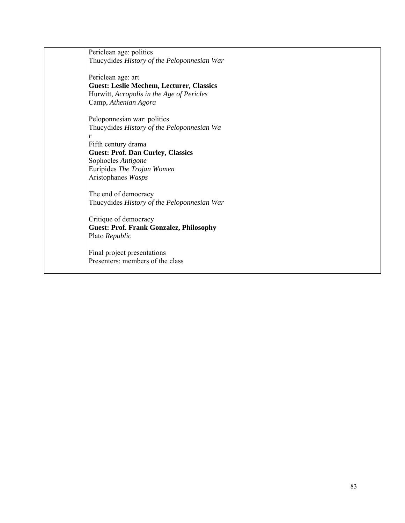Periclean age: politics Thucydides *History of the Peloponnesian War* 

Periclean age: art **Guest: Leslie Mechem, Lecturer, Classics**  Hurwitt, *Acropolis in the Age of Pericles* Camp, *Athenian Agora* 

Peloponnesian war: politics Thucydides *History of the Peloponnesian Wa r* 

Fifth century drama **Guest: Prof. Dan Curley, Classics**  Sophocles *Antigone*  Euripides *The Trojan Women* Aristophanes *Wasps* 

The end of democracy Thucydides *History of the Peloponnesian War* 

Critique of democracy **Guest: Prof. Frank Gonzalez, Philosophy**  Plato *Republic*

Final project presentations Presenters: members of the class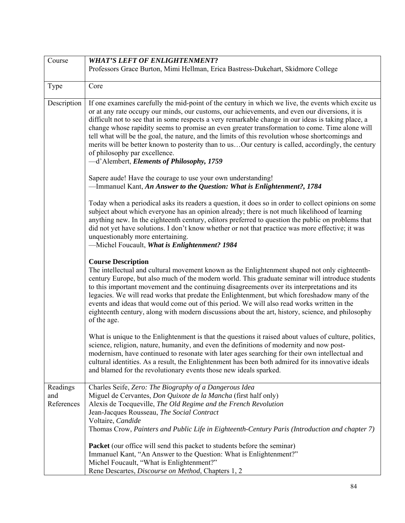| Course                        | <b>WHAT'S LEFT OF ENLIGHTENMENT?</b>                                                                                                                                                                                                                                                                                                                                                                                                                                                                                                                                                                                                                                                                   |
|-------------------------------|--------------------------------------------------------------------------------------------------------------------------------------------------------------------------------------------------------------------------------------------------------------------------------------------------------------------------------------------------------------------------------------------------------------------------------------------------------------------------------------------------------------------------------------------------------------------------------------------------------------------------------------------------------------------------------------------------------|
|                               | Professors Grace Burton, Mimi Hellman, Erica Bastress-Dukehart, Skidmore College                                                                                                                                                                                                                                                                                                                                                                                                                                                                                                                                                                                                                       |
| Type                          | Core                                                                                                                                                                                                                                                                                                                                                                                                                                                                                                                                                                                                                                                                                                   |
| Description                   | If one examines carefully the mid-point of the century in which we live, the events which excite us<br>or at any rate occupy our minds, our customs, our achievements, and even our diversions, it is<br>difficult not to see that in some respects a very remarkable change in our ideas is taking place, a<br>change whose rapidity seems to promise an even greater transformation to come. Time alone will<br>tell what will be the goal, the nature, and the limits of this revolution whose shortcomings and<br>merits will be better known to posterity than to usOur century is called, accordingly, the century<br>of philosophy par excellence.<br>-d'Alembert, Elements of Philosophy, 1759 |
|                               | Sapere aude! Have the courage to use your own understanding!<br>-Immanuel Kant, An Answer to the Question: What is Enlightenment?, 1784                                                                                                                                                                                                                                                                                                                                                                                                                                                                                                                                                                |
|                               | Today when a periodical asks its readers a question, it does so in order to collect opinions on some<br>subject about which everyone has an opinion already; there is not much likelihood of learning<br>anything new. In the eighteenth century, editors preferred to question the public on problems that<br>did not yet have solutions. I don't know whether or not that practice was more effective; it was<br>unquestionably more entertaining.<br>-Michel Foucault, What is Enlightenment? 1984                                                                                                                                                                                                  |
|                               | <b>Course Description</b><br>The intellectual and cultural movement known as the Enlightenment shaped not only eighteenth-<br>century Europe, but also much of the modern world. This graduate seminar will introduce students<br>to this important movement and the continuing disagreements over its interpretations and its<br>legacies. We will read works that predate the Enlightenment, but which foreshadow many of the<br>events and ideas that would come out of this period. We will also read works written in the<br>eighteenth century, along with modern discussions about the art, history, science, and philosophy<br>of the age.                                                     |
|                               | What is unique to the Enlightenment is that the questions it raised about values of culture, politics,<br>science, religion, nature, humanity, and even the definitions of modernity and now post-<br>modernism, have continued to resonate with later ages searching for their own intellectual and<br>cultural identities. As a result, the Enlightenment has been both admired for its innovative ideals<br>and blamed for the revolutionary events those new ideals sparked.                                                                                                                                                                                                                       |
| Readings<br>and<br>References | Charles Seife, Zero: The Biography of a Dangerous Idea<br>Miguel de Cervantes, Don Quixote de la Mancha (first half only)<br>Alexis de Tocqueville, The Old Regime and the French Revolution<br>Jean-Jacques Rousseau, The Social Contract<br>Voltaire, Candide<br>Thomas Crow, Painters and Public Life in Eighteenth-Century Paris (Introduction and chapter 7)                                                                                                                                                                                                                                                                                                                                      |
|                               | <b>Packet</b> (our office will send this packet to students before the seminar)<br>Immanuel Kant, "An Answer to the Question: What is Enlightenment?"<br>Michel Foucault, "What is Enlightenment?"<br>Rene Descartes, Discourse on Method, Chapters 1, 2                                                                                                                                                                                                                                                                                                                                                                                                                                               |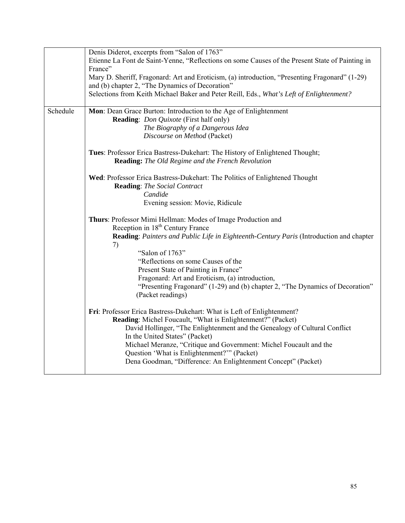|          | Denis Diderot, excerpts from "Salon of 1763"                                                    |
|----------|-------------------------------------------------------------------------------------------------|
|          | Etienne La Font de Saint-Yenne, "Reflections on some Causes of the Present State of Painting in |
|          | France"                                                                                         |
|          | Mary D. Sheriff, Fragonard: Art and Eroticism, (a) introduction, "Presenting Fragonard" (1-29)  |
|          | and (b) chapter 2, "The Dynamics of Decoration"                                                 |
|          | Selections from Keith Michael Baker and Peter Reill, Eds., What's Left of Enlightenment?        |
|          |                                                                                                 |
| Schedule | Mon: Dean Grace Burton: Introduction to the Age of Enlightenment                                |
|          | <b>Reading:</b> Don Quixote (First half only)                                                   |
|          | The Biography of a Dangerous Idea                                                               |
|          | Discourse on Method (Packet)                                                                    |
|          |                                                                                                 |
|          | Tues: Professor Erica Bastress-Dukehart: The History of Enlightened Thought;                    |
|          | <b>Reading:</b> The Old Regime and the French Revolution                                        |
|          | Wed: Professor Erica Bastress-Dukehart: The Politics of Enlightened Thought                     |
|          | <b>Reading:</b> The Social Contract                                                             |
|          | Candide                                                                                         |
|          | Evening session: Movie, Ridicule                                                                |
|          |                                                                                                 |
|          | Thurs: Professor Mimi Hellman: Modes of Image Production and                                    |
|          | Reception in 18 <sup>th</sup> Century France                                                    |
|          | Reading: Painters and Public Life in Eighteenth-Century Paris (Introduction and chapter         |
|          | 7)                                                                                              |
|          | "Salon of 1763"                                                                                 |
|          | "Reflections on some Causes of the                                                              |
|          | Present State of Painting in France"                                                            |
|          | Fragonard: Art and Eroticism, (a) introduction,                                                 |
|          | "Presenting Fragonard" (1-29) and (b) chapter 2, "The Dynamics of Decoration"                   |
|          | (Packet readings)                                                                               |
|          |                                                                                                 |
|          | Fri: Professor Erica Bastress-Dukehart: What is Left of Enlightenment?                          |
|          | Reading: Michel Foucault, "What is Enlightenment?" (Packet)                                     |
|          | David Hollinger, "The Enlightenment and the Genealogy of Cultural Conflict                      |
|          | In the United States" (Packet)                                                                  |
|          | Michael Meranze, "Critique and Government: Michel Foucault and the                              |
|          | Question 'What is Enlightenment?'" (Packet)                                                     |
|          | Dena Goodman, "Difference: An Enlightenment Concept" (Packet)                                   |
|          |                                                                                                 |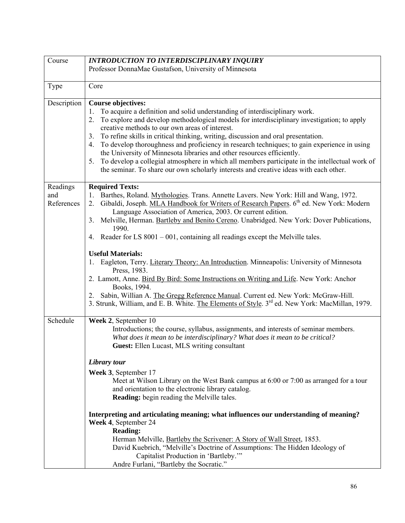| Course      | <b>INTRODUCTION TO INTERDISCIPLINARY INQUIRY</b>                                                                                                                                                     |
|-------------|------------------------------------------------------------------------------------------------------------------------------------------------------------------------------------------------------|
|             | Professor DonnaMae Gustafson, University of Minnesota                                                                                                                                                |
|             |                                                                                                                                                                                                      |
| Type        | Core                                                                                                                                                                                                 |
|             |                                                                                                                                                                                                      |
| Description | <b>Course objectives:</b>                                                                                                                                                                            |
|             | To acquire a definition and solid understanding of interdisciplinary work.<br>1.                                                                                                                     |
|             | To explore and develop methodological models for interdisciplinary investigation; to apply<br>2.<br>creative methods to our own areas of interest.                                                   |
|             | To refine skills in critical thinking, writing, discussion and oral presentation.<br>3.                                                                                                              |
|             | To develop thoroughness and proficiency in research techniques; to gain experience in using<br>4.                                                                                                    |
|             | the University of Minnesota libraries and other resources efficiently.                                                                                                                               |
|             | To develop a collegial atmosphere in which all members participate in the intellectual work of<br>5.                                                                                                 |
|             | the seminar. To share our own scholarly interests and creative ideas with each other.                                                                                                                |
|             |                                                                                                                                                                                                      |
| Readings    | <b>Required Texts:</b>                                                                                                                                                                               |
| and         | 1. Barthes, Roland. Mythologies. Trans. Annette Lavers. New York: Hill and Wang, 1972.                                                                                                               |
| References  | Gibaldi, Joseph. MLA Handbook for Writers of Research Papers. 6 <sup>th</sup> ed. New York: Modern<br>2 <sub>1</sub>                                                                                 |
|             | Language Association of America, 2003. Or current edition.                                                                                                                                           |
|             | Melville, Herman. Bartleby and Benito Cereno. Unabridged. New York: Dover Publications,<br>3 <sub>1</sub><br>1990.                                                                                   |
|             | 4. Reader for LS $8001 - 001$ , containing all readings except the Melville tales.                                                                                                                   |
|             |                                                                                                                                                                                                      |
|             | <b>Useful Materials:</b>                                                                                                                                                                             |
|             | Eagleton, Terry. Literary Theory: An Introduction. Minneapolis: University of Minnesota<br>1.                                                                                                        |
|             | Press, 1983.                                                                                                                                                                                         |
|             | 2. Lamott, Anne. Bird By Bird: Some Instructions on Writing and Life. New York: Anchor                                                                                                               |
|             | Books, 1994.                                                                                                                                                                                         |
|             | Sabin, Willian A. The Gregg Reference Manual. Current ed. New York: McGraw-Hill.<br>2.<br>3. Strunk, William, and E. B. White. The Elements of Style. 3 <sup>rd</sup> ed. New York: MacMillan, 1979. |
|             |                                                                                                                                                                                                      |
| Schedule    | Week 2, September 10                                                                                                                                                                                 |
|             | Introductions; the course, syllabus, assignments, and interests of seminar members.                                                                                                                  |
|             | What does it mean to be interdisciplinary? What does it mean to be critical?                                                                                                                         |
|             | Guest: Ellen Lucast, MLS writing consultant                                                                                                                                                          |
|             |                                                                                                                                                                                                      |
|             | Library tour                                                                                                                                                                                         |
|             | Week 3, September 17                                                                                                                                                                                 |
|             | Meet at Wilson Library on the West Bank campus at 6:00 or 7:00 as arranged for a tour                                                                                                                |
|             | and orientation to the electronic library catalog.                                                                                                                                                   |
|             | <b>Reading:</b> begin reading the Melville tales.                                                                                                                                                    |
|             | Interpreting and articulating meaning; what influences our understanding of meaning?                                                                                                                 |
|             | Week 4, September 24                                                                                                                                                                                 |
|             | <b>Reading:</b>                                                                                                                                                                                      |
|             | Herman Melville, Bartleby the Scrivener: A Story of Wall Street, 1853.                                                                                                                               |
|             | David Kuebrich, "Melville's Doctrine of Assumptions: The Hidden Ideology of                                                                                                                          |
|             | Capitalist Production in 'Bartleby."                                                                                                                                                                 |
|             | Andre Furlani, "Bartleby the Socratic."                                                                                                                                                              |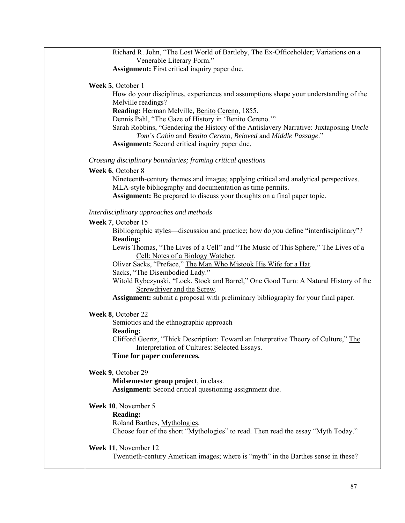| Richard R. John, "The Lost World of Bartleby, The Ex-Officeholder; Variations on a                                                                                                                                                                                                                                 |
|--------------------------------------------------------------------------------------------------------------------------------------------------------------------------------------------------------------------------------------------------------------------------------------------------------------------|
| Venerable Literary Form."                                                                                                                                                                                                                                                                                          |
| <b>Assignment:</b> First critical inquiry paper due.                                                                                                                                                                                                                                                               |
| Week 5, October 1<br>How do your disciplines, experiences and assumptions shape your understanding of the<br>Melville readings?                                                                                                                                                                                    |
| Reading: Herman Melville, Benito Cereno, 1855.<br>Dennis Pahl, "The Gaze of History in 'Benito Cereno.""<br>Sarah Robbins, "Gendering the History of the Antislavery Narrative: Juxtaposing Uncle<br>Tom's Cabin and Benito Cereno, Beloved and Middle Passage."<br>Assignment: Second critical inquiry paper due. |
| Crossing disciplinary boundaries; framing critical questions                                                                                                                                                                                                                                                       |
| Week 6, October 8<br>Nineteenth-century themes and images; applying critical and analytical perspectives.<br>MLA-style bibliography and documentation as time permits.<br><b>Assignment:</b> Be prepared to discuss your thoughts on a final paper topic.                                                          |
| Interdisciplinary approaches and methods                                                                                                                                                                                                                                                                           |
| Week 7, October 15<br>Bibliographic styles—discussion and practice; how do you define "interdisciplinary"?<br><b>Reading:</b>                                                                                                                                                                                      |
| Lewis Thomas, "The Lives of a Cell" and "The Music of This Sphere," The Lives of a<br>Cell: Notes of a Biology Watcher.<br>Oliver Sacks, "Preface," The Man Who Mistook His Wife for a Hat.                                                                                                                        |
| Sacks, "The Disembodied Lady."<br>Witold Rybczynski, "Lock, Stock and Barrel," One Good Turn: A Natural History of the<br>Screwdriver and the Screw.                                                                                                                                                               |
| Assignment: submit a proposal with preliminary bibliography for your final paper.                                                                                                                                                                                                                                  |
| Week 8, October 22<br>Semiotics and the ethnographic approach<br><b>Reading:</b>                                                                                                                                                                                                                                   |
| Clifford Geertz, "Thick Description: Toward an Interpretive Theory of Culture," The<br>Interpretation of Cultures: Selected Essays.<br>Time for paper conferences.                                                                                                                                                 |
| Week 9, October 29<br>Midsemester group project, in class.<br><b>Assignment:</b> Second critical questioning assignment due.                                                                                                                                                                                       |
| Week 10, November 5<br><b>Reading:</b><br>Roland Barthes, Mythologies.<br>Choose four of the short "Mythologies" to read. Then read the essay "Myth Today."                                                                                                                                                        |
| Week 11, November 12<br>Twentieth-century American images; where is "myth" in the Barthes sense in these?                                                                                                                                                                                                          |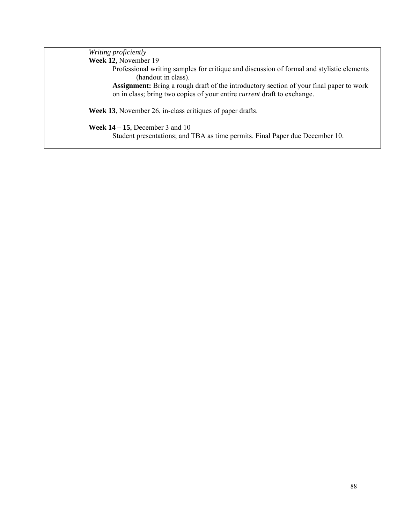| Writing proficiently                                                                                                                                                             |
|----------------------------------------------------------------------------------------------------------------------------------------------------------------------------------|
| Week 12, November 19                                                                                                                                                             |
| Professional writing samples for critique and discussion of formal and stylistic elements<br>(handout in class).                                                                 |
| <b>Assignment:</b> Bring a rough draft of the introductory section of your final paper to work<br>on in class; bring two copies of your entire <i>current</i> draft to exchange. |
| <b>Week 13.</b> November 26, in-class critiques of paper drafts.                                                                                                                 |
| <b>Week 14 – 15</b> , December 3 and 10<br>Student presentations; and TBA as time permits. Final Paper due December 10.                                                          |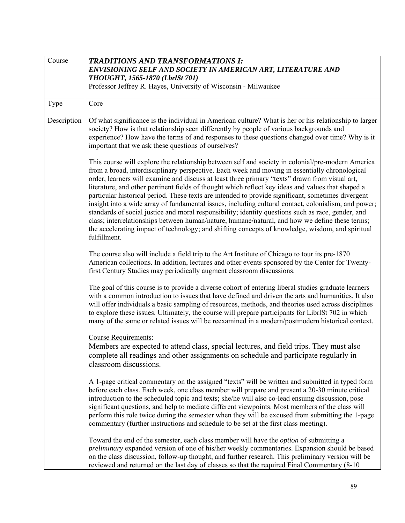| Course      | <b>TRADITIONS AND TRANSFORMATIONS I:</b><br>ENVISIONING SELF AND SOCIETY IN AMERICAN ART, LITERATURE AND<br>THOUGHT, 1565-1870 (LbrlSt 701)<br>Professor Jeffrey R. Hayes, University of Wisconsin - Milwaukee                                                                                                                                                                                                                                                                                                                                                                                                                                                                                                                                                                                                                                                                                                                                        |
|-------------|-------------------------------------------------------------------------------------------------------------------------------------------------------------------------------------------------------------------------------------------------------------------------------------------------------------------------------------------------------------------------------------------------------------------------------------------------------------------------------------------------------------------------------------------------------------------------------------------------------------------------------------------------------------------------------------------------------------------------------------------------------------------------------------------------------------------------------------------------------------------------------------------------------------------------------------------------------|
| Type        | Core                                                                                                                                                                                                                                                                                                                                                                                                                                                                                                                                                                                                                                                                                                                                                                                                                                                                                                                                                  |
| Description | Of what significance is the individual in American culture? What is her or his relationship to larger<br>society? How is that relationship seen differently by people of various backgrounds and<br>experience? How have the terms of and responses to these questions changed over time? Why is it<br>important that we ask these questions of ourselves?                                                                                                                                                                                                                                                                                                                                                                                                                                                                                                                                                                                            |
|             | This course will explore the relationship between self and society in colonial/pre-modern America<br>from a broad, interdisciplinary perspective. Each week and moving in essentially chronological<br>order, learners will examine and discuss at least three primary "texts" drawn from visual art,<br>literature, and other pertinent fields of thought which reflect key ideas and values that shaped a<br>particular historical period. These texts are intended to provide significant, sometimes divergent<br>insight into a wide array of fundamental issues, including cultural contact, colonialism, and power;<br>standards of social justice and moral responsibility; identity questions such as race, gender, and<br>class; interrelationships between human/nature, humane/natural, and how we define these terms;<br>the accelerating impact of technology; and shifting concepts of knowledge, wisdom, and spiritual<br>fulfillment. |
|             | The course also will include a field trip to the Art Institute of Chicago to tour its pre-1870<br>American collections. In addition, lectures and other events sponsored by the Center for Twenty-<br>first Century Studies may periodically augment classroom discussions.                                                                                                                                                                                                                                                                                                                                                                                                                                                                                                                                                                                                                                                                           |
|             | The goal of this course is to provide a diverse cohort of entering liberal studies graduate learners<br>with a common introduction to issues that have defined and driven the arts and humanities. It also<br>will offer individuals a basic sampling of resources, methods, and theories used across disciplines<br>to explore these issues. Ultimately, the course will prepare participants for LibrISt 702 in which<br>many of the same or related issues will be reexamined in a modern/postmodern historical context.                                                                                                                                                                                                                                                                                                                                                                                                                           |
|             | <b>Course Requirements:</b><br>Members are expected to attend class, special lectures, and field trips. They must also<br>complete all readings and other assignments on schedule and participate regularly in<br>classroom discussions.                                                                                                                                                                                                                                                                                                                                                                                                                                                                                                                                                                                                                                                                                                              |
|             | A 1-page critical commentary on the assigned "texts" will be written and submitted in typed form<br>before each class. Each week, one class member will prepare and present a 20-30 minute critical<br>introduction to the scheduled topic and texts; she/he will also co-lead ensuing discussion, pose<br>significant questions, and help to mediate different viewpoints. Most members of the class will<br>perform this role twice during the semester when they will be excused from submitting the 1-page<br>commentary (further instructions and schedule to be set at the first class meeting).                                                                                                                                                                                                                                                                                                                                                |
|             | Toward the end of the semester, each class member will have the <i>option</i> of submitting a<br>preliminary expanded version of one of his/her weekly commentaries. Expansion should be based<br>on the class discussion, follow-up thought, and further research. This preliminary version will be<br>reviewed and returned on the last day of classes so that the required Final Commentary (8-10                                                                                                                                                                                                                                                                                                                                                                                                                                                                                                                                                  |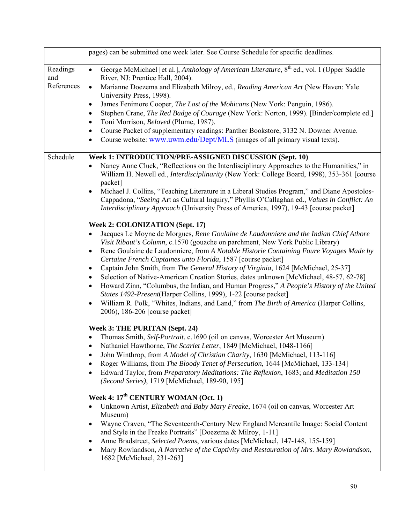|                 | pages) can be submitted one week later. See Course Schedule for specific deadlines.                                                                                                                                                                                                                |
|-----------------|----------------------------------------------------------------------------------------------------------------------------------------------------------------------------------------------------------------------------------------------------------------------------------------------------|
|                 |                                                                                                                                                                                                                                                                                                    |
| Readings<br>and | George McMichael [et al.], Anthology of American Literature, 8 <sup>th</sup> ed., vol. I (Upper Saddle<br>$\bullet$<br>River, NJ: Prentice Hall, 2004).                                                                                                                                            |
| References      | Marianne Doezema and Elizabeth Milroy, ed., Reading American Art (New Haven: Yale<br>$\bullet$<br>University Press, 1998).                                                                                                                                                                         |
|                 | James Fenimore Cooper, The Last of the Mohicans (New York: Penguin, 1986).<br>$\bullet$                                                                                                                                                                                                            |
|                 | Stephen Crane, The Red Badge of Courage (New York: Norton, 1999). [Binder/complete ed.]<br>$\bullet$                                                                                                                                                                                               |
|                 | Toni Morrison, Beloved (Plume, 1987).<br>$\bullet$<br>Course Packet of supplementary readings: Panther Bookstore, 3132 N. Downer Avenue.                                                                                                                                                           |
|                 | $\bullet$<br>Course website: www.uwm.edu/Dept/MLS (images of all primary visual texts).<br>$\bullet$                                                                                                                                                                                               |
|                 |                                                                                                                                                                                                                                                                                                    |
| Schedule        | Week 1: INTRODUCTION/PRE-ASSIGNED DISCUSSION (Sept. 10)                                                                                                                                                                                                                                            |
|                 | Nancy Anne Cluck, "Reflections on the Interdisciplinary Approaches to the Humanities," in<br>$\bullet$<br>William H. Newell ed., Interdisciplinarity (New York: College Board, 1998), 353-361 [course<br>packet]                                                                                   |
|                 | Michael J. Collins, "Teaching Literature in a Liberal Studies Program," and Diane Apostolos-<br>$\bullet$<br>Cappadona, "Seeing Art as Cultural Inquiry," Phyllis O'Callaghan ed., Values in Conflict: An<br>Interdisciplinary Approach (University Press of America, 1997), 19-43 [course packet] |
|                 | Week 2: COLONIZATION (Sept. 17)                                                                                                                                                                                                                                                                    |
|                 | Jacques Le Moyne de Morgues, Rene Goulaine de Laudonniere and the Indian Chief Athore<br>٠                                                                                                                                                                                                         |
|                 | Visit Ribaut's Column, c.1570 (gouache on parchment, New York Public Library)                                                                                                                                                                                                                      |
|                 | Rene Goulaine de Laudonniere, from A Notable Historie Containing Foure Voyages Made by<br>$\bullet$                                                                                                                                                                                                |
|                 | Certaine French Captaines unto Florida, 1587 [course packet]                                                                                                                                                                                                                                       |
|                 | Captain John Smith, from The General History of Virginia, 1624 [McMichael, 25-37]<br>$\bullet$<br>Selection of Native-American Creation Stories, dates unknown [McMichael, 48-57, 62-78]<br>$\bullet$                                                                                              |
|                 | Howard Zinn, "Columbus, the Indian, and Human Progress," A People's History of the United<br>$\bullet$                                                                                                                                                                                             |
|                 | States 1492-Present(Harper Collins, 1999), 1-22 [course packet]                                                                                                                                                                                                                                    |
|                 | William R. Polk, "Whites, Indians, and Land," from The Birth of America (Harper Collins,<br>$\bullet$<br>2006), 186-206 [course packet]                                                                                                                                                            |
|                 | Week 3: THE PURITAN (Sept. 24)                                                                                                                                                                                                                                                                     |
|                 | Thomas Smith, Self-Portrait, c.1690 (oil on canvas, Worcester Art Museum)<br>$\bullet$                                                                                                                                                                                                             |
|                 | Nathaniel Hawthorne, The Scarlet Letter, 1849 [McMichael, 1048-1166]<br>٠                                                                                                                                                                                                                          |
|                 | John Winthrop, from A Model of Christian Charity, 1630 [McMichael, 113-116]<br>٠                                                                                                                                                                                                                   |
|                 | Roger Williams, from The Bloody Tenet of Persecution, 1644 [McMichael, 133-134]<br>$\bullet$                                                                                                                                                                                                       |
|                 | Edward Taylor, from Preparatory Meditations: The Reflexion, 1683; and Meditation 150<br>٠<br>(Second Series), 1719 [McMichael, 189-90, 195]                                                                                                                                                        |
|                 | Week 4: 17 <sup>th</sup> CENTURY WOMAN (Oct. 1)                                                                                                                                                                                                                                                    |
|                 | Unknown Artist, Elizabeth and Baby Mary Freake, 1674 (oil on canvas, Worcester Art<br>٠                                                                                                                                                                                                            |
|                 | Museum)<br>Wayne Craven, "The Seventeenth-Century New England Mercantile Image: Social Content<br>$\bullet$                                                                                                                                                                                        |
|                 | and Style in the Freake Portraits" [Doezema & Milroy, 1-11]                                                                                                                                                                                                                                        |
|                 | Anne Bradstreet, Selected Poems, various dates [McMichael, 147-148, 155-159]<br>$\bullet$                                                                                                                                                                                                          |
|                 | Mary Rowlandson, A Narrative of the Captivity and Restauration of Mrs. Mary Rowlandson,<br>$\bullet$<br>1682 [McMichael, 231-263]                                                                                                                                                                  |
|                 |                                                                                                                                                                                                                                                                                                    |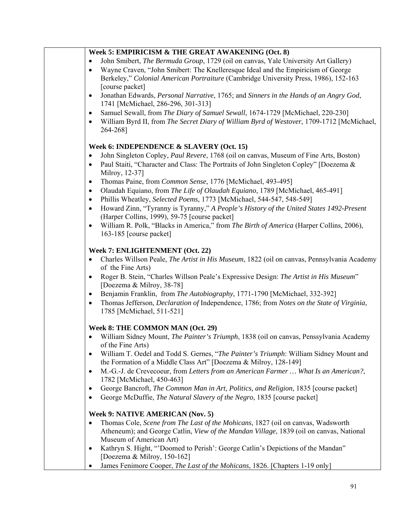|           | Week 5: EMPIRICISM & THE GREAT AWAKENING (Oct. 8)                                                                      |
|-----------|------------------------------------------------------------------------------------------------------------------------|
|           | John Smibert, The Bermuda Group, 1729 (oil on canvas, Yale University Art Gallery)                                     |
| $\bullet$ | Wayne Craven, "John Smibert: The Knelleresque Ideal and the Empiricism of George                                       |
|           | Berkeley," Colonial American Portraiture (Cambridge University Press, 1986), 152-163                                   |
|           | [course packet]                                                                                                        |
| $\bullet$ | Jonathan Edwards, Personal Narrative, 1765; and Sinners in the Hands of an Angry God,                                  |
|           | 1741 [McMichael, 286-296, 301-313]                                                                                     |
| $\bullet$ | Samuel Sewall, from The Diary of Samuel Sewall, 1674-1729 [McMichael, 220-230]                                         |
| $\bullet$ | William Byrd II, from The Secret Diary of William Byrd of Westover, 1709-1712 [McMichael,<br>264-268]                  |
|           | Week 6: INDEPENDENCE & SLAVERY (Oct. 15)                                                                               |
| $\bullet$ | John Singleton Copley, Paul Revere, 1768 (oil on canvas, Museum of Fine Arts, Boston)                                  |
| $\bullet$ | Paul Staiti, "Character and Class: The Portraits of John Singleton Copley" [Doezema &<br>Milroy, 12-37]                |
| $\bullet$ | Thomas Paine, from Common Sense, 1776 [McMichael, 493-495]                                                             |
| $\bullet$ | Olaudah Equiano, from The Life of Olaudah Equiano, 1789 [McMichael, 465-491]                                           |
| $\bullet$ | Phillis Wheatley, Selected Poems, 1773 [McMichael, 544-547, 548-549]                                                   |
| $\bullet$ | Howard Zinn, "Tyranny is Tyranny," A People's History of the United States 1492-Present                                |
|           | (Harper Collins, 1999), 59-75 [course packet]                                                                          |
| $\bullet$ | William R. Polk, "Blacks in America," from The Birth of America (Harper Collins, 2006),                                |
|           | 163-185 [course packet]                                                                                                |
|           | Week 7: ENLIGHTENMENT (Oct. 22)                                                                                        |
| $\bullet$ | Charles Willson Peale, The Artist in His Museum, 1822 (oil on canvas, Pennsylvania Academy                             |
|           | of the Fine Arts)                                                                                                      |
| $\bullet$ | Roger B. Stein, "Charles Willson Peale's Expressive Design: The Artist in His Museum"                                  |
|           | [Doezema & Milroy, 38-78]                                                                                              |
| ٠         | Benjamin Franklin, from The Autobiography, 1771-1790 [McMichael, 332-392]                                              |
| $\bullet$ | Thomas Jefferson, Declaration of Independence, 1786; from Notes on the State of Virginia,<br>1785 [McMichael, 511-521] |
|           | Week 8: THE COMMON MAN (Oct. 29)                                                                                       |
|           | William Sidney Mount, <i>The Painter's Triumph</i> , 1838 (oil on canvas, Penssylvania Academy                         |
|           | of the Fine Arts)                                                                                                      |
| ٠         | William T. Oedel and Todd S. Gernes, "The Painter's Triumph: William Sidney Mount and                                  |
|           | the Formation of a Middle Class Art" [Doezema & Milroy, 128-149]                                                       |
| $\bullet$ | M.-G.-J. de Crevecoeur, from Letters from an American Farmer  What Is an American?,                                    |
|           | 1782 [McMichael, 450-463]                                                                                              |
| ٠         | George Bancroft, The Common Man in Art, Politics, and Religion, 1835 [course packet]                                   |
| $\bullet$ | George McDuffie, The Natural Slavery of the Negro, 1835 [course packet]                                                |
|           | Week 9: NATIVE AMERICAN (Nov. 5)                                                                                       |
| $\bullet$ | Thomas Cole, Scene from The Last of the Mohicans, 1827 (oil on canvas, Wadsworth                                       |
|           | Atheneum); and George Catlin, View of the Mandan Village, 1839 (oil on canvas, National<br>Museum of American Art)     |
| ٠         | Kathryn S. Hight, "'Doomed to Perish': George Catlin's Depictions of the Mandan"                                       |
|           | [Doezema & Milroy, 150-162]                                                                                            |
|           | James Fenimore Cooper, The Last of the Mohicans, 1826. [Chapters 1-19 only]                                            |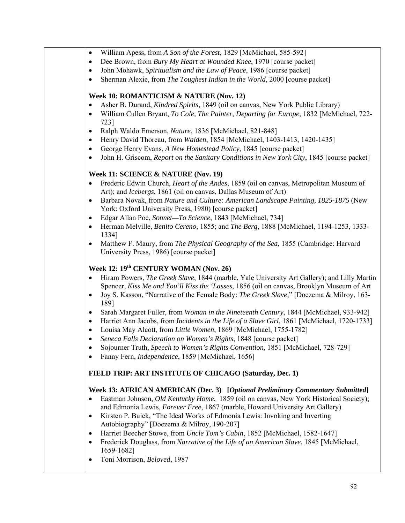- William Apess, from *A Son of the Forest*, 1829 [McMichael, 585-592]
- Dee Brown, from *Bury My Heart at Wounded Knee*, 1970 [course packet]
- John Mohawk, *Spiritualism and the Law of Peace*, 1986 [course packet]
- Sherman Alexie, from *The Toughest Indian in the World*, 2000 [course packet]

### **Week 10: ROMANTICISM & NATURE (Nov. 12)**

- Asher B. Durand, *Kindred Spirits*, 1849 (oil on canvas, New York Public Library)
- William Cullen Bryant, *To Cole, The Painter, Departing for Europe*, 1832 [McMichael, 722- 723]
- Ralph Waldo Emerson, *Nature*, 1836 [McMichael, 821-848]
- Henry David Thoreau, from *Walden*, 1854 [McMichael, 1403-1413, 1420-1435]
- George Henry Evans, *A New Homestead Policy*, 1845 [course packet]
- John H. Griscom, *Report on the Sanitary Conditions in New York City*, 1845 [course packet]

### **Week 11: SCIENCE & NATURE (Nov. 19)**

- Frederic Edwin Church, *Heart of the Andes*, 1859 (oil on canvas, Metropolitan Museum of Art); and *Icebergs*, 1861 (oil on canvas, Dallas Museum of Art)
- Barbara Novak, from *Nature and Culture: American Landscape Painting, 1825-1875* (New York: Oxford University Press, 1980) [course packet]
- Edgar Allan Poe, *Sonnet—To Science*, 1843 [McMichael, 734]
- Herman Melville, *Benito Cereno*, 1855; and *The Berg*, 1888 [McMichael, 1194-1253, 1333- 1334]
- Matthew F. Maury, from *The Physical Geography of the Sea*, 1855 (Cambridge: Harvard University Press, 1986) [course packet]

# Week 12: 19<sup>th</sup> CENTURY WOMAN (Nov. 26)

- Hiram Powers, *The Greek Slave*, 1844 (marble, Yale University Art Gallery); and Lilly Martin Spencer, *Kiss Me and You'll Kiss the 'Lasses*, 1856 (oil on canvas, Brooklyn Museum of Art
- Joy S. Kasson, "Narrative of the Female Body: *The Greek Slave*," [Doezema & Milroy, 163- 189]
- Sarah Margaret Fuller, from *Woman in the Nineteenth Century*, 1844 [McMichael, 933-942]
- Harriet Ann Jacobs, from *Incidents in the Life of a Slave Girl*, 1861 [McMichael, 1720-1733]
- Louisa May Alcott, from *Little Women*, 1869 [McMichael, 1755-1782]
- *Seneca Falls Declaration on Women's Rights*, 1848 [course packet]
- Sojourner Truth, *Speech to Women's Rights Convention*, 1851 [McMichael, 728-729]
- Fanny Fern, *Independence*, 1859 [McMichael, 1656]

# **FIELD TRIP: ART INSTITUTE OF CHICAGO (Saturday, Dec. 1)**

# **Week 13: AFRICAN AMERICAN (Dec. 3) [***Optional Preliminary Commentary Submitted***]**

- Eastman Johnson, *Old Kentucky Home*, 1859 (oil on canvas, New York Historical Society); and Edmonia Lewis, *Forever Free*, 1867 (marble, Howard University Art Gallery)
- Kirsten P. Buick, "The Ideal Works of Edmonia Lewis: Invoking and Inverting Autobiography" [Doezema & Milroy, 190-207]
- Harriet Beecher Stowe, from *Uncle Tom's Cabin*, 1852 [McMichael, 1582-1647]
- Frederick Douglass, from *Narrative of the Life of an American Slave*, 1845 [McMichael, 1659-1682]
- Toni Morrison, *Beloved*, 1987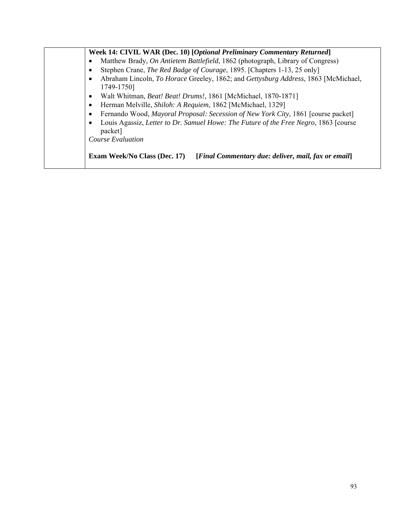| Week 14: CIVIL WAR (Dec. 10) [Optional Preliminary Commentary Returned]                                       |
|---------------------------------------------------------------------------------------------------------------|
| Matthew Brady, On Antietem Battlefield, 1862 (photograph, Library of Congress)                                |
| Stephen Crane, The Red Badge of Courage, 1895. [Chapters 1-13, 25 only]                                       |
| Abraham Lincoln, To Horace Greeley, 1862; and Gettysburg Address, 1863 [McMichael,<br>$\bullet$<br>1749-1750] |
| Walt Whitman, Beat! Beat! Drums!, 1861 [McMichael, 1870-1871]<br>٠                                            |
| Herman Melville, Shiloh: A Requiem, 1862 [McMichael, 1329]<br>$\bullet$                                       |
| Fernando Wood, Mayoral Proposal: Secession of New York City, 1861 [course packet]<br>٠                        |
| Louis Agassiz, Letter to Dr. Samuel Howe: The Future of the Free Negro, 1863 [course<br>packet]               |
| Course Evaluation                                                                                             |
| [Final Commentary due: deliver, mail, fax or email]<br>Exam Week/No Class (Dec. 17)                           |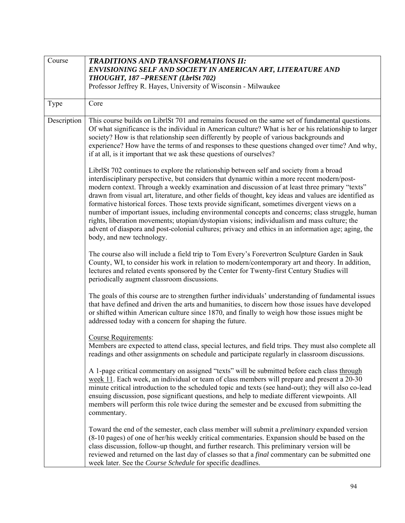| Course      | <b>TRADITIONS AND TRANSFORMATIONS II:</b><br>ENVISIONING SELF AND SOCIETY IN AMERICAN ART, LITERATURE AND<br>THOUGHT, 187-PRESENT (LbrlSt 702)<br>Professor Jeffrey R. Hayes, University of Wisconsin - Milwaukee                                                                                                                                                                                                                                                                                                                                                                                                                                                                                                                                                                                                                         |
|-------------|-------------------------------------------------------------------------------------------------------------------------------------------------------------------------------------------------------------------------------------------------------------------------------------------------------------------------------------------------------------------------------------------------------------------------------------------------------------------------------------------------------------------------------------------------------------------------------------------------------------------------------------------------------------------------------------------------------------------------------------------------------------------------------------------------------------------------------------------|
| Type        | Core                                                                                                                                                                                                                                                                                                                                                                                                                                                                                                                                                                                                                                                                                                                                                                                                                                      |
| Description | This course builds on LibrlSt 701 and remains focused on the same set of fundamental questions.<br>Of what significance is the individual in American culture? What is her or his relationship to larger<br>society? How is that relationship seen differently by people of various backgrounds and<br>experience? How have the terms of and responses to these questions changed over time? And why,<br>if at all, is it important that we ask these questions of ourselves?                                                                                                                                                                                                                                                                                                                                                             |
|             | LibrISt 702 continues to explore the relationship between self and society from a broad<br>interdisciplinary perspective, but considers that dynamic within a more recent modern/post-<br>modern context. Through a weekly examination and discussion of at least three primary "texts"<br>drawn from visual art, literature, and other fields of thought, key ideas and values are identified as<br>formative historical forces. Those texts provide significant, sometimes divergent views on a<br>number of important issues, including environmental concepts and concerns; class struggle, human<br>rights, liberation movements; utopian/dystopian visions; individualism and mass culture; the<br>advent of diaspora and post-colonial cultures; privacy and ethics in an information age; aging, the<br>body, and new technology. |
|             | The course also will include a field trip to Tom Every's Forevertron Sculpture Garden in Sauk<br>County, WI, to consider his work in relation to modern/contemporary art and theory. In addition,<br>lectures and related events sponsored by the Center for Twenty-first Century Studies will<br>periodically augment classroom discussions.                                                                                                                                                                                                                                                                                                                                                                                                                                                                                             |
|             | The goals of this course are to strengthen further individuals' understanding of fundamental issues<br>that have defined and driven the arts and humanities, to discern how those issues have developed<br>or shifted within American culture since 1870, and finally to weigh how those issues might be<br>addressed today with a concern for shaping the future.                                                                                                                                                                                                                                                                                                                                                                                                                                                                        |
|             | <b>Course Requirements:</b><br>Members are expected to attend class, special lectures, and field trips. They must also complete all<br>readings and other assignments on schedule and participate regularly in classroom discussions.                                                                                                                                                                                                                                                                                                                                                                                                                                                                                                                                                                                                     |
|             | A 1-page critical commentary on assigned "texts" will be submitted before each class through<br>week 11. Each week, an individual or team of class members will prepare and present a 20-30<br>minute critical introduction to the scheduled topic and texts (see hand-out); they will also co-lead<br>ensuing discussion, pose significant questions, and help to mediate different viewpoints. All<br>members will perform this role twice during the semester and be excused from submitting the<br>commentary.                                                                                                                                                                                                                                                                                                                        |
|             | Toward the end of the semester, each class member will submit a <i>preliminary</i> expanded version<br>(8-10 pages) of one of her/his weekly critical commentaries. Expansion should be based on the<br>class discussion, follow-up thought, and further research. This preliminary version will be<br>reviewed and returned on the last day of classes so that a final commentary can be submitted one<br>week later. See the Course Schedule for specific deadlines.                                                                                                                                                                                                                                                                                                                                                                    |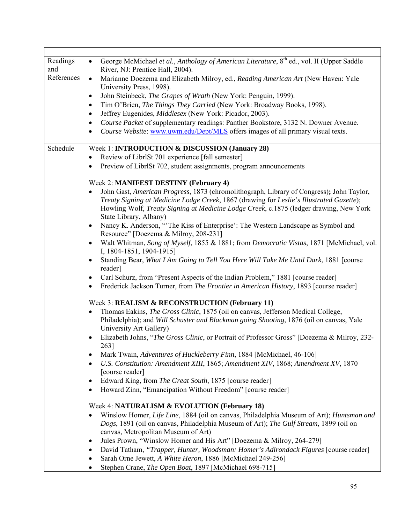| Readings<br>and<br>References | George McMichael et al., Anthology of American Literature, 8 <sup>th</sup> ed., vol. II (Upper Saddle<br>$\bullet$<br>River, NJ: Prentice Hall, 2004).<br>Marianne Doezema and Elizabeth Milroy, ed., Reading American Art (New Haven: Yale<br>$\bullet$<br>University Press, 1998).<br>John Steinbeck, The Grapes of Wrath (New York: Penguin, 1999).<br>$\bullet$<br>Tim O'Brien, The Things They Carried (New York: Broadway Books, 1998).<br>$\bullet$<br>Jeffrey Eugenides, Middlesex (New York: Picador, 2003).<br>$\bullet$<br>Course Packet of supplementary readings: Panther Bookstore, 3132 N. Downer Avenue.<br>$\bullet$<br>Course Website: www.uwm.edu/Dept/MLS offers images of all primary visual texts.<br>٠ |
|-------------------------------|-------------------------------------------------------------------------------------------------------------------------------------------------------------------------------------------------------------------------------------------------------------------------------------------------------------------------------------------------------------------------------------------------------------------------------------------------------------------------------------------------------------------------------------------------------------------------------------------------------------------------------------------------------------------------------------------------------------------------------|
| Schedule                      | Week 1: <b>INTRODUCTION &amp; DISCUSSION</b> (January 28)                                                                                                                                                                                                                                                                                                                                                                                                                                                                                                                                                                                                                                                                     |
|                               | Review of LibrlSt 701 experience [fall semester]<br>$\bullet$                                                                                                                                                                                                                                                                                                                                                                                                                                                                                                                                                                                                                                                                 |
|                               | Preview of LibrlSt 702, student assignments, program announcements<br>$\bullet$                                                                                                                                                                                                                                                                                                                                                                                                                                                                                                                                                                                                                                               |
|                               | Week 2: MANIFEST DESTINY (February 4)                                                                                                                                                                                                                                                                                                                                                                                                                                                                                                                                                                                                                                                                                         |
|                               | John Gast, American Progress, 1873 (chromolithograph, Library of Congress); John Taylor,<br>$\bullet$<br>Treaty Signing at Medicine Lodge Creek, 1867 (drawing for Leslie's Illustrated Gazette);<br>Howling Wolf, Treaty Signing at Medicine Lodge Creek, c.1875 (ledger drawing, New York<br>State Library, Albany)<br>Nancy K. Anderson, "The Kiss of Enterprise': The Western Landscape as Symbol and<br>$\bullet$                                                                                                                                                                                                                                                                                                        |
|                               | Resource" [Doezema & Milroy, 208-231]<br>Walt Whitman, Song of Myself, 1855 & 1881; from Democratic Vistas, 1871 [McMichael, vol.<br>$\bullet$<br>I, 1804-1851, 1904-1915]                                                                                                                                                                                                                                                                                                                                                                                                                                                                                                                                                    |
|                               | Standing Bear, What I Am Going to Tell You Here Will Take Me Until Dark, 1881 [course<br>$\bullet$<br>reader]                                                                                                                                                                                                                                                                                                                                                                                                                                                                                                                                                                                                                 |
|                               | Carl Schurz, from "Present Aspects of the Indian Problem," 1881 [course reader]<br>$\bullet$<br>Frederick Jackson Turner, from The Frontier in American History, 1893 [course reader]<br>$\bullet$                                                                                                                                                                                                                                                                                                                                                                                                                                                                                                                            |
|                               | Week 3: REALISM & RECONSTRUCTION (February 11)                                                                                                                                                                                                                                                                                                                                                                                                                                                                                                                                                                                                                                                                                |
|                               | Thomas Eakins, The Gross Clinic, 1875 (oil on canvas, Jefferson Medical College,<br>$\bullet$<br>Philadelphia); and Will Schuster and Blackman going Shooting, 1876 (oil on canvas, Yale<br>University Art Gallery)                                                                                                                                                                                                                                                                                                                                                                                                                                                                                                           |
|                               | Elizabeth Johns, "The Gross Clinic, or Portrait of Professor Gross" [Doezema & Milroy, 232-<br>263]                                                                                                                                                                                                                                                                                                                                                                                                                                                                                                                                                                                                                           |
|                               | Mark Twain, Adventures of Huckleberry Finn, 1884 [McMichael, 46-106]<br>٠                                                                                                                                                                                                                                                                                                                                                                                                                                                                                                                                                                                                                                                     |
|                               | U.S. Constitution: Amendment XIII, 1865; Amendment XIV, 1868; Amendment XV, 1870<br>٠<br>[course reader]                                                                                                                                                                                                                                                                                                                                                                                                                                                                                                                                                                                                                      |
|                               | Edward King, from The Great South, 1875 [course reader]<br>٠                                                                                                                                                                                                                                                                                                                                                                                                                                                                                                                                                                                                                                                                  |
|                               | Howard Zinn, "Emancipation Without Freedom" [course reader]<br>$\bullet$                                                                                                                                                                                                                                                                                                                                                                                                                                                                                                                                                                                                                                                      |
|                               | Week 4: NATURALISM & EVOLUTION (February 18)                                                                                                                                                                                                                                                                                                                                                                                                                                                                                                                                                                                                                                                                                  |
|                               | Winslow Homer, Life Line, 1884 (oil on canvas, Philadelphia Museum of Art); Huntsman and<br>$\bullet$<br>Dogs, 1891 (oil on canvas, Philadelphia Museum of Art); The Gulf Stream, 1899 (oil on<br>canvas, Metropolitan Museum of Art)                                                                                                                                                                                                                                                                                                                                                                                                                                                                                         |
|                               | Jules Prown, "Winslow Homer and His Art" [Doezema & Milroy, 264-279]<br>$\bullet$                                                                                                                                                                                                                                                                                                                                                                                                                                                                                                                                                                                                                                             |
|                               | David Tatham, "Trapper, Hunter, Woodsman: Homer's Adirondack Figures [course reader]<br>٠<br>Sarah Orne Jewett, A White Heron, 1886 [McMichael 249-256]<br>٠                                                                                                                                                                                                                                                                                                                                                                                                                                                                                                                                                                  |
|                               | Stephen Crane, The Open Boat, 1897 [McMichael 698-715]<br>٠                                                                                                                                                                                                                                                                                                                                                                                                                                                                                                                                                                                                                                                                   |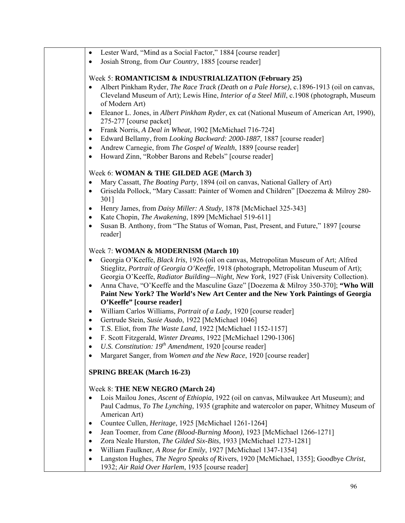- Lester Ward, "Mind as a Social Factor," 1884 [course reader]
- Josiah Strong, from *Our Country*, 1885 [course reader]

#### Week 5: **ROMANTICISM & INDUSTRIALIZATION (February 25)**

- Albert Pinkham Ryder, *The Race Track (Death on a Pale Horse)*, c.1896-1913 (oil on canvas, Cleveland Museum of Art); Lewis Hine, *Interior of a Steel Mill*, c.1908 (photograph, Museum of Modern Art)
- Eleanor L. Jones, in *Albert Pinkham Ryder*, ex cat (National Museum of American Art, 1990), 275-277 [course packet]
- Frank Norris, *A Deal in Wheat*, 1902 [McMichael 716-724]
- Edward Bellamy, from *Looking Backward: 2000-1887*, 1887 [course reader]
- Andrew Carnegie, from *The Gospel of Wealth*, 1889 [course reader]
- Howard Zinn, "Robber Barons and Rebels" [course reader]

### Week 6: **WOMAN & THE GILDED AGE (March 3)**

- Mary Cassatt, *The Boating Party*, 1894 (oil on canvas, National Gallery of Art)
- Griselda Pollock, "Mary Cassatt: Painter of Women and Children" [Doezema & Milroy 280- 301]
- Henry James, from *Daisy Miller: A Study*, 1878 [McMichael 325-343]
- Kate Chopin, *The Awakening*, 1899 [McMichael 519-611]
- Susan B. Anthony, from "The Status of Woman, Past, Present, and Future," 1897 [course reader]

### Week 7: **WOMAN & MODERNISM (March 10)**

- Georgia O'Keeffe, *Black Iris*, 1926 (oil on canvas, Metropolitan Museum of Art; Alfred Stieglitz, *Portrait of Georgia O'Keeffe*, 1918 (photograph, Metropolitan Museum of Art); Georgia O'Keeffe, *Radiator Building—Night, New York*, 1927 (Fisk University Collection).
- Anna Chave, "O'Keeffe and the Masculine Gaze" [Doezema & Milroy 350-370]; **"Who Will Paint New York? The World's New Art Center and the New York Paintings of Georgia O'Keeffe" [course reader]**
- William Carlos Williams, *Portrait of a Lady*, 1920 [course reader]
- Gertrude Stein, *Susie Asado*, 1922 [McMichael 1046]
- T.S. Eliot, from *The Waste Land*, 1922 [McMichael 1152-1157]
- F. Scott Fitzgerald, *Winter Dreams*, 1922 [McMichael 1290-1306]
- *U.S. Constitution: 19th Amendment*, 1920 [course reader]
- Margaret Sanger, from *Women and the New Race*, 1920 [course reader]

### **SPRING BREAK (March 16-23)**

### Week 8: **THE NEW NEGRO (March 24)**

- Lois Mailou Jones, *Ascent of Ethiopia*, 1922 (oil on canvas, Milwaukee Art Museum); and Paul Cadmus, *To The Lynching*, 1935 (graphite and watercolor on paper, Whitney Museum of American Art)
- Countee Cullen, *Heritage*, 1925 [McMichael 1261-1264]
- Jean Toomer, from *Cane (Blood-Burning Moon)*, 1923 [McMichael 1266-1271]
- Zora Neale Hurston, *The Gilded Six-Bits*, 1933 [McMichael 1273-1281]
- William Faulkner, *A Rose for Emily*, 1927 [McMichael 1347-1354]
- Langston Hughes, *The Negro Speaks of* Rivers, 1920 [McMichael, 1355]; Goodbye *Christ*, 1932; *Air Raid Over Harlem*, 1935 [course reader]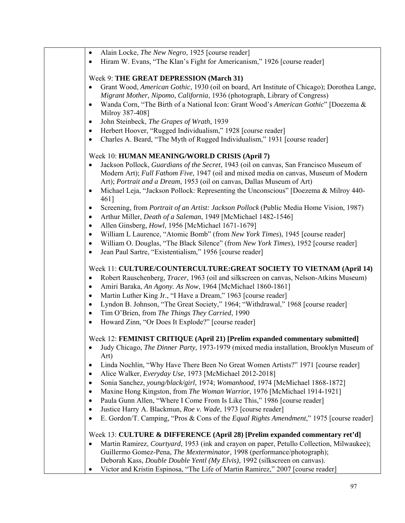| $\bullet$ | Alain Locke, The New Negro, 1925 [course reader] |  |  |  |  |  |
|-----------|--------------------------------------------------|--|--|--|--|--|
|-----------|--------------------------------------------------|--|--|--|--|--|

• Hiram W. Evans, "The Klan's Fight for Americanism," 1926 [course reader]

#### Week 9: **THE GREAT DEPRESSION (March 31)**

- Grant Wood, *American Gothic*, 1930 (oil on board, Art Institute of Chicago); Dorothea Lange, *Migrant Mother, Nipomo, California*, 1936 (photograph, Library of Congress)
- Wanda Corn, "The Birth of a National Icon: Grant Wood's *American Gothic*" [Doezema & Milroy 387-408]
- John Steinbeck, *The Grapes of Wrath*, 1939
- Herbert Hoover, "Rugged Individualism," 1928 [course reader]
- Charles A. Beard, "The Myth of Rugged Individualism," 1931 [course reader]

### Week 10: **HUMAN MEANING/WORLD CRISIS (April 7)**

- Jackson Pollock, *Guardians of the Secret*, 1943 (oil on canvas, San Francisco Museum of Modern Art); *Full Fathom Five*, 1947 (oil and mixed media on canvas, Museum of Modern Art); *Portrait and a Dream*, 1953 (oil on canvas, Dallas Museum of Art)
- Michael Leja, "Jackson Pollock: Representing the Unconscious" [Doezema & Milroy 440-461]
- Screening, from *Portrait of an Artist: Jackson Pollock* (Public Media Home Vision, 1987)
- Arthur Miller, *Death of a Saleman*, 1949 [McMichael 1482-1546]
- Allen Ginsberg, *Howl*, 1956 [McMichael 1671-1679]
- William L Laurence, "Atomic Bomb" (from *New York Times*), 1945 [course reader]
- William O. Douglas, "The Black Silence" (from *New York Times*), 1952 [course reader]
- Jean Paul Sartre, "Existentialism," 1956 [course reader]

# Week 11: **CULTURE/COUNTERCULTURE:GREAT SOCIETY TO VIETNAM (April 14)**

- Robert Rauschenberg, *Tracer*, 1963 (oil and silkscreen on canvas, Nelson-Atkins Museum)
- Amiri Baraka, *An Agony. As Now*, 1964 [McMichael 1860-1861]
- Martin Luther King Jr., "I Have a Dream," 1963 [course reader]
- Lyndon B. Johnson, "The Great Society," 1964; "Withdrawal," 1968 [course reader]
- Tim O'Brien, from *The Things They Carried*, 1990
- Howard Zinn, "Or Does It Explode?" [course reader]

### Week 12: **FEMINIST CRITIQUE (April 21) [Prelim expanded commentary submitted]**

- Judy Chicago, *The Dinner Party*, 1973-1979 (mixed media installation, Brooklyn Museum of Art)
- Linda Nochlin, "Why Have There Been No Great Women Artists?" 1971 [course reader]
- Alice Walker, *Everyday Use*, 1973 [McMichael 2012-2018]
- Sonia Sanchez, *young/black/girl*, 1974; *Womanhood*, 1974 [McMichael 1868-1872]
- Maxine Hong Kingston, from *The Woman Warrior*, 1976 [McMichael 1914-1921]
- Paula Gunn Allen, "Where I Come From Is Like This," 1986 [course reader]
- Justice Harry A. Blackmun, *Roe v. Wade*, 1973 [course reader]
- E. Gordon/T. Camping, "Pros & Cons of the *Equal Rights Amendment*," 1975 [course reader]

### Week 13: **CULTURE & DIFFERENCE (April 28) [Prelim expanded commentary ret'd]**

- Martin Ramirez, *Courtyard*, 1953 (ink and crayon on paper, Petullo Collection, Milwaukee); Guillermo Gomez-Pena, *The Mexterminator*, 1998 (performance/photograph); Deborah Kass, *Double Double Yentl (My Elvis)*, 1992 (silkscreen on canvas).
- Victor and Kristin Espinosa, "The Life of Martin Ramirez," 2007 [course reader]